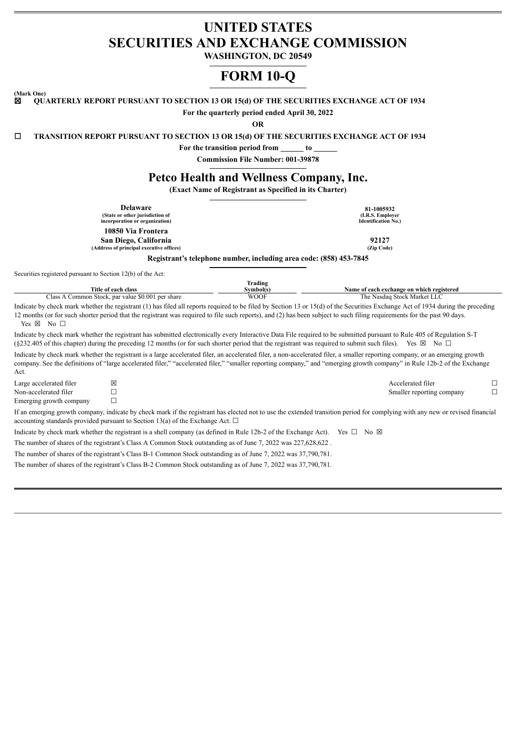# **UNITED STATES SECURITIES AND EXCHANGE COMMISSION**

**WASHINGTON, DC 20549**

# **FORM 10-Q**

**(Mark One)**

☒ **QUARTERLY REPORT PURSUANT TO SECTION 13 OR 15(d) OF THE SECURITIES EXCHANGE ACT OF 1934**

**For the quarterly period ended April 30, 2022**

**OR**

☐ **TRANSITION REPORT PURSUANT TO SECTION 13 OR 15(d) OF THE SECURITIES EXCHANGE ACT OF 1934**

**For the transition period from to**

**Commission File Number: 001-39878**

## **Petco Health and Wellness Company, Inc.**

**(Exact Name of Registrant as Specified in its Charter)**

| <b>Delaware</b>                                                    | 81-1005932                 |
|--------------------------------------------------------------------|----------------------------|
| (State or other jurisdiction of                                    | (I.R.S. Employer)          |
| incorporation or organization)                                     | <b>Identification No.)</b> |
| 10850 Via Frontera                                                 |                            |
| San Diego, California                                              | 92127                      |
| (Address of principal executive offices)                           | (Zip Code)                 |
| Registrant's telephone number, including area code: (858) 453-7845 |                            |
| Securities registered pursuant to Section 12(b) of the Act:        |                            |

|                                                                                                                                                                                 | Trading     |                                           |  |  |  |  |
|---------------------------------------------------------------------------------------------------------------------------------------------------------------------------------|-------------|-------------------------------------------|--|--|--|--|
| Title of each class                                                                                                                                                             | Symbol(s)   | Name of each exchange on which registered |  |  |  |  |
| Class A Common Stock, par value \$0.001 per share                                                                                                                               | <b>WOOF</b> | The Nasdaq Stock Market LLC               |  |  |  |  |
| Indicate by check mark whether the registrant (1) has filed all reports required to be filed by Section 13 or 15(d) of the Securities Exchange Act of 1934 during the preceding |             |                                           |  |  |  |  |
| 12 months (or for such shorter period that the registrant was required to file such reports), and (2) has been subject to such filing requirements for the past 90 days.        |             |                                           |  |  |  |  |
| Yes $\boxtimes$ No $\Box$                                                                                                                                                       |             |                                           |  |  |  |  |

Indicate by check mark whether the registrant has submitted electronically every Interactive Data File required to be submitted pursuant to Rule 405 of Regulation S-T (§232.405 of this chapter) during the preceding 12 months (or for such shorter period that the registrant was required to submit such files). Yes  $\boxtimes$  No  $\Box$ 

Indicate by check mark whether the registrant is a large accelerated filer, an accelerated filer, a non-accelerated filer, a smaller reporting company, or an emerging growth company. See the definitions of "large accelerated filer," "accelerated filer," "smaller reporting company," and "emerging growth company" in Rule 12b-2 of the Exchange Act.

Large accelerated filer **□** ⊠ Accelerated filer □ Non-accelerated filer ☐ Smaller reporting company ☐ Emerging growth company  $\Box$ 

If an emerging growth company, indicate by check mark if the registrant has elected not to use the extended transition period for complying with any new or revised financial accounting standards provided pursuant to Section 13(a) of the Exchange Act.  $\Box$ 

Indicate by check mark whether the registrant is a shell company (as defined in Rule 12b-2 of the Exchange Act). Yes  $\Box$  No  $\boxtimes$ 

The number of shares of the registrant's Class A Common Stock outstanding as of June 7, 2022 was 227,628,622 .

The number of shares of the registrant's Class B-1 Common Stock outstanding as of June 7, 2022 was 37,790,781.

The number of shares of the registrant's Class B-2 Common Stock outstanding as of June 7, 2022 was 37,790,781.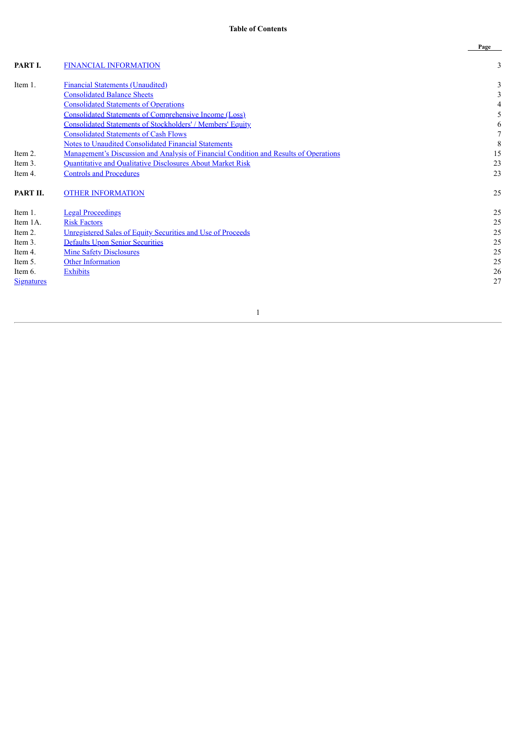|                   |                                                                                       | Page |
|-------------------|---------------------------------------------------------------------------------------|------|
| PART I.           | <b>FINANCIAL INFORMATION</b>                                                          | 3    |
| Item 1.           | <b>Financial Statements (Unaudited)</b>                                               | 3    |
|                   | <b>Consolidated Balance Sheets</b>                                                    | 3    |
|                   | <b>Consolidated Statements of Operations</b>                                          | 4    |
|                   | <b>Consolidated Statements of Comprehensive Income (Loss)</b>                         | 5    |
|                   | <b>Consolidated Statements of Stockholders' / Members' Equity</b>                     | 6    |
|                   | <b>Consolidated Statements of Cash Flows</b>                                          | 7    |
|                   | <b>Notes to Unaudited Consolidated Financial Statements</b>                           | 8    |
| Item 2.           | Management's Discussion and Analysis of Financial Condition and Results of Operations | 15   |
| Item 3.           | Quantitative and Qualitative Disclosures About Market Risk                            | 23   |
| Item 4.           | <b>Controls and Procedures</b>                                                        | 23   |
| PART II.          | <b>OTHER INFORMATION</b>                                                              | 25   |
| Item 1.           | <b>Legal Proceedings</b>                                                              | 25   |
| Item 1A.          | <b>Risk Factors</b>                                                                   | 25   |
| Item 2.           | Unregistered Sales of Equity Securities and Use of Proceeds                           | 25   |
| Item 3.           | <b>Defaults Upon Senior Securities</b>                                                | 25   |
| Item 4.           | <b>Mine Safety Disclosures</b>                                                        | 25   |
| Item 5.           | <b>Other Information</b>                                                              | 25   |
| Item 6.           | <b>Exhibits</b>                                                                       | 26   |
| <b>Signatures</b> |                                                                                       | 27   |
|                   |                                                                                       |      |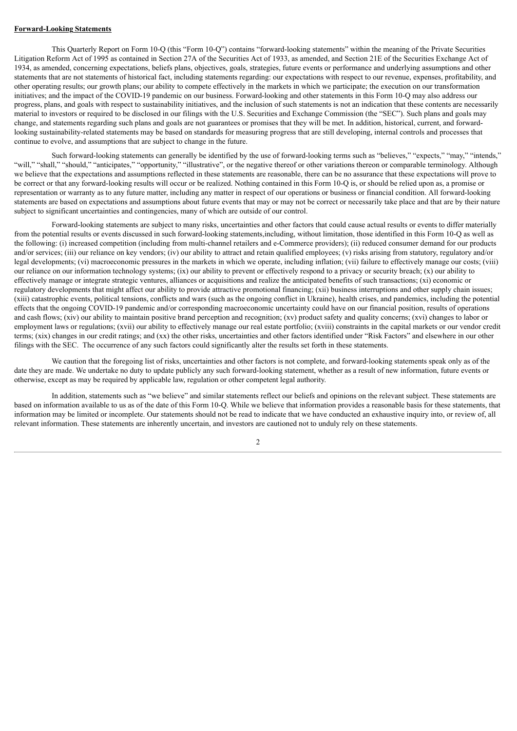#### **Forward-Looking Statements**

This Quarterly Report on Form 10-Q (this "Form 10-Q") contains "forward-looking statements" within the meaning of the Private Securities Litigation Reform Act of 1995 as contained in Section 27A of the Securities Act of 1933, as amended, and Section 21E of the Securities Exchange Act of 1934, as amended, concerning expectations, beliefs plans, objectives, goals, strategies, future events or performance and underlying assumptions and other statements that are not statements of historical fact, including statements regarding: our expectations with respect to our revenue, expenses, profitability, and other operating results; our growth plans; our ability to compete effectively in the markets in which we participate; the execution on our transformation initiatives; and the impact of the COVID-19 pandemic on our business. Forward-looking and other statements in this Form 10-Q may also address our progress, plans, and goals with respect to sustainability initiatives, and the inclusion of such statements is not an indication that these contents are necessarily material to investors or required to be disclosed in our filings with the U.S. Securities and Exchange Commission (the "SEC"). Such plans and goals may change, and statements regarding such plans and goals are not guarantees or promises that they will be met. In addition, historical, current, and forwardlooking sustainability-related statements may be based on standards for measuring progress that are still developing, internal controls and processes that continue to evolve, and assumptions that are subject to change in the future.

Such forward-looking statements can generally be identified by the use of forward-looking terms such as "believes," "expects," "may," "intends," "will," "shall," "should," "anticipates," "opportunity," "illustrative", or the negative thereof or other variations thereon or comparable terminology. Although we believe that the expectations and assumptions reflected in these statements are reasonable, there can be no assurance that these expectations will prove to be correct or that any forward-looking results will occur or be realized. Nothing contained in this Form 10-Q is, or should be relied upon as, a promise or representation or warranty as to any future matter, including any matter in respect of our operations or business or financial condition. All forward-looking statements are based on expectations and assumptions about future events that may or may not be correct or necessarily take place and that are by their nature subject to significant uncertainties and contingencies, many of which are outside of our control.

Forward-looking statements are subject to many risks, uncertainties and other factors that could cause actual results or events to differ materially from the potential results or events discussed in such forward-looking statements,including, without limitation, those identified in this Form 10-Q as well as the following: (i) increased competition (including from multi-channel retailers and e-Commerce providers); (ii) reduced consumer demand for our products and/or services; (iii) our reliance on key vendors; (iv) our ability to attract and retain qualified employees; (v) risks arising from statutory, regulatory and/or legal developments; (vi) macroeconomic pressures in the markets in which we operate, including inflation; (vii) failure to effectively manage our costs; (viii) our reliance on our information technology systems; (ix) our ability to prevent or effectively respond to a privacy or security breach; (x) our ability to effectively manage or integrate strategic ventures, alliances or acquisitions and realize the anticipated benefits of such transactions; (xi) economic or regulatory developments that might affect our ability to provide attractive promotional financing; (xii) business interruptions and other supply chain issues; (xiii) catastrophic events, political tensions, conflicts and wars (such as the ongoing conflict in Ukraine), health crises, and pandemics, including the potential effects that the ongoing COVID-19 pandemic and/or corresponding macroeconomic uncertainty could have on our financial position, results of operations and cash flows; (xiv) our ability to maintain positive brand perception and recognition; (xv) product safety and quality concerns; (xvi) changes to labor or employment laws or regulations; (xvii) our ability to effectively manage our real estate portfolio; (xviii) constraints in the capital markets or our vendor credit terms; (xix) changes in our credit ratings; and (xx) the other risks, uncertainties and other factors identified under "Risk Factors" and elsewhere in our other filings with the SEC. The occurrence of any such factors could significantly alter the results set forth in these statements.

We caution that the foregoing list of risks, uncertainties and other factors is not complete, and forward-looking statements speak only as of the date they are made. We undertake no duty to update publicly any such forward-looking statement, whether as a result of new information, future events or otherwise, except as may be required by applicable law, regulation or other competent legal authority.

In addition, statements such as "we believe" and similar statements reflect our beliefs and opinions on the relevant subject. These statements are based on information available to us as of the date of this Form 10-Q. While we believe that information provides a reasonable basis for these statements, that information may be limited or incomplete. Our statements should not be read to indicate that we have conducted an exhaustive inquiry into, or review of, all relevant information. These statements are inherently uncertain, and investors are cautioned not to unduly rely on these statements.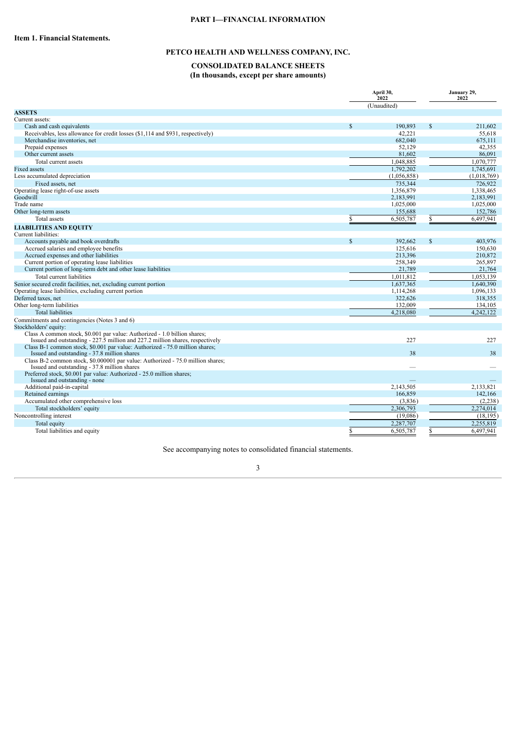### **PART I—FINANCIAL INFORMATION**

## **PETCO HEALTH AND WELLNESS COMPANY, INC.**

### **CONSOLIDATED BALANCE SHEETS (In thousands, except per share amounts)**

<span id="page-3-2"></span><span id="page-3-1"></span><span id="page-3-0"></span>

| (Unaudited)<br><b>ASSETS</b><br>Current assets:<br>$\mathbf S$<br>Cash and cash equivalents<br>190,893<br>\$<br>211,602<br>Receivables, less allowance for credit losses (\$1,114 and \$931, respectively)<br>42,221<br>55,618<br>Merchandise inventories, net<br>682,040<br>675,111<br>Prepaid expenses<br>52,129<br>42,355<br>Other current assets<br>81,602<br>86,091<br>1,048,885<br>Total current assets<br>1,070,777<br>1,792,202<br>1,745,691<br><b>Fixed assets</b><br>Less accumulated depreciation<br>(1,056,858)<br>(1,018,769)<br>726,922<br>735,344<br>Fixed assets, net<br>1,356,879<br>1,338,465<br>Operating lease right-of-use assets<br>Goodwill<br>2,183,991<br>2,183,991<br>Trade name<br>1,025,000<br>1,025,000<br>Other long-term assets<br>155,688<br>152,786<br>\$<br>6,497,941<br>Total assets<br>6,505,787<br>\$<br><b>LIABILITIES AND EQUITY</b><br>Current liabilities:<br>$\mathbb{S}$<br>$\mathbb{S}$<br>Accounts payable and book overdrafts<br>392,662<br>403,976<br>Accrued salaries and employee benefits<br>125,616<br>150,630<br>Accrued expenses and other liabilities<br>213,396<br>210,872<br>Current portion of operating lease liabilities<br>258,349<br>265,897<br>Current portion of long-term debt and other lease liabilities<br>21,789<br>21,764<br>Total current liabilities<br>1.053.139<br>1,011,812<br>1,640,390<br>Senior secured credit facilities, net, excluding current portion<br>1,637,365<br>Operating lease liabilities, excluding current portion<br>1,114,268<br>1,096,133<br>Deferred taxes, net<br>322,626<br>318,355<br>Other long-term liabilities<br>132,009<br>134,105<br>4,218,080<br>4,242,122<br><b>Total liabilities</b><br>Commitments and contingencies (Notes 3 and 6)<br>Stockholders' equity:<br>Class A common stock, \$0.001 par value: Authorized - 1.0 billion shares;<br>227<br>227<br>Issued and outstanding - 227.5 million and 227.2 million shares, respectively<br>Class B-1 common stock, \$0.001 par value: Authorized - 75.0 million shares;<br>Issued and outstanding - 37.8 million shares<br>38<br>38<br>Class B-2 common stock, \$0.000001 par value: Authorized - 75.0 million shares;<br>Issued and outstanding - 37.8 million shares<br>Preferred stock, \$0.001 par value: Authorized - 25.0 million shares;<br>Issued and outstanding - none<br>Additional paid-in-capital<br>2,143,505<br>2,133,821<br>Retained earnings<br>166,859<br>142,166<br>Accumulated other comprehensive loss<br>(3,836)<br>(2, 238)<br>2,306,793<br>2,274,014<br>Total stockholders' equity<br>(18, 195)<br>Noncontrolling interest<br>(19,086)<br>2,255,819<br>2,287,707<br>Total equity<br>\$<br>6,497,941<br>6,505,787<br>\$<br>Total liabilities and equity |  | April 30,<br>2022 |  |  |  |
|----------------------------------------------------------------------------------------------------------------------------------------------------------------------------------------------------------------------------------------------------------------------------------------------------------------------------------------------------------------------------------------------------------------------------------------------------------------------------------------------------------------------------------------------------------------------------------------------------------------------------------------------------------------------------------------------------------------------------------------------------------------------------------------------------------------------------------------------------------------------------------------------------------------------------------------------------------------------------------------------------------------------------------------------------------------------------------------------------------------------------------------------------------------------------------------------------------------------------------------------------------------------------------------------------------------------------------------------------------------------------------------------------------------------------------------------------------------------------------------------------------------------------------------------------------------------------------------------------------------------------------------------------------------------------------------------------------------------------------------------------------------------------------------------------------------------------------------------------------------------------------------------------------------------------------------------------------------------------------------------------------------------------------------------------------------------------------------------------------------------------------------------------------------------------------------------------------------------------------------------------------------------------------------------------------------------------------------------------------------------------------------------------------------------------------------------------------------------------------------------------------------------------------------------------------------------------------------------------------------------------------------------------------------------------------------------------------------------------------------------|--|-------------------|--|--|--|
|                                                                                                                                                                                                                                                                                                                                                                                                                                                                                                                                                                                                                                                                                                                                                                                                                                                                                                                                                                                                                                                                                                                                                                                                                                                                                                                                                                                                                                                                                                                                                                                                                                                                                                                                                                                                                                                                                                                                                                                                                                                                                                                                                                                                                                                                                                                                                                                                                                                                                                                                                                                                                                                                                                                                              |  |                   |  |  |  |
|                                                                                                                                                                                                                                                                                                                                                                                                                                                                                                                                                                                                                                                                                                                                                                                                                                                                                                                                                                                                                                                                                                                                                                                                                                                                                                                                                                                                                                                                                                                                                                                                                                                                                                                                                                                                                                                                                                                                                                                                                                                                                                                                                                                                                                                                                                                                                                                                                                                                                                                                                                                                                                                                                                                                              |  |                   |  |  |  |
|                                                                                                                                                                                                                                                                                                                                                                                                                                                                                                                                                                                                                                                                                                                                                                                                                                                                                                                                                                                                                                                                                                                                                                                                                                                                                                                                                                                                                                                                                                                                                                                                                                                                                                                                                                                                                                                                                                                                                                                                                                                                                                                                                                                                                                                                                                                                                                                                                                                                                                                                                                                                                                                                                                                                              |  |                   |  |  |  |
|                                                                                                                                                                                                                                                                                                                                                                                                                                                                                                                                                                                                                                                                                                                                                                                                                                                                                                                                                                                                                                                                                                                                                                                                                                                                                                                                                                                                                                                                                                                                                                                                                                                                                                                                                                                                                                                                                                                                                                                                                                                                                                                                                                                                                                                                                                                                                                                                                                                                                                                                                                                                                                                                                                                                              |  |                   |  |  |  |
|                                                                                                                                                                                                                                                                                                                                                                                                                                                                                                                                                                                                                                                                                                                                                                                                                                                                                                                                                                                                                                                                                                                                                                                                                                                                                                                                                                                                                                                                                                                                                                                                                                                                                                                                                                                                                                                                                                                                                                                                                                                                                                                                                                                                                                                                                                                                                                                                                                                                                                                                                                                                                                                                                                                                              |  |                   |  |  |  |
|                                                                                                                                                                                                                                                                                                                                                                                                                                                                                                                                                                                                                                                                                                                                                                                                                                                                                                                                                                                                                                                                                                                                                                                                                                                                                                                                                                                                                                                                                                                                                                                                                                                                                                                                                                                                                                                                                                                                                                                                                                                                                                                                                                                                                                                                                                                                                                                                                                                                                                                                                                                                                                                                                                                                              |  |                   |  |  |  |
|                                                                                                                                                                                                                                                                                                                                                                                                                                                                                                                                                                                                                                                                                                                                                                                                                                                                                                                                                                                                                                                                                                                                                                                                                                                                                                                                                                                                                                                                                                                                                                                                                                                                                                                                                                                                                                                                                                                                                                                                                                                                                                                                                                                                                                                                                                                                                                                                                                                                                                                                                                                                                                                                                                                                              |  |                   |  |  |  |
|                                                                                                                                                                                                                                                                                                                                                                                                                                                                                                                                                                                                                                                                                                                                                                                                                                                                                                                                                                                                                                                                                                                                                                                                                                                                                                                                                                                                                                                                                                                                                                                                                                                                                                                                                                                                                                                                                                                                                                                                                                                                                                                                                                                                                                                                                                                                                                                                                                                                                                                                                                                                                                                                                                                                              |  |                   |  |  |  |
|                                                                                                                                                                                                                                                                                                                                                                                                                                                                                                                                                                                                                                                                                                                                                                                                                                                                                                                                                                                                                                                                                                                                                                                                                                                                                                                                                                                                                                                                                                                                                                                                                                                                                                                                                                                                                                                                                                                                                                                                                                                                                                                                                                                                                                                                                                                                                                                                                                                                                                                                                                                                                                                                                                                                              |  |                   |  |  |  |
|                                                                                                                                                                                                                                                                                                                                                                                                                                                                                                                                                                                                                                                                                                                                                                                                                                                                                                                                                                                                                                                                                                                                                                                                                                                                                                                                                                                                                                                                                                                                                                                                                                                                                                                                                                                                                                                                                                                                                                                                                                                                                                                                                                                                                                                                                                                                                                                                                                                                                                                                                                                                                                                                                                                                              |  |                   |  |  |  |
|                                                                                                                                                                                                                                                                                                                                                                                                                                                                                                                                                                                                                                                                                                                                                                                                                                                                                                                                                                                                                                                                                                                                                                                                                                                                                                                                                                                                                                                                                                                                                                                                                                                                                                                                                                                                                                                                                                                                                                                                                                                                                                                                                                                                                                                                                                                                                                                                                                                                                                                                                                                                                                                                                                                                              |  |                   |  |  |  |
|                                                                                                                                                                                                                                                                                                                                                                                                                                                                                                                                                                                                                                                                                                                                                                                                                                                                                                                                                                                                                                                                                                                                                                                                                                                                                                                                                                                                                                                                                                                                                                                                                                                                                                                                                                                                                                                                                                                                                                                                                                                                                                                                                                                                                                                                                                                                                                                                                                                                                                                                                                                                                                                                                                                                              |  |                   |  |  |  |
|                                                                                                                                                                                                                                                                                                                                                                                                                                                                                                                                                                                                                                                                                                                                                                                                                                                                                                                                                                                                                                                                                                                                                                                                                                                                                                                                                                                                                                                                                                                                                                                                                                                                                                                                                                                                                                                                                                                                                                                                                                                                                                                                                                                                                                                                                                                                                                                                                                                                                                                                                                                                                                                                                                                                              |  |                   |  |  |  |
|                                                                                                                                                                                                                                                                                                                                                                                                                                                                                                                                                                                                                                                                                                                                                                                                                                                                                                                                                                                                                                                                                                                                                                                                                                                                                                                                                                                                                                                                                                                                                                                                                                                                                                                                                                                                                                                                                                                                                                                                                                                                                                                                                                                                                                                                                                                                                                                                                                                                                                                                                                                                                                                                                                                                              |  |                   |  |  |  |
|                                                                                                                                                                                                                                                                                                                                                                                                                                                                                                                                                                                                                                                                                                                                                                                                                                                                                                                                                                                                                                                                                                                                                                                                                                                                                                                                                                                                                                                                                                                                                                                                                                                                                                                                                                                                                                                                                                                                                                                                                                                                                                                                                                                                                                                                                                                                                                                                                                                                                                                                                                                                                                                                                                                                              |  |                   |  |  |  |
|                                                                                                                                                                                                                                                                                                                                                                                                                                                                                                                                                                                                                                                                                                                                                                                                                                                                                                                                                                                                                                                                                                                                                                                                                                                                                                                                                                                                                                                                                                                                                                                                                                                                                                                                                                                                                                                                                                                                                                                                                                                                                                                                                                                                                                                                                                                                                                                                                                                                                                                                                                                                                                                                                                                                              |  |                   |  |  |  |
|                                                                                                                                                                                                                                                                                                                                                                                                                                                                                                                                                                                                                                                                                                                                                                                                                                                                                                                                                                                                                                                                                                                                                                                                                                                                                                                                                                                                                                                                                                                                                                                                                                                                                                                                                                                                                                                                                                                                                                                                                                                                                                                                                                                                                                                                                                                                                                                                                                                                                                                                                                                                                                                                                                                                              |  |                   |  |  |  |
|                                                                                                                                                                                                                                                                                                                                                                                                                                                                                                                                                                                                                                                                                                                                                                                                                                                                                                                                                                                                                                                                                                                                                                                                                                                                                                                                                                                                                                                                                                                                                                                                                                                                                                                                                                                                                                                                                                                                                                                                                                                                                                                                                                                                                                                                                                                                                                                                                                                                                                                                                                                                                                                                                                                                              |  |                   |  |  |  |
|                                                                                                                                                                                                                                                                                                                                                                                                                                                                                                                                                                                                                                                                                                                                                                                                                                                                                                                                                                                                                                                                                                                                                                                                                                                                                                                                                                                                                                                                                                                                                                                                                                                                                                                                                                                                                                                                                                                                                                                                                                                                                                                                                                                                                                                                                                                                                                                                                                                                                                                                                                                                                                                                                                                                              |  |                   |  |  |  |
|                                                                                                                                                                                                                                                                                                                                                                                                                                                                                                                                                                                                                                                                                                                                                                                                                                                                                                                                                                                                                                                                                                                                                                                                                                                                                                                                                                                                                                                                                                                                                                                                                                                                                                                                                                                                                                                                                                                                                                                                                                                                                                                                                                                                                                                                                                                                                                                                                                                                                                                                                                                                                                                                                                                                              |  |                   |  |  |  |
|                                                                                                                                                                                                                                                                                                                                                                                                                                                                                                                                                                                                                                                                                                                                                                                                                                                                                                                                                                                                                                                                                                                                                                                                                                                                                                                                                                                                                                                                                                                                                                                                                                                                                                                                                                                                                                                                                                                                                                                                                                                                                                                                                                                                                                                                                                                                                                                                                                                                                                                                                                                                                                                                                                                                              |  |                   |  |  |  |
|                                                                                                                                                                                                                                                                                                                                                                                                                                                                                                                                                                                                                                                                                                                                                                                                                                                                                                                                                                                                                                                                                                                                                                                                                                                                                                                                                                                                                                                                                                                                                                                                                                                                                                                                                                                                                                                                                                                                                                                                                                                                                                                                                                                                                                                                                                                                                                                                                                                                                                                                                                                                                                                                                                                                              |  |                   |  |  |  |
|                                                                                                                                                                                                                                                                                                                                                                                                                                                                                                                                                                                                                                                                                                                                                                                                                                                                                                                                                                                                                                                                                                                                                                                                                                                                                                                                                                                                                                                                                                                                                                                                                                                                                                                                                                                                                                                                                                                                                                                                                                                                                                                                                                                                                                                                                                                                                                                                                                                                                                                                                                                                                                                                                                                                              |  |                   |  |  |  |
|                                                                                                                                                                                                                                                                                                                                                                                                                                                                                                                                                                                                                                                                                                                                                                                                                                                                                                                                                                                                                                                                                                                                                                                                                                                                                                                                                                                                                                                                                                                                                                                                                                                                                                                                                                                                                                                                                                                                                                                                                                                                                                                                                                                                                                                                                                                                                                                                                                                                                                                                                                                                                                                                                                                                              |  |                   |  |  |  |
|                                                                                                                                                                                                                                                                                                                                                                                                                                                                                                                                                                                                                                                                                                                                                                                                                                                                                                                                                                                                                                                                                                                                                                                                                                                                                                                                                                                                                                                                                                                                                                                                                                                                                                                                                                                                                                                                                                                                                                                                                                                                                                                                                                                                                                                                                                                                                                                                                                                                                                                                                                                                                                                                                                                                              |  |                   |  |  |  |
|                                                                                                                                                                                                                                                                                                                                                                                                                                                                                                                                                                                                                                                                                                                                                                                                                                                                                                                                                                                                                                                                                                                                                                                                                                                                                                                                                                                                                                                                                                                                                                                                                                                                                                                                                                                                                                                                                                                                                                                                                                                                                                                                                                                                                                                                                                                                                                                                                                                                                                                                                                                                                                                                                                                                              |  |                   |  |  |  |
|                                                                                                                                                                                                                                                                                                                                                                                                                                                                                                                                                                                                                                                                                                                                                                                                                                                                                                                                                                                                                                                                                                                                                                                                                                                                                                                                                                                                                                                                                                                                                                                                                                                                                                                                                                                                                                                                                                                                                                                                                                                                                                                                                                                                                                                                                                                                                                                                                                                                                                                                                                                                                                                                                                                                              |  |                   |  |  |  |
|                                                                                                                                                                                                                                                                                                                                                                                                                                                                                                                                                                                                                                                                                                                                                                                                                                                                                                                                                                                                                                                                                                                                                                                                                                                                                                                                                                                                                                                                                                                                                                                                                                                                                                                                                                                                                                                                                                                                                                                                                                                                                                                                                                                                                                                                                                                                                                                                                                                                                                                                                                                                                                                                                                                                              |  |                   |  |  |  |
|                                                                                                                                                                                                                                                                                                                                                                                                                                                                                                                                                                                                                                                                                                                                                                                                                                                                                                                                                                                                                                                                                                                                                                                                                                                                                                                                                                                                                                                                                                                                                                                                                                                                                                                                                                                                                                                                                                                                                                                                                                                                                                                                                                                                                                                                                                                                                                                                                                                                                                                                                                                                                                                                                                                                              |  |                   |  |  |  |
|                                                                                                                                                                                                                                                                                                                                                                                                                                                                                                                                                                                                                                                                                                                                                                                                                                                                                                                                                                                                                                                                                                                                                                                                                                                                                                                                                                                                                                                                                                                                                                                                                                                                                                                                                                                                                                                                                                                                                                                                                                                                                                                                                                                                                                                                                                                                                                                                                                                                                                                                                                                                                                                                                                                                              |  |                   |  |  |  |
|                                                                                                                                                                                                                                                                                                                                                                                                                                                                                                                                                                                                                                                                                                                                                                                                                                                                                                                                                                                                                                                                                                                                                                                                                                                                                                                                                                                                                                                                                                                                                                                                                                                                                                                                                                                                                                                                                                                                                                                                                                                                                                                                                                                                                                                                                                                                                                                                                                                                                                                                                                                                                                                                                                                                              |  |                   |  |  |  |
|                                                                                                                                                                                                                                                                                                                                                                                                                                                                                                                                                                                                                                                                                                                                                                                                                                                                                                                                                                                                                                                                                                                                                                                                                                                                                                                                                                                                                                                                                                                                                                                                                                                                                                                                                                                                                                                                                                                                                                                                                                                                                                                                                                                                                                                                                                                                                                                                                                                                                                                                                                                                                                                                                                                                              |  |                   |  |  |  |
|                                                                                                                                                                                                                                                                                                                                                                                                                                                                                                                                                                                                                                                                                                                                                                                                                                                                                                                                                                                                                                                                                                                                                                                                                                                                                                                                                                                                                                                                                                                                                                                                                                                                                                                                                                                                                                                                                                                                                                                                                                                                                                                                                                                                                                                                                                                                                                                                                                                                                                                                                                                                                                                                                                                                              |  |                   |  |  |  |
|                                                                                                                                                                                                                                                                                                                                                                                                                                                                                                                                                                                                                                                                                                                                                                                                                                                                                                                                                                                                                                                                                                                                                                                                                                                                                                                                                                                                                                                                                                                                                                                                                                                                                                                                                                                                                                                                                                                                                                                                                                                                                                                                                                                                                                                                                                                                                                                                                                                                                                                                                                                                                                                                                                                                              |  |                   |  |  |  |
|                                                                                                                                                                                                                                                                                                                                                                                                                                                                                                                                                                                                                                                                                                                                                                                                                                                                                                                                                                                                                                                                                                                                                                                                                                                                                                                                                                                                                                                                                                                                                                                                                                                                                                                                                                                                                                                                                                                                                                                                                                                                                                                                                                                                                                                                                                                                                                                                                                                                                                                                                                                                                                                                                                                                              |  |                   |  |  |  |
|                                                                                                                                                                                                                                                                                                                                                                                                                                                                                                                                                                                                                                                                                                                                                                                                                                                                                                                                                                                                                                                                                                                                                                                                                                                                                                                                                                                                                                                                                                                                                                                                                                                                                                                                                                                                                                                                                                                                                                                                                                                                                                                                                                                                                                                                                                                                                                                                                                                                                                                                                                                                                                                                                                                                              |  |                   |  |  |  |
|                                                                                                                                                                                                                                                                                                                                                                                                                                                                                                                                                                                                                                                                                                                                                                                                                                                                                                                                                                                                                                                                                                                                                                                                                                                                                                                                                                                                                                                                                                                                                                                                                                                                                                                                                                                                                                                                                                                                                                                                                                                                                                                                                                                                                                                                                                                                                                                                                                                                                                                                                                                                                                                                                                                                              |  |                   |  |  |  |
|                                                                                                                                                                                                                                                                                                                                                                                                                                                                                                                                                                                                                                                                                                                                                                                                                                                                                                                                                                                                                                                                                                                                                                                                                                                                                                                                                                                                                                                                                                                                                                                                                                                                                                                                                                                                                                                                                                                                                                                                                                                                                                                                                                                                                                                                                                                                                                                                                                                                                                                                                                                                                                                                                                                                              |  |                   |  |  |  |
|                                                                                                                                                                                                                                                                                                                                                                                                                                                                                                                                                                                                                                                                                                                                                                                                                                                                                                                                                                                                                                                                                                                                                                                                                                                                                                                                                                                                                                                                                                                                                                                                                                                                                                                                                                                                                                                                                                                                                                                                                                                                                                                                                                                                                                                                                                                                                                                                                                                                                                                                                                                                                                                                                                                                              |  |                   |  |  |  |
|                                                                                                                                                                                                                                                                                                                                                                                                                                                                                                                                                                                                                                                                                                                                                                                                                                                                                                                                                                                                                                                                                                                                                                                                                                                                                                                                                                                                                                                                                                                                                                                                                                                                                                                                                                                                                                                                                                                                                                                                                                                                                                                                                                                                                                                                                                                                                                                                                                                                                                                                                                                                                                                                                                                                              |  |                   |  |  |  |
|                                                                                                                                                                                                                                                                                                                                                                                                                                                                                                                                                                                                                                                                                                                                                                                                                                                                                                                                                                                                                                                                                                                                                                                                                                                                                                                                                                                                                                                                                                                                                                                                                                                                                                                                                                                                                                                                                                                                                                                                                                                                                                                                                                                                                                                                                                                                                                                                                                                                                                                                                                                                                                                                                                                                              |  |                   |  |  |  |
|                                                                                                                                                                                                                                                                                                                                                                                                                                                                                                                                                                                                                                                                                                                                                                                                                                                                                                                                                                                                                                                                                                                                                                                                                                                                                                                                                                                                                                                                                                                                                                                                                                                                                                                                                                                                                                                                                                                                                                                                                                                                                                                                                                                                                                                                                                                                                                                                                                                                                                                                                                                                                                                                                                                                              |  |                   |  |  |  |
|                                                                                                                                                                                                                                                                                                                                                                                                                                                                                                                                                                                                                                                                                                                                                                                                                                                                                                                                                                                                                                                                                                                                                                                                                                                                                                                                                                                                                                                                                                                                                                                                                                                                                                                                                                                                                                                                                                                                                                                                                                                                                                                                                                                                                                                                                                                                                                                                                                                                                                                                                                                                                                                                                                                                              |  |                   |  |  |  |
|                                                                                                                                                                                                                                                                                                                                                                                                                                                                                                                                                                                                                                                                                                                                                                                                                                                                                                                                                                                                                                                                                                                                                                                                                                                                                                                                                                                                                                                                                                                                                                                                                                                                                                                                                                                                                                                                                                                                                                                                                                                                                                                                                                                                                                                                                                                                                                                                                                                                                                                                                                                                                                                                                                                                              |  |                   |  |  |  |
|                                                                                                                                                                                                                                                                                                                                                                                                                                                                                                                                                                                                                                                                                                                                                                                                                                                                                                                                                                                                                                                                                                                                                                                                                                                                                                                                                                                                                                                                                                                                                                                                                                                                                                                                                                                                                                                                                                                                                                                                                                                                                                                                                                                                                                                                                                                                                                                                                                                                                                                                                                                                                                                                                                                                              |  |                   |  |  |  |
|                                                                                                                                                                                                                                                                                                                                                                                                                                                                                                                                                                                                                                                                                                                                                                                                                                                                                                                                                                                                                                                                                                                                                                                                                                                                                                                                                                                                                                                                                                                                                                                                                                                                                                                                                                                                                                                                                                                                                                                                                                                                                                                                                                                                                                                                                                                                                                                                                                                                                                                                                                                                                                                                                                                                              |  |                   |  |  |  |
|                                                                                                                                                                                                                                                                                                                                                                                                                                                                                                                                                                                                                                                                                                                                                                                                                                                                                                                                                                                                                                                                                                                                                                                                                                                                                                                                                                                                                                                                                                                                                                                                                                                                                                                                                                                                                                                                                                                                                                                                                                                                                                                                                                                                                                                                                                                                                                                                                                                                                                                                                                                                                                                                                                                                              |  |                   |  |  |  |

See accompanying notes to consolidated financial statements.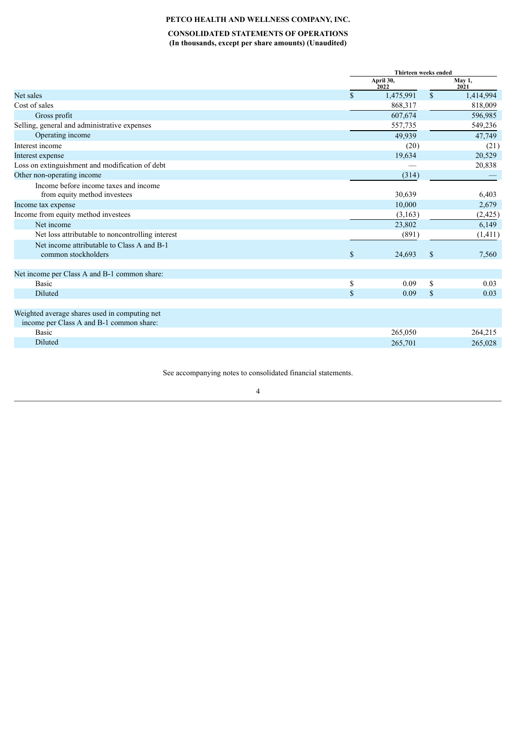### **CONSOLIDATED STATEMENTS OF OPERATIONS (In thousands, except per share amounts) (Unaudited)**

<span id="page-4-0"></span>

|                                                          |             | Thirteen weeks ended |             |                   |  |  |
|----------------------------------------------------------|-------------|----------------------|-------------|-------------------|--|--|
|                                                          |             | April 30,<br>2022    |             |                   |  |  |
| Net sales                                                | $\mathbf S$ | 1,475,991            | $\mathbf S$ | 2021<br>1,414,994 |  |  |
| Cost of sales                                            |             | 868,317              |             | 818,009           |  |  |
| Gross profit                                             |             | 607,674              |             | 596,985           |  |  |
| Selling, general and administrative expenses             |             | 557,735              |             | 549,236           |  |  |
| Operating income                                         |             | 49,939               |             | 47,749            |  |  |
| Interest income                                          |             | (20)                 |             | (21)              |  |  |
| Interest expense                                         |             | 19,634               |             | 20,529            |  |  |
| Loss on extinguishment and modification of debt          |             |                      |             | 20,838            |  |  |
| Other non-operating income                               |             | (314)                |             |                   |  |  |
| Income before income taxes and income                    |             |                      |             |                   |  |  |
| from equity method investees                             |             | 30,639               |             | 6,403             |  |  |
| Income tax expense                                       |             | 10.000               |             | 2,679             |  |  |
| Income from equity method investees                      |             | (3,163)              |             | (2, 425)          |  |  |
| Net income                                               |             | 23,802               |             | 6,149             |  |  |
| Net loss attributable to noncontrolling interest         |             | (891)                |             | (1, 411)          |  |  |
| Net income attributable to Class A and B-1               |             |                      |             |                   |  |  |
| common stockholders                                      | \$          | 24,693               | \$          | 7,560             |  |  |
| Net income per Class A and B-1 common share:             |             |                      |             |                   |  |  |
| <b>Basic</b>                                             | \$          | 0.09                 | \$          | 0.03              |  |  |
| Diluted                                                  | \$          | 0.09                 | \$          | 0.03              |  |  |
|                                                          |             |                      |             |                   |  |  |
| Weighted average shares used in computing net            |             |                      |             |                   |  |  |
| income per Class A and B-1 common share:<br><b>Basic</b> |             |                      |             |                   |  |  |
|                                                          |             | 265,050              |             | 264,215           |  |  |
| Diluted                                                  |             | 265,701              |             | 265,028           |  |  |

See accompanying notes to consolidated financial statements.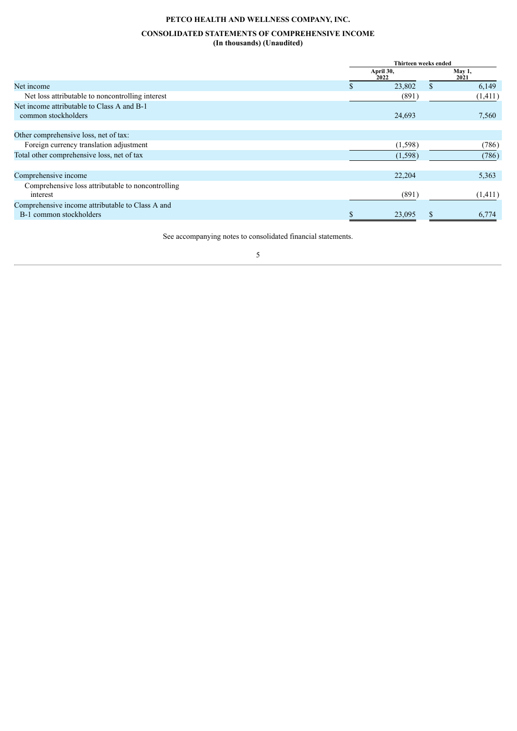### **CONSOLIDATED STATEMENTS OF COMPREHENSIVE INCOME (In thousands) (Unaudited)**

<span id="page-5-0"></span>

|                                                                             | Thirteen weeks ended |          |  |                |  |
|-----------------------------------------------------------------------------|----------------------|----------|--|----------------|--|
|                                                                             | April 30,<br>2022    |          |  | May 1,<br>2021 |  |
| Net income                                                                  |                      | 23,802   |  | 6,149          |  |
| Net loss attributable to noncontrolling interest                            |                      | (891)    |  | (1,411)        |  |
| Net income attributable to Class A and B-1<br>common stockholders           |                      | 24,693   |  | 7,560          |  |
| Other comprehensive loss, net of tax:                                       |                      |          |  |                |  |
| Foreign currency translation adjustment                                     |                      | (1,598)  |  | (786)          |  |
| Total other comprehensive loss, net of tax                                  |                      | (1, 598) |  | (786)          |  |
| Comprehensive income                                                        |                      | 22,204   |  | 5,363          |  |
| Comprehensive loss attributable to noncontrolling<br>interest               |                      | (891)    |  | (1,411)        |  |
| Comprehensive income attributable to Class A and<br>B-1 common stockholders | \$                   | 23,095   |  | 6,774          |  |

See accompanying notes to consolidated financial statements.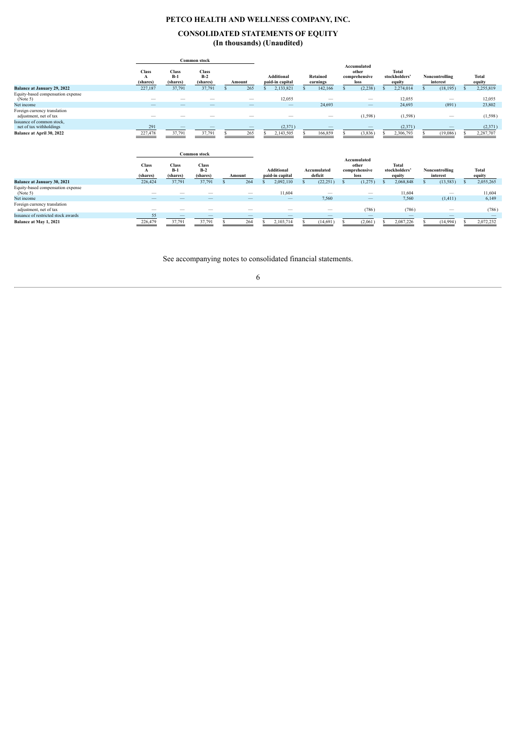### **CONSOLIDATED STATEMENTS OF EQUITY (In thousands) (Unaudited)**

<span id="page-6-0"></span>

|                                                        | <b>Common stock</b>           |                                   |                                   |        |     |                                      |                             |              |                                               |                                         |                            |   |                        |
|--------------------------------------------------------|-------------------------------|-----------------------------------|-----------------------------------|--------|-----|--------------------------------------|-----------------------------|--------------|-----------------------------------------------|-----------------------------------------|----------------------------|---|------------------------|
|                                                        | <b>Class</b><br>A<br>(shares) | <b>Class</b><br>$B-1$<br>(shares) | <b>Class</b><br>$B-2$<br>(shares) | Amount |     | <b>Additional</b><br>paid-in capital | <b>Retained</b><br>earnings |              | Accumulated<br>other<br>comprehensive<br>loss | <b>Total</b><br>stockholders'<br>equity | Noncontrolling<br>interest |   | <b>Total</b><br>equity |
| <b>Balance at January 29, 2022</b>                     | 227,187                       | 37,791                            | 37,791                            |        | 265 | 2,133,821                            | 142,166                     | <sup>S</sup> | (2, 238)                                      | 2,274,014                               | (18, 195)                  | S | 2,255,819              |
| Equity-based compensation expense<br>(Note 5)          |                               |                                   |                                   |        |     | 12,055                               | -                           |              |                                               | 12,055                                  |                            |   | 12,055                 |
| Net income                                             |                               |                                   |                                   |        |     | $\overline{\phantom{m}}$             | 24,693                      |              | $\qquad \qquad -$                             | 24,693                                  | (891)                      |   | 23,802                 |
| Foreign currency translation<br>adjustment, net of tax |                               |                                   |                                   |        |     |                                      | -                           |              | (1,598)                                       | (1,598)                                 | —                          |   | (1, 598)               |
| Issuance of common stock,<br>net of tax withholdings   | 291                           |                                   |                                   |        |     | (2, 371)                             |                             |              |                                               | (2,371)                                 |                            |   | (2,371)                |
| Balance at April 30, 2022                              | 227,478                       | 37,791                            | 37,791                            |        | 265 | 2,143,505                            | 166,859                     |              | (3, 836)                                      | 2,306,793                               | (19,086)                   |   | 2,287,707              |
|                                                        |                               |                                   | <b>Common stock</b>               |        |     |                                      |                             |              |                                               |                                         |                            |   |                        |
|                                                        | <b>Class</b><br>A<br>(shares) | Class<br>$B-1$<br>(shares)        | <b>Class</b><br>$B-2$<br>(shares) | Amount |     | <b>Additional</b><br>paid-in capital | Accumulated<br>deficit      |              | Accumulated<br>other<br>comprehensive<br>loss | <b>Total</b><br>stockholders'<br>equity | Noncontrolling<br>interest |   | <b>Total</b><br>equity |
| <b>Balance at January 30, 2021</b>                     | 226,424                       | 37,791                            | 37,791                            |        | 264 | 2,092,110                            | (22, 251)                   |              | (1,275)                                       | 2,068,848                               | (13, 583)                  |   | 2,055,265              |
| Equity-based compensation expense<br>(Note 5)          |                               |                                   |                                   |        | -   | 11,604                               |                             |              | $\qquad \qquad$                               | 11,604                                  |                            |   | 11,604                 |
| Net income                                             |                               |                                   |                                   |        |     |                                      |                             |              |                                               | 7,560                                   |                            |   | 6,149                  |
|                                                        |                               | --                                |                                   |        |     | $\hspace{0.1mm}-\hspace{0.1mm}$      | 7,560                       |              | $\qquad \qquad \longleftarrow$                |                                         | (1, 411)                   |   |                        |
| Foreign currency translation<br>adjustment, net of tax |                               |                                   |                                   |        |     |                                      | $\overline{\phantom{0}}$    |              | (786)                                         | (786)                                   |                            |   | (786)                  |
| Issuance of restricted stock awards                    | 55                            | –                                 |                                   |        | _   | _                                    |                             |              | $\overline{\phantom{a}}$                      | –                                       | $\overline{\phantom{0}}$   |   | $\sim$                 |

See accompanying notes to consolidated financial statements.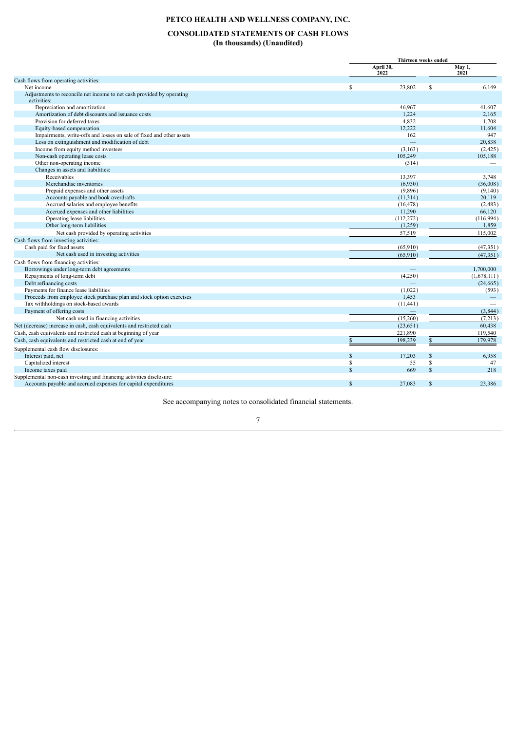### **CONSOLIDATED STATEMENTS OF CASH FLOWS (In thousands) (Unaudited)**

<span id="page-7-0"></span>

|                                                                                      |                    | Thirteen weeks ended     |    |                |
|--------------------------------------------------------------------------------------|--------------------|--------------------------|----|----------------|
|                                                                                      |                    | April 30,<br>2022        |    | May 1,<br>2021 |
| Cash flows from operating activities:                                                |                    |                          |    |                |
| Net income                                                                           | \$                 | 23,802                   | \$ | 6,149          |
| Adjustments to reconcile net income to net cash provided by operating<br>activities: |                    |                          |    |                |
| Depreciation and amortization                                                        |                    | 46,967                   |    | 41,607         |
| Amortization of debt discounts and issuance costs                                    |                    | 1,224                    |    | 2,165          |
| Provision for deferred taxes                                                         |                    | 4,832                    |    | 1.708          |
| Equity-based compensation                                                            |                    | 12,222                   |    | 11,604         |
| Impairments, write-offs and losses on sale of fixed and other assets                 |                    | 162                      |    | 947            |
| Loss on extinguishment and modification of debt                                      |                    |                          |    | 20,838         |
| Income from equity method investees                                                  |                    | (3,163)                  |    | (2, 425)       |
| Non-cash operating lease costs                                                       |                    | 105,249                  |    | 105,188        |
| Other non-operating income                                                           |                    | (314)                    |    |                |
| Changes in assets and liabilities:                                                   |                    |                          |    |                |
| Receivables                                                                          |                    | 13,397                   |    | 3,748          |
| Merchandise inventories                                                              |                    | (6,930)                  |    | (36,008)       |
| Prepaid expenses and other assets                                                    |                    | (9,896)                  |    | (9,140)        |
| Accounts payable and book overdrafts                                                 |                    | (11, 314)                |    | 20,119         |
| Accrued salaries and employee benefits                                               |                    | (16, 478)                |    | (2,483)        |
| Accrued expenses and other liabilities                                               |                    | 11,290                   |    | 66,120         |
| Operating lease liabilities                                                          |                    | (112, 272)               |    | (116,994)      |
| Other long-term liabilities                                                          |                    | (1,259)                  |    | 1,859          |
| Net cash provided by operating activities                                            |                    | 57,519                   |    | 115,002        |
| Cash flows from investing activities:                                                |                    |                          |    |                |
| Cash paid for fixed assets                                                           |                    | (65,910)                 |    | (47, 351)      |
| Net cash used in investing activities                                                |                    | (65,910)                 |    | (47, 351)      |
| Cash flows from financing activities:                                                |                    |                          |    |                |
| Borrowings under long-term debt agreements                                           |                    |                          |    | 1,700,000      |
| Repayments of long-term debt                                                         |                    | (4,250)                  |    | (1,678,111)    |
| Debt refinancing costs                                                               |                    |                          |    | (24, 665)      |
| Payments for finance lease liabilities                                               |                    | (1,022)                  |    | (593)          |
| Proceeds from employee stock purchase plan and stock option exercises                |                    | 1,453                    |    |                |
| Tax withholdings on stock-based awards                                               |                    | (11, 441)                |    |                |
| Payment of offering costs                                                            |                    | $\overline{\phantom{m}}$ |    | (3,844)        |
| Net cash used in financing activities                                                |                    | (15,260)                 |    | (7,213)        |
| Net (decrease) increase in cash, cash equivalents and restricted cash                |                    | (23,651)                 |    | 60,438         |
| Cash, cash equivalents and restricted cash at beginning of year                      |                    | 221,890                  |    | 119,540        |
| Cash, cash equivalents and restricted cash at end of year                            |                    | 198,239                  | \$ | 179,978        |
| Supplemental cash flow disclosures:                                                  |                    |                          |    |                |
| Interest paid, net                                                                   | $\mathcal{S}$      | 17,203                   | \$ | 6,958          |
| Capitalized interest                                                                 | S                  | 55                       | \$ | 47             |
| Income taxes paid                                                                    | $\mathbf{\hat{S}}$ | 669                      | \$ | 218            |
| Supplemental non-cash investing and financing activities disclosure:                 |                    |                          |    |                |
| Accounts payable and accrued expenses for capital expenditures                       | \$                 | 27.083                   | \$ | 23.386         |
|                                                                                      |                    |                          |    |                |

See accompanying notes to consolidated financial statements.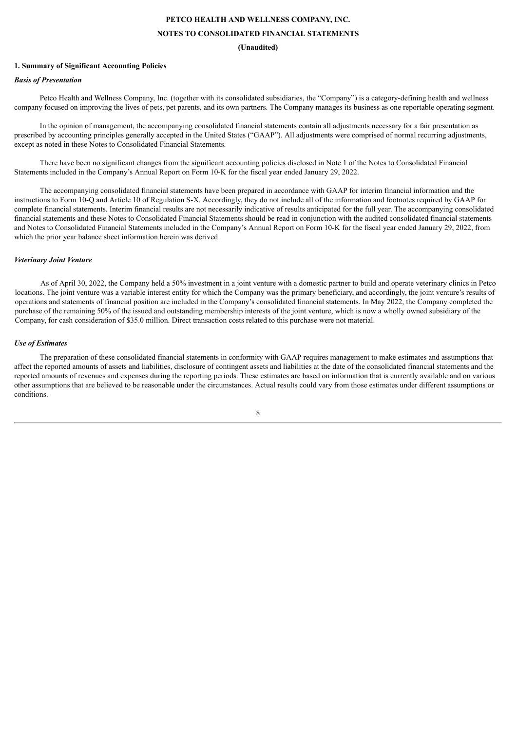### **NOTES TO CONSOLIDATED FINANCIAL STATEMENTS**

### **(Unaudited)**

### <span id="page-8-0"></span>**1. Summary of Significant Accounting Policies**

### *Basis of Presentation*

Petco Health and Wellness Company, Inc. (together with its consolidated subsidiaries, the "Company") is a category-defining health and wellness company focused on improving the lives of pets, pet parents, and its own partners. The Company manages its business as one reportable operating segment.

In the opinion of management, the accompanying consolidated financial statements contain all adjustments necessary for a fair presentation as prescribed by accounting principles generally accepted in the United States ("GAAP"). All adjustments were comprised of normal recurring adjustments, except as noted in these Notes to Consolidated Financial Statements.

There have been no significant changes from the significant accounting policies disclosed in Note 1 of the Notes to Consolidated Financial Statements included in the Company's Annual Report on Form 10-K for the fiscal year ended January 29, 2022.

The accompanying consolidated financial statements have been prepared in accordance with GAAP for interim financial information and the instructions to Form 10-Q and Article 10 of Regulation S-X. Accordingly, they do not include all of the information and footnotes required by GAAP for complete financial statements. Interim financial results are not necessarily indicative of results anticipated for the full year. The accompanying consolidated financial statements and these Notes to Consolidated Financial Statements should be read in conjunction with the audited consolidated financial statements and Notes to Consolidated Financial Statements included in the Company's Annual Report on Form 10-K for the fiscal year ended January 29, 2022, from which the prior year balance sheet information herein was derived.

#### *Veterinary Joint Venture*

As of April 30, 2022, the Company held a 50% investment in a joint venture with a domestic partner to build and operate veterinary clinics in Petco locations. The joint venture was a variable interest entity for which the Company was the primary beneficiary, and accordingly, the joint venture's results of operations and statements of financial position are included in the Company's consolidated financial statements. In May 2022, the Company completed the purchase of the remaining 50% of the issued and outstanding membership interests of the joint venture, which is now a wholly owned subsidiary of the Company, for cash consideration of \$35.0 million. Direct transaction costs related to this purchase were not material.

#### *Use of Estimates*

The preparation of these consolidated financial statements in conformity with GAAP requires management to make estimates and assumptions that affect the reported amounts of assets and liabilities, disclosure of contingent assets and liabilities at the date of the consolidated financial statements and the reported amounts of revenues and expenses during the reporting periods. These estimates are based on information that is currently available and on various other assumptions that are believed to be reasonable under the circumstances. Actual results could vary from those estimates under different assumptions or conditions.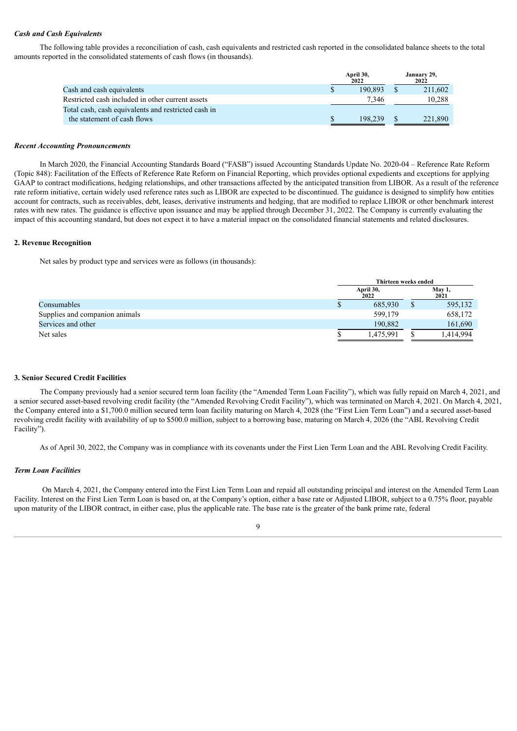### *Cash and Cash Equivalents*

The following table provides a reconciliation of cash, cash equivalents and restricted cash reported in the consolidated balance sheets to the total amounts reported in the consolidated statements of cash flows (in thousands).

|                                                     | April 30,<br>2022 |         |  | January 29,<br>2022 |
|-----------------------------------------------------|-------------------|---------|--|---------------------|
| Cash and cash equivalents                           |                   | 190.893 |  | 211.602             |
| Restricted cash included in other current assets    |                   | 7.346   |  | 10.288              |
| Total cash, cash equivalents and restricted cash in |                   |         |  |                     |
| the statement of cash flows                         |                   | 198.239 |  | 221.890             |

### *Recent Accounting Pronouncements*

In March 2020, the Financial Accounting Standards Board ("FASB") issued Accounting Standards Update No. 2020-04 – Reference Rate Reform (Topic 848): Facilitation of the Effects of Reference Rate Reform on Financial Reporting, which provides optional expedients and exceptions for applying GAAP to contract modifications, hedging relationships, and other transactions affected by the anticipated transition from LIBOR. As a result of the reference rate reform initiative, certain widely used reference rates such as LIBOR are expected to be discontinued. The guidance is designed to simplify how entities account for contracts, such as receivables, debt, leases, derivative instruments and hedging, that are modified to replace LIBOR or other benchmark interest rates with new rates. The guidance is effective upon issuance and may be applied through December 31, 2022. The Company is currently evaluating the impact of this accounting standard, but does not expect it to have a material impact on the consolidated financial statements and related disclosures.

### **2. Revenue Recognition**

Net sales by product type and services were as follows (in thousands):

| Thirteen weeks ended |                   |  |                |  |  |  |
|----------------------|-------------------|--|----------------|--|--|--|
|                      | April 30,<br>2022 |  | May 1.<br>2021 |  |  |  |
|                      | 685,930           |  | 595,132        |  |  |  |
|                      | 599,179           |  | 658,172        |  |  |  |
|                      | 190.882           |  | 161,690        |  |  |  |
|                      | 1.475.991         |  | 414,994        |  |  |  |
|                      |                   |  |                |  |  |  |

#### **3. Senior Secured Credit Facilities**

The Company previously had a senior secured term loan facility (the "Amended Term Loan Facility"), which was fully repaid on March 4, 2021, and a senior secured asset-based revolving credit facility (the "Amended Revolving Credit Facility"), which was terminated on March 4, 2021. On March 4, 2021, the Company entered into a \$1,700.0 million secured term loan facility maturing on March 4, 2028 (the "First Lien Term Loan") and a secured asset-based revolving credit facility with availability of up to \$500.0 million, subject to a borrowing base, maturing on March 4, 2026 (the "ABL Revolving Credit Facility").

As of April 30, 2022, the Company was in compliance with its covenants under the First Lien Term Loan and the ABL Revolving Credit Facility.

#### *Term Loan Facilities*

On March 4, 2021, the Company entered into the First Lien Term Loan and repaid all outstanding principal and interest on the Amended Term Loan Facility. Interest on the First Lien Term Loan is based on, at the Company's option, either a base rate or Adjusted LIBOR, subject to a 0.75% floor, payable upon maturity of the LIBOR contract, in either case, plus the applicable rate. The base rate is the greater of the bank prime rate, federal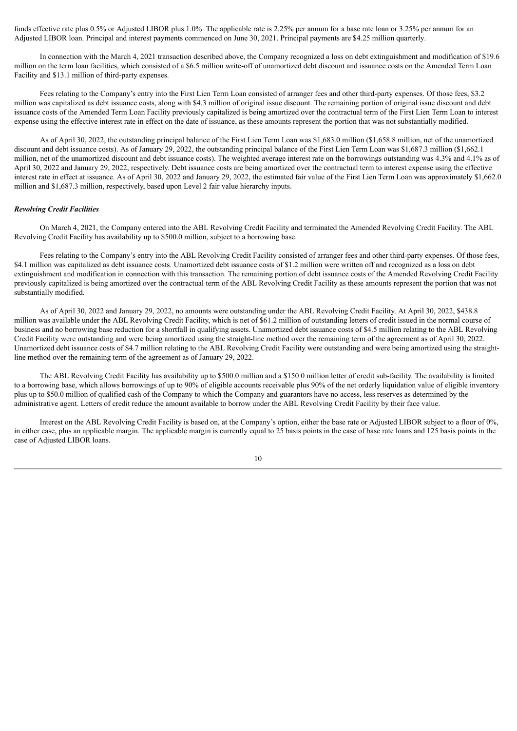funds effective rate plus 0.5% or Adjusted LIBOR plus 1.0%. The applicable rate is 2.25% per annum for a base rate loan or 3.25% per annum for an Adjusted LIBOR loan. Principal and interest payments commenced on June 30, 2021. Principal payments are \$4.25 million quarterly.

In connection with the March 4, 2021 transaction described above, the Company recognized a loss on debt extinguishment and modification of \$19.6 million on the term loan facilities, which consisted of a \$6.5 million write-off of unamortized debt discount and issuance costs on the Amended Term Loan Facility and \$13.1 million of third-party expenses.

Fees relating to the Company's entry into the First Lien Term Loan consisted of arranger fees and other third-party expenses. Of those fees, \$3.2 million was capitalized as debt issuance costs, along with \$4.3 million of original issue discount. The remaining portion of original issue discount and debt issuance costs of the Amended Term Loan Facility previously capitalized is being amortized over the contractual term of the First Lien Term Loan to interest expense using the effective interest rate in effect on the date of issuance, as these amounts represent the portion that was not substantially modified.

As of April 30, 2022, the outstanding principal balance of the First Lien Term Loan was \$1,683.0 million (\$1,658.8 million, net of the unamortized discount and debt issuance costs). As of January 29, 2022, the outstanding principal balance of the First Lien Term Loan was \$1,687.3 million (\$1,662.1 million, net of the unamortized discount and debt issuance costs). The weighted average interest rate on the borrowings outstanding was 4.3% and 4.1% as of April 30, 2022 and January 29, 2022, respectively. Debt issuance costs are being amortized over the contractual term to interest expense using the effective interest rate in effect at issuance. As of April 30, 2022 and January 29, 2022, the estimated fair value of the First Lien Term Loan was approximately \$1,662.0 million and \$1,687.3 million, respectively, based upon Level 2 fair value hierarchy inputs.

#### *Revolving Credit Facilities*

On March 4, 2021, the Company entered into the ABL Revolving Credit Facility and terminated the Amended Revolving Credit Facility. The ABL Revolving Credit Facility has availability up to \$500.0 million, subject to a borrowing base.

Fees relating to the Company's entry into the ABL Revolving Credit Facility consisted of arranger fees and other third-party expenses. Of those fees, \$4.1 million was capitalized as debt issuance costs. Unamortized debt issuance costs of \$1.2 million were written off and recognized as a loss on debt extinguishment and modification in connection with this transaction. The remaining portion of debt issuance costs of the Amended Revolving Credit Facility previously capitalized is being amortized over the contractual term of the ABL Revolving Credit Facility as these amounts represent the portion that was not substantially modified.

As of April 30, 2022 and January 29, 2022, no amounts were outstanding under the ABL Revolving Credit Facility. At April 30, 2022, \$438.8 million was available under the ABL Revolving Credit Facility, which is net of \$61.2 million of outstanding letters of credit issued in the normal course of business and no borrowing base reduction for a shortfall in qualifying assets. Unamortized debt issuance costs of \$4.5 million relating to the ABL Revolving Credit Facility were outstanding and were being amortized using the straight-line method over the remaining term of the agreement as of April 30, 2022. Unamortized debt issuance costs of \$4.7 million relating to the ABL Revolving Credit Facility were outstanding and were being amortized using the straightline method over the remaining term of the agreement as of January 29, 2022.

The ABL Revolving Credit Facility has availability up to \$500.0 million and a \$150.0 million letter of credit sub-facility. The availability is limited to a borrowing base, which allows borrowings of up to 90% of eligible accounts receivable plus 90% of the net orderly liquidation value of eligible inventory plus up to \$50.0 million of qualified cash of the Company to which the Company and guarantors have no access, less reserves as determined by the administrative agent. Letters of credit reduce the amount available to borrow under the ABL Revolving Credit Facility by their face value.

Interest on the ABL Revolving Credit Facility is based on, at the Company's option, either the base rate or Adjusted LIBOR subject to a floor of 0%, in either case, plus an applicable margin. The applicable margin is currently equal to 25 basis points in the case of base rate loans and 125 basis points in the case of Adjusted LIBOR loans.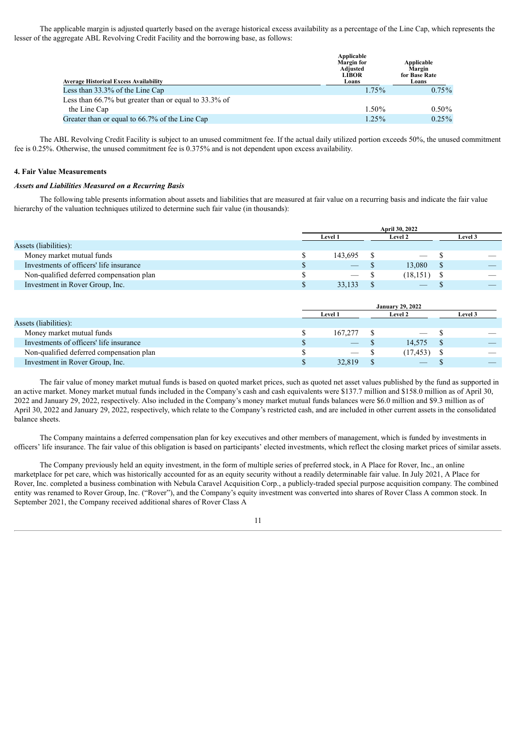The applicable margin is adjusted quarterly based on the average historical excess availability as a percentage of the Line Cap, which represents the lesser of the aggregate ABL Revolving Credit Facility and the borrowing base, as follows:

|                                                          | Applicable<br><b>Margin</b> for<br>Adjusted<br><b>LIBOR</b> | Applicable<br>Margin<br>for Base Rate |
|----------------------------------------------------------|-------------------------------------------------------------|---------------------------------------|
| <b>Average Historical Excess Availability</b>            | Loans                                                       | Loans                                 |
| Less than $33.3\%$ of the Line Cap                       | 1.75%                                                       | $0.75\%$                              |
| Less than 66.7% but greater than or equal to $33.3\%$ of |                                                             |                                       |
| the Line Cap                                             | $1.50\%$                                                    | $0.50\%$                              |
| Greater than or equal to 66.7% of the Line Cap           | 1.25%                                                       | $0.25\%$                              |

The ABL Revolving Credit Facility is subject to an unused commitment fee. If the actual daily utilized portion exceeds 50%, the unused commitment fee is 0.25%. Otherwise, the unused commitment fee is 0.375% and is not dependent upon excess availability.

#### **4. Fair Value Measurements**

### *Assets and Liabilities Measured on a Recurring Basis*

The following table presents information about assets and liabilities that are measured at fair value on a recurring basis and indicate the fair value hierarchy of the valuation techniques utilized to determine such fair value (in thousands):

|                                          | <b>April 30, 2022</b> |                                 |  |                   |  |                |  |  |
|------------------------------------------|-----------------------|---------------------------------|--|-------------------|--|----------------|--|--|
|                                          | <b>Level 1</b>        |                                 |  | <b>Level 2</b>    |  | <b>Level 3</b> |  |  |
| Assets (liabilities):                    |                       |                                 |  |                   |  |                |  |  |
| Money market mutual funds                |                       | 143.695                         |  | $\hspace{0.05cm}$ |  |                |  |  |
| Investments of officers' life insurance  |                       | $\hspace{0.1mm}-\hspace{0.1mm}$ |  | 13.080            |  |                |  |  |
| Non-qualified deferred compensation plan |                       | $\hspace{0.05cm}$               |  | (18, 151)         |  |                |  |  |
| Investment in Rover Group, Inc.          |                       | 33,133                          |  |                   |  |                |  |  |

|                                          | <b>January 29, 2022</b> |                          |  |           |  |                |
|------------------------------------------|-------------------------|--------------------------|--|-----------|--|----------------|
|                                          |                         | <b>Level 1</b>           |  | Level 2   |  | <b>Level 3</b> |
| Assets (liabilities):                    |                         |                          |  |           |  |                |
| Money market mutual funds                |                         | 167.277                  |  |           |  |                |
| Investments of officers' life insurance  |                         |                          |  | 14.575    |  |                |
| Non-qualified deferred compensation plan |                         | $\overline{\phantom{a}}$ |  | (17, 453) |  |                |
| Investment in Rover Group, Inc.          |                         | 32.819                   |  |           |  |                |

The fair value of money market mutual funds is based on quoted market prices, such as quoted net asset values published by the fund as supported in an active market. Money market mutual funds included in the Company's cash and cash equivalents were \$137.7 million and \$158.0 million as of April 30, 2022 and January 29, 2022, respectively. Also included in the Company's money market mutual funds balances were \$6.0 million and \$9.3 million as of April 30, 2022 and January 29, 2022, respectively, which relate to the Company's restricted cash, and are included in other current assets in the consolidated balance sheets.

The Company maintains a deferred compensation plan for key executives and other members of management, which is funded by investments in officers' life insurance. The fair value of this obligation is based on participants' elected investments, which reflect the closing market prices of similar assets.

The Company previously held an equity investment, in the form of multiple series of preferred stock, in A Place for Rover, Inc., an online marketplace for pet care, which was historically accounted for as an equity security without a readily determinable fair value. In July 2021, A Place for Rover, Inc. completed a business combination with Nebula Caravel Acquisition Corp., a publicly-traded special purpose acquisition company. The combined entity was renamed to Rover Group, Inc. ("Rover"), and the Company's equity investment was converted into shares of Rover Class A common stock. In September 2021, the Company received additional shares of Rover Class A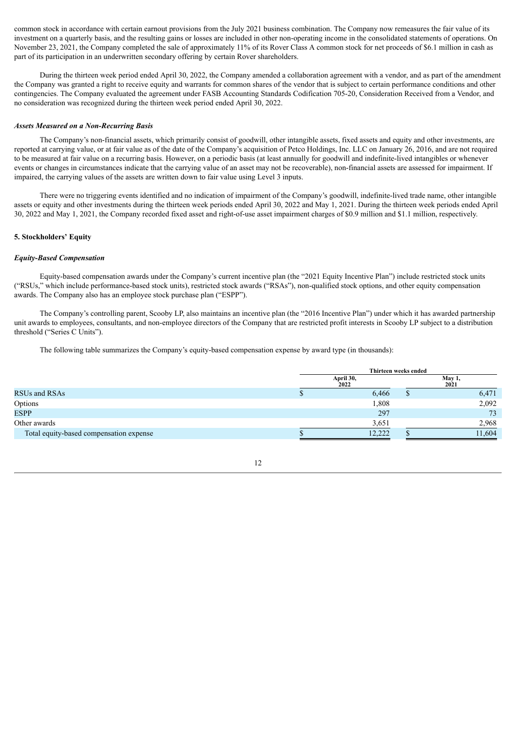common stock in accordance with certain earnout provisions from the July 2021 business combination. The Company now remeasures the fair value of its investment on a quarterly basis, and the resulting gains or losses are included in other non-operating income in the consolidated statements of operations. On November 23, 2021, the Company completed the sale of approximately 11% of its Rover Class A common stock for net proceeds of \$6.1 million in cash as part of its participation in an underwritten secondary offering by certain Rover shareholders.

During the thirteen week period ended April 30, 2022, the Company amended a collaboration agreement with a vendor, and as part of the amendment the Company was granted a right to receive equity and warrants for common shares of the vendor that is subject to certain performance conditions and other contingencies. The Company evaluated the agreement under FASB Accounting Standards Codification 705-20, Consideration Received from a Vendor, and no consideration was recognized during the thirteen week period ended April 30, 2022.

#### *Assets Measured on a Non-Recurring Basis*

The Company's non-financial assets, which primarily consist of goodwill, other intangible assets, fixed assets and equity and other investments, are reported at carrying value, or at fair value as of the date of the Company's acquisition of Petco Holdings, Inc. LLC on January 26, 2016, and are not required to be measured at fair value on a recurring basis. However, on a periodic basis (at least annually for goodwill and indefinite-lived intangibles or whenever events or changes in circumstances indicate that the carrying value of an asset may not be recoverable), non-financial assets are assessed for impairment. If impaired, the carrying values of the assets are written down to fair value using Level 3 inputs.

There were no triggering events identified and no indication of impairment of the Company's goodwill, indefinite-lived trade name, other intangible assets or equity and other investments during the thirteen week periods ended April 30, 2022 and May 1, 2021. During the thirteen week periods ended April 30, 2022 and May 1, 2021, the Company recorded fixed asset and right-of-use asset impairment charges of \$0.9 million and \$1.1 million, respectively.

### **5. Stockholders' Equity**

#### *Equity-Based Compensation*

Equity-based compensation awards under the Company's current incentive plan (the "2021 Equity Incentive Plan") include restricted stock units ("RSUs," which include performance-based stock units), restricted stock awards ("RSAs"), non-qualified stock options, and other equity compensation awards. The Company also has an employee stock purchase plan ("ESPP").

The Company's controlling parent, Scooby LP, also maintains an incentive plan (the "2016 Incentive Plan") under which it has awarded partnership unit awards to employees, consultants, and non-employee directors of the Company that are restricted profit interests in Scooby LP subject to a distribution threshold ("Series C Units").

The following table summarizes the Company's equity-based compensation expense by award type (in thousands):

|                                         | Thirteen weeks ended |  |        |  |  |
|-----------------------------------------|----------------------|--|--------|--|--|
|                                         | April 30,<br>2022    |  |        |  |  |
| RSUs and RSAs                           | 6,466                |  | 6,471  |  |  |
| Options                                 | 1,808                |  | 2,092  |  |  |
| <b>ESPP</b>                             | 297                  |  | 73     |  |  |
| Other awards                            | 3,651                |  | 2,968  |  |  |
| Total equity-based compensation expense | 12.222               |  | 11,604 |  |  |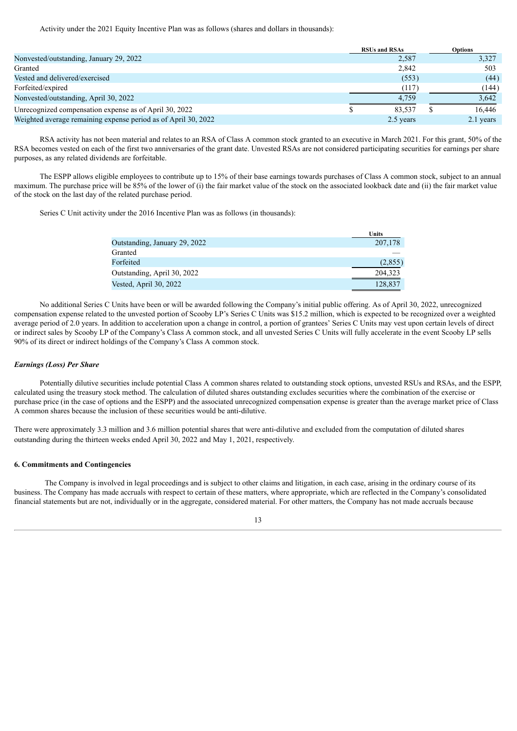Activity under the 2021 Equity Incentive Plan was as follows (shares and dollars in thousands):

|                                                                | <b>RSUs and RSAs</b> |           | Options   |
|----------------------------------------------------------------|----------------------|-----------|-----------|
| Nonvested/outstanding, January 29, 2022                        |                      | 2,587     | 3,327     |
| Granted                                                        |                      | 2,842     | 503       |
| Vested and delivered/exercised                                 |                      | (553)     | (44)      |
| Forfeited/expired                                              |                      | (117)     | (144)     |
| Nonvested/outstanding, April 30, 2022                          |                      | 4.759     | 3,642     |
| Unrecognized compensation expense as of April 30, 2022         |                      | 83,537    | 16,446    |
| Weighted average remaining expense period as of April 30, 2022 |                      | 2.5 years | 2.1 years |

RSA activity has not been material and relates to an RSA of Class A common stock granted to an executive in March 2021. For this grant, 50% of the RSA becomes vested on each of the first two anniversaries of the grant date. Unvested RSAs are not considered participating securities for earnings per share purposes, as any related dividends are forfeitable.

The ESPP allows eligible employees to contribute up to 15% of their base earnings towards purchases of Class A common stock, subject to an annual maximum. The purchase price will be 85% of the lower of (i) the fair market value of the stock on the associated lookback date and (ii) the fair market value of the stock on the last day of the related purchase period.

Series C Unit activity under the 2016 Incentive Plan was as follows (in thousands):

|                               | Units   |
|-------------------------------|---------|
| Outstanding, January 29, 2022 | 207,178 |
| Granted                       |         |
| Forfeited                     | (2,855) |
| Outstanding, April 30, 2022   | 204,323 |
| Vested, April 30, 2022        | 128,837 |

No additional Series C Units have been or will be awarded following the Company's initial public offering. As of April 30, 2022, unrecognized compensation expense related to the unvested portion of Scooby LP's Series C Units was \$15.2 million, which is expected to be recognized over a weighted average period of 2.0 years. In addition to acceleration upon a change in control, a portion of grantees' Series C Units may vest upon certain levels of direct or indirect sales by Scooby LP of the Company's Class A common stock, and all unvested Series C Units will fully accelerate in the event Scooby LP sells 90% of its direct or indirect holdings of the Company's Class A common stock.

### *Earnings (Loss) Per Share*

Potentially dilutive securities include potential Class A common shares related to outstanding stock options, unvested RSUs and RSAs, and the ESPP, calculated using the treasury stock method. The calculation of diluted shares outstanding excludes securities where the combination of the exercise or purchase price (in the case of options and the ESPP) and the associated unrecognized compensation expense is greater than the average market price of Class A common shares because the inclusion of these securities would be anti-dilutive.

There were approximately 3.3 million and 3.6 million potential shares that were anti-dilutive and excluded from the computation of diluted shares outstanding during the thirteen weeks ended April 30, 2022 and May 1, 2021, respectively.

#### **6. Commitments and Contingencies**

The Company is involved in legal proceedings and is subject to other claims and litigation, in each case, arising in the ordinary course of its business. The Company has made accruals with respect to certain of these matters, where appropriate, which are reflected in the Company's consolidated financial statements but are not, individually or in the aggregate, considered material. For other matters, the Company has not made accruals because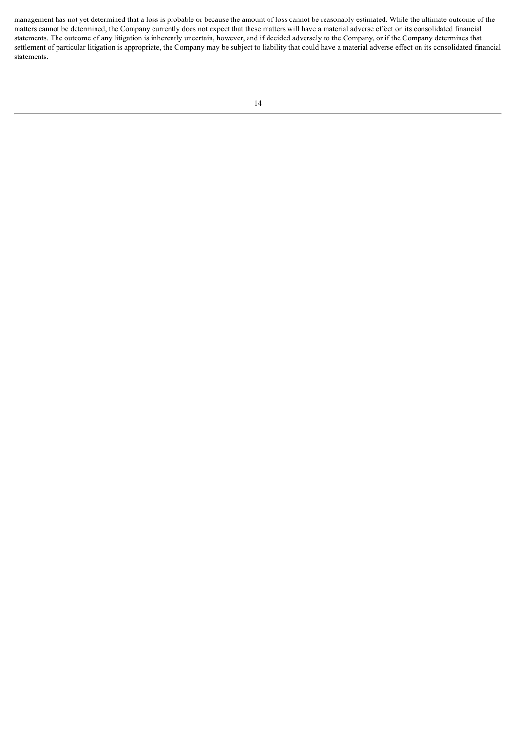management has not yet determined that a loss is probable or because the amount of loss cannot be reasonably estimated. While the ultimate outcome of the matters cannot be determined, the Company currently does not expect that these matters will have a material adverse effect on its consolidated financial statements. The outcome of any litigation is inherently uncertain, however, and if decided adversely to the Company, or if the Company determines that settlement of particular litigation is appropriate, the Company may be subject to liability that could have a material adverse effect on its consolidated financial statements.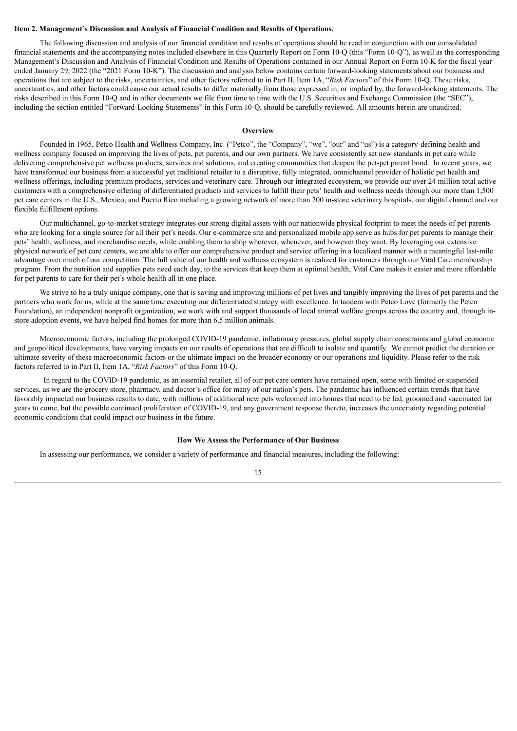#### <span id="page-15-0"></span>**Item 2. Management's Discussion and Analysis of Financial Condition and Results of Operations.**

The following discussion and analysis of our financial condition and results of operations should be read in conjunction with our consolidated financial statements and the accompanying notes included elsewhere in this Quarterly Report on Form 10-Q (this "Form 10-Q"), as well as the corresponding Management's Discussion and Analysis of Financial Condition and Results of Operations contained in our Annual Report on Form 10-K for the fiscal year ended January 29, 2022 (the "2021 Form 10-K"). The discussion and analysis below contains certain forward-looking statements about our business and operations that are subject to the risks, uncertainties, and other factors referred to in Part II, Item 1A, "*Risk Factors*" of this Form 10-Q. These risks, uncertainties, and other factors could cause our actual results to differ materially from those expressed in, or implied by, the forward-looking statements. The risks described in this Form 10-Q and in other documents we file from time to time with the U.S. Securities and Exchange Commission (the "SEC"), including the section entitled "Forward-Looking Statements" in this Form 10-Q, should be carefully reviewed. All amounts herein are unaudited.

#### **Overview**

Founded in 1965, Petco Health and Wellness Company, Inc. ("Petco", the "Company", "we", "our" and "us") is a category-defining health and wellness company focused on improving the lives of pets, pet parents, and our own partners. We have consistently set new standards in pet care while delivering comprehensive pet wellness products, services and solutions, and creating communities that deepen the pet-pet parent bond. In recent years, we have transformed our business from a successful yet traditional retailer to a disruptive, fully integrated, omnichannel provider of holistic pet health and wellness offerings, including premium products, services and veterinary care. Through our integrated ecosystem, we provide our over 24 million total active customers with a comprehensive offering of differentiated products and services to fulfill their pets' health and wellness needs through our more than 1,500 pet care centers in the U.S., Mexico, and Puerto Rico including a growing network of more than 200 in-store veterinary hospitals, our digital channel and our flexible fulfillment options.

Our multichannel, go-to-market strategy integrates our strong digital assets with our nationwide physical footprint to meet the needs of pet parents who are looking for a single source for all their pet's needs. Our e-commerce site and personalized mobile app serve as hubs for pet parents to manage their pets' health, wellness, and merchandise needs, while enabling them to shop wherever, whenever, and however they want. By leveraging our extensive physical network of pet care centers, we are able to offer our comprehensive product and service offering in a localized manner with a meaningful last-mile advantage over much of our competition. The full value of our health and wellness ecosystem is realized for customers through our Vital Care membership program. From the nutrition and supplies pets need each day, to the services that keep them at optimal health, Vital Care makes it easier and more affordable for pet parents to care for their pet's whole health all in one place.

We strive to be a truly unique company, one that is saving and improving millions of pet lives and tangibly improving the lives of pet parents and the partners who work for us, while at the same time executing our differentiated strategy with excellence. In tandem with Petco Love (formerly the Petco Foundation), an independent nonprofit organization, we work with and support thousands of local animal welfare groups across the country and, through instore adoption events, we have helped find homes for more than 6.5 million animals.

Macroeconomic factors, including the prolonged COVID-19 pandemic, inflationary pressures, global supply chain constraints and global economic and geopolitical developments, have varying impacts on our results of operations that are difficult to isolate and quantify. We cannot predict the duration or ultimate severity of these macroeconomic factors or the ultimate impact on the broader economy or our operations and liquidity. Please refer to the risk factors referred to in Part II, Item 1A, "*Risk Factors*" of this Form 10-Q.

In regard to the COVID-19 pandemic, as an essential retailer, all of our pet care centers have remained open, some with limited or suspended services, as we are the grocery store, pharmacy, and doctor's office for many of our nation's pets. The pandemic has influenced certain trends that have favorably impacted our business results to date, with millions of additional new pets welcomed into homes that need to be fed, groomed and vaccinated for years to come, but the possible continued proliferation of COVID-19, and any government response thereto, increases the uncertainty regarding potential economic conditions that could impact our business in the future.

### **How We Assess the Performance of Our Business**

In assessing our performance, we consider a variety of performance and financial measures, including the following: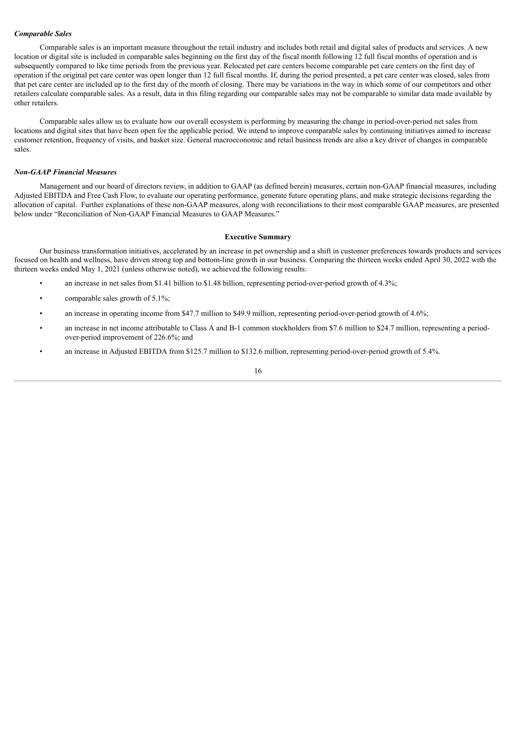### *Comparable Sales*

Comparable sales is an important measure throughout the retail industry and includes both retail and digital sales of products and services. A new location or digital site is included in comparable sales beginning on the first day of the fiscal month following 12 full fiscal months of operation and is subsequently compared to like time periods from the previous year. Relocated pet care centers become comparable pet care centers on the first day of operation if the original pet care center was open longer than 12 full fiscal months. If, during the period presented, a pet care center was closed, sales from that pet care center are included up to the first day of the month of closing. There may be variations in the way in which some of our competitors and other retailers calculate comparable sales. As a result, data in this filing regarding our comparable sales may not be comparable to similar data made available by other retailers.

Comparable sales allow us to evaluate how our overall ecosystem is performing by measuring the change in period-over-period net sales from locations and digital sites that have been open for the applicable period. We intend to improve comparable sales by continuing initiatives aimed to increase customer retention, frequency of visits, and basket size. General macroeconomic and retail business trends are also a key driver of changes in comparable sales.

#### *Non-GAAP Financial Measures*

Management and our board of directors review, in addition to GAAP (as defined herein) measures, certain non-GAAP financial measures, including Adjusted EBITDA and Free Cash Flow, to evaluate our operating performance, generate future operating plans, and make strategic decisions regarding the allocation of capital. Further explanations of these non-GAAP measures, along with reconciliations to their most comparable GAAP measures, are presented below under "Reconciliation of Non-GAAP Financial Measures to GAAP Measures."

#### **Executive Summary**

Our business transformation initiatives, accelerated by an increase in pet ownership and a shift in customer preferences towards products and services focused on health and wellness, have driven strong top and bottom-line growth in our business. Comparing the thirteen weeks ended April 30, 2022 with the thirteen weeks ended May 1, 2021 (unless otherwise noted), we achieved the following results:

- an increase in net sales from \$1.41 billion to \$1.48 billion, representing period-over-period growth of 4.3%;
- comparable sales growth of 5.1%;
- an increase in operating income from \$47.7 million to \$49.9 million, representing period-over-period growth of 4.6%;
- an increase in net income attributable to Class A and B-1 common stockholders from \$7.6 million to \$24.7 million, representing a periodover-period improvement of 226.6%; and
- an increase in Adjusted EBITDA from \$125.7 million to \$132.6 million, representing period-over-period growth of 5.4%.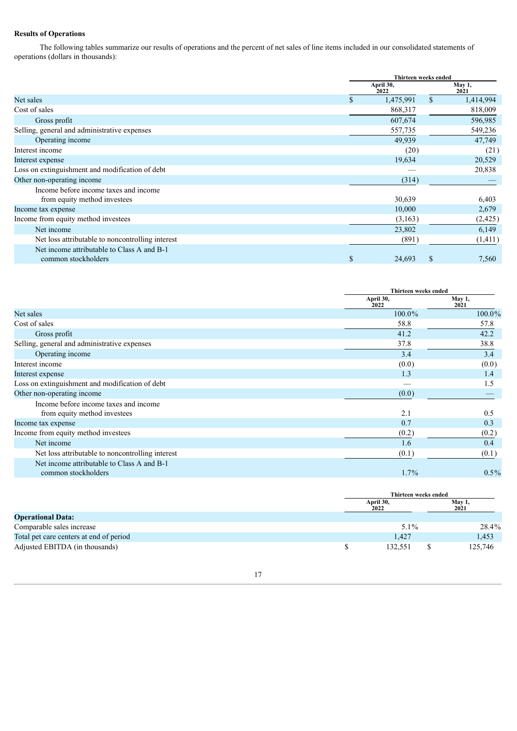## **Results of Operations**

The following tables summarize our results of operations and the percent of net sales of line items included in our consolidated statements of operations (dollars in thousands):

|                                                  |                   | Thirteen weeks ended |                |  |  |
|--------------------------------------------------|-------------------|----------------------|----------------|--|--|
|                                                  | April 30,<br>2022 |                      | May 1,<br>2021 |  |  |
| Net sales                                        | 1,475,991<br>S.   | \$                   | 1,414,994      |  |  |
| Cost of sales                                    | 868,317           |                      | 818,009        |  |  |
| Gross profit                                     | 607,674           |                      | 596,985        |  |  |
| Selling, general and administrative expenses     | 557,735           |                      | 549,236        |  |  |
| Operating income                                 | 49,939            |                      | 47,749         |  |  |
| Interest income                                  | (20)              |                      | (21)           |  |  |
| Interest expense                                 | 19,634            |                      | 20,529         |  |  |
| Loss on extinguishment and modification of debt  |                   |                      | 20,838         |  |  |
| Other non-operating income                       | (314)             |                      |                |  |  |
| Income before income taxes and income            |                   |                      |                |  |  |
| from equity method investees                     | 30,639            |                      | 6,403          |  |  |
| Income tax expense                               | 10,000            |                      | 2,679          |  |  |
| Income from equity method investees              | (3,163)           |                      | (2, 425)       |  |  |
| Net income                                       | 23,802            |                      | 6,149          |  |  |
| Net loss attributable to noncontrolling interest | (891)             |                      | (1,411)        |  |  |
| Net income attributable to Class A and B-1       |                   |                      |                |  |  |
| common stockholders                              | 24,693<br>ъ       | S                    | 7,560          |  |  |

|                                                                   | Thirteen weeks ended |                |
|-------------------------------------------------------------------|----------------------|----------------|
|                                                                   | April 30,<br>2022    | May 1,<br>2021 |
| Net sales                                                         | 100.0%               | $100.0\%$      |
| Cost of sales                                                     | 58.8                 | 57.8           |
| Gross profit                                                      | 41.2                 | 42.2           |
| Selling, general and administrative expenses                      | 37.8                 | 38.8           |
| Operating income                                                  | 3.4                  | 3.4            |
| Interest income                                                   | (0.0)                | (0.0)          |
| Interest expense                                                  | 1.3                  | 1.4            |
| Loss on extinguishment and modification of debt                   |                      | 1.5            |
| Other non-operating income                                        | (0.0)                |                |
| Income before income taxes and income                             |                      |                |
| from equity method investees                                      | 2.1                  | 0.5            |
| Income tax expense                                                | 0.7                  | 0.3            |
| Income from equity method investees                               | (0.2)                | (0.2)          |
| Net income                                                        | 1.6                  | 0.4            |
| Net loss attributable to noncontrolling interest                  | (0.1)                | (0.1)          |
| Net income attributable to Class A and B-1<br>common stockholders | 1.7%                 | $0.5\%$        |
|                                                                   |                      |                |

|                                         | Thirteen weeks ended |  |                |  |
|-----------------------------------------|----------------------|--|----------------|--|
|                                         | April 30,<br>2022    |  | May 1,<br>2021 |  |
| <b>Operational Data:</b>                |                      |  |                |  |
| Comparable sales increase               | $5.1\%$              |  | 28.4%          |  |
| Total pet care centers at end of period | 1,427                |  | 1,453          |  |
| Adjusted EBITDA (in thousands)          | 132.551              |  | 125,746        |  |

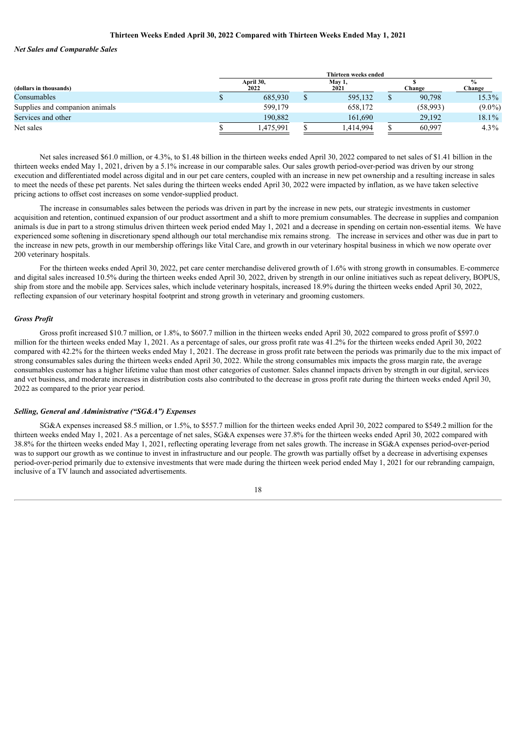### **Thirteen Weeks Ended April 30, 2022 Compared with Thirteen Weeks Ended May 1, 2021**

*Net Sales and Comparable Sales*

|                                | Thirteen weeks ended |  |                |  |           |                         |  |
|--------------------------------|----------------------|--|----------------|--|-----------|-------------------------|--|
| (dollars in thousands)         | April 30,<br>2022    |  | May 1,<br>2021 |  | Change    | $\frac{6}{9}$<br>Change |  |
| Consumables                    | 685,930              |  | 595,132        |  | 90,798    | 15.3%                   |  |
| Supplies and companion animals | 599,179              |  | 658,172        |  | (58, 993) | $(9.0\%)$               |  |
| Services and other             | 190.882              |  | 161.690        |  | 29,192    | 18.1%                   |  |
| Net sales                      | 475,991,ا            |  | 414,994        |  | 60,997    | $4.3\%$                 |  |

Net sales increased \$61.0 million, or 4.3%, to \$1.48 billion in the thirteen weeks ended April 30, 2022 compared to net sales of \$1.41 billion in the thirteen weeks ended May 1, 2021, driven by a 5.1% increase in our comparable sales. Our sales growth period-over-period was driven by our strong execution and differentiated model across digital and in our pet care centers, coupled with an increase in new pet ownership and a resulting increase in sales to meet the needs of these pet parents. Net sales during the thirteen weeks ended April 30, 2022 were impacted by inflation, as we have taken selective pricing actions to offset cost increases on some vendor-supplied product.

The increase in consumables sales between the periods was driven in part by the increase in new pets, our strategic investments in customer acquisition and retention, continued expansion of our product assortment and a shift to more premium consumables. The decrease in supplies and companion animals is due in part to a strong stimulus driven thirteen week period ended May 1, 2021 and a decrease in spending on certain non-essential items. We have experienced some softening in discretionary spend although our total merchandise mix remains strong. The increase in services and other was due in part to the increase in new pets, growth in our membership offerings like Vital Care, and growth in our veterinary hospital business in which we now operate over 200 veterinary hospitals.

For the thirteen weeks ended April 30, 2022, pet care center merchandise delivered growth of 1.6% with strong growth in consumables. E-commerce and digital sales increased 10.5% during the thirteen weeks ended April 30, 2022, driven by strength in our online initiatives such as repeat delivery, BOPUS, ship from store and the mobile app. Services sales, which include veterinary hospitals, increased 18.9% during the thirteen weeks ended April 30, 2022, reflecting expansion of our veterinary hospital footprint and strong growth in veterinary and grooming customers.

### *Gross Profit*

Gross profit increased \$10.7 million, or 1.8%, to \$607.7 million in the thirteen weeks ended April 30, 2022 compared to gross profit of \$597.0 million for the thirteen weeks ended May 1, 2021. As a percentage of sales, our gross profit rate was 41.2% for the thirteen weeks ended April 30, 2022 compared with 42.2% for the thirteen weeks ended May 1, 2021. The decrease in gross profit rate between the periods was primarily due to the mix impact of strong consumables sales during the thirteen weeks ended April 30, 2022. While the strong consumables mix impacts the gross margin rate, the average consumables customer has a higher lifetime value than most other categories of customer. Sales channel impacts driven by strength in our digital, services and vet business, and moderate increases in distribution costs also contributed to the decrease in gross profit rate during the thirteen weeks ended April 30, 2022 as compared to the prior year period.

#### *Selling, General and Administrative ("SG&A") Expenses*

SG&A expenses increased \$8.5 million, or 1.5%, to \$557.7 million for the thirteen weeks ended April 30, 2022 compared to \$549.2 million for the thirteen weeks ended May 1, 2021. As a percentage of net sales, SG&A expenses were 37.8% for the thirteen weeks ended April 30, 2022 compared with 38.8% for the thirteen weeks ended May 1, 2021, reflecting operating leverage from net sales growth. The increase in SG&A expenses period-over-period was to support our growth as we continue to invest in infrastructure and our people. The growth was partially offset by a decrease in advertising expenses period-over-period primarily due to extensive investments that were made during the thirteen week period ended May 1, 2021 for our rebranding campaign, inclusive of a TV launch and associated advertisements.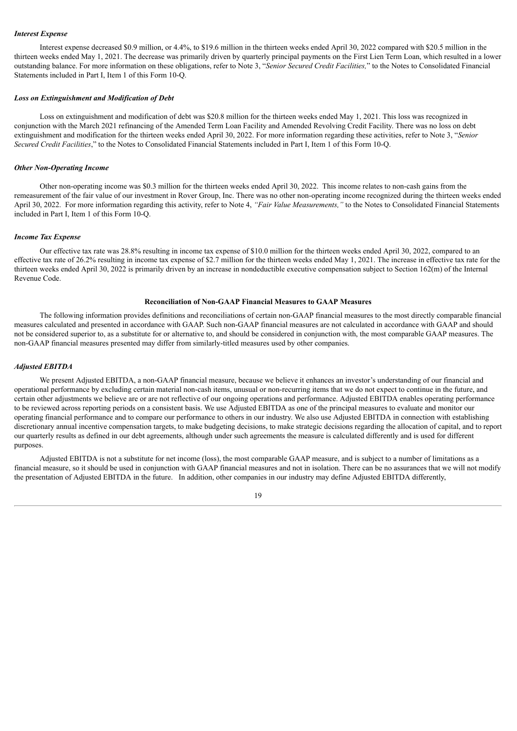#### *Interest Expense*

Interest expense decreased \$0.9 million, or 4.4%, to \$19.6 million in the thirteen weeks ended April 30, 2022 compared with \$20.5 million in the thirteen weeks ended May 1, 2021. The decrease was primarily driven by quarterly principal payments on the First Lien Term Loan, which resulted in a lower outstanding balance. For more information on these obligations, refer to Note 3, "*Senior Secured Credit Facilities,*" to the Notes to Consolidated Financial Statements included in Part I, Item 1 of this Form 10-Q.

#### *Loss on Extinguishment and Modification of Debt*

Loss on extinguishment and modification of debt was \$20.8 million for the thirteen weeks ended May 1, 2021. This loss was recognized in conjunction with the March 2021 refinancing of the Amended Term Loan Facility and Amended Revolving Credit Facility. There was no loss on debt extinguishment and modification for the thirteen weeks ended April 30, 2022. For more information regarding these activities, refer to Note 3, "*Senior Secured Credit Facilities*," to the Notes to Consolidated Financial Statements included in Part I, Item 1 of this Form 10-Q.

#### *Other Non-Operating Income*

Other non-operating income was \$0.3 million for the thirteen weeks ended April 30, 2022. This income relates to non-cash gains from the remeasurement of the fair value of our investment in Rover Group, Inc. There was no other non-operating income recognized during the thirteen weeks ended April 30, 2022. For more information regarding this activity, refer to Note 4, *"Fair Value Measurements,"* to the Notes to Consolidated Financial Statements included in Part I, Item 1 of this Form 10-Q.

#### *Income Tax Expense*

Our effective tax rate was 28.8% resulting in income tax expense of \$10.0 million for the thirteen weeks ended April 30, 2022, compared to an effective tax rate of 26.2% resulting in income tax expense of \$2.7 million for the thirteen weeks ended May 1, 2021. The increase in effective tax rate for the thirteen weeks ended April 30, 2022 is primarily driven by an increase in nondeductible executive compensation subject to Section 162(m) of the Internal Revenue Code.

### **Reconciliation of Non-GAAP Financial Measures to GAAP Measures**

The following information provides definitions and reconciliations of certain non-GAAP financial measures to the most directly comparable financial measures calculated and presented in accordance with GAAP. Such non-GAAP financial measures are not calculated in accordance with GAAP and should not be considered superior to, as a substitute for or alternative to, and should be considered in conjunction with, the most comparable GAAP measures. The non-GAAP financial measures presented may differ from similarly-titled measures used by other companies.

#### *Adjusted EBITDA*

We present Adjusted EBITDA, a non-GAAP financial measure, because we believe it enhances an investor's understanding of our financial and operational performance by excluding certain material non-cash items, unusual or non-recurring items that we do not expect to continue in the future, and certain other adjustments we believe are or are not reflective of our ongoing operations and performance. Adjusted EBITDA enables operating performance to be reviewed across reporting periods on a consistent basis. We use Adjusted EBITDA as one of the principal measures to evaluate and monitor our operating financial performance and to compare our performance to others in our industry. We also use Adjusted EBITDA in connection with establishing discretionary annual incentive compensation targets, to make budgeting decisions, to make strategic decisions regarding the allocation of capital, and to report our quarterly results as defined in our debt agreements, although under such agreements the measure is calculated differently and is used for different purposes.

Adjusted EBITDA is not a substitute for net income (loss), the most comparable GAAP measure, and is subject to a number of limitations as a financial measure, so it should be used in conjunction with GAAP financial measures and not in isolation. There can be no assurances that we will not modify the presentation of Adjusted EBITDA in the future. In addition, other companies in our industry may define Adjusted EBITDA differently,

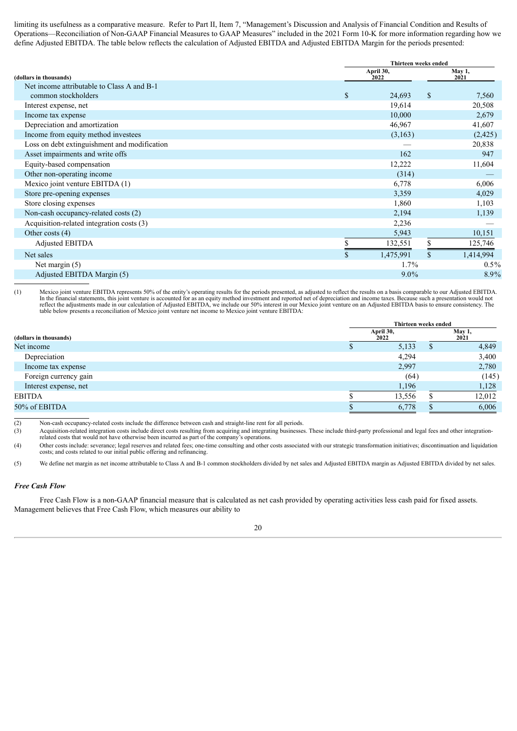limiting its usefulness as a comparative measure. Refer to Part II, Item 7, "Management's Discussion and Analysis of Financial Condition and Results of Operations—Reconciliation of Non-GAAP Financial Measures to GAAP Measures" included in the 2021 Form 10-K for more information regarding how we define Adjusted EBITDA. The table below reflects the calculation of Adjusted EBITDA and Adjusted EBITDA Margin for the periods presented:

|                                              | <b>Thirteen weeks ended</b> |           |               |                |
|----------------------------------------------|-----------------------------|-----------|---------------|----------------|
| (dollars in thousands)                       | April 30,<br>2022           |           |               | May 1,<br>2021 |
| Net income attributable to Class A and B-1   |                             |           |               |                |
| common stockholders                          | $\mathbf S$                 | 24,693    | <sup>\$</sup> | 7,560          |
| Interest expense, net                        |                             | 19,614    |               | 20,508         |
| Income tax expense                           |                             | 10,000    |               | 2,679          |
| Depreciation and amortization                |                             | 46,967    |               | 41,607         |
| Income from equity method investees          |                             | (3,163)   |               | (2,425)        |
| Loss on debt extinguishment and modification |                             |           |               | 20,838         |
| Asset impairments and write offs             |                             | 162       |               | 947            |
| Equity-based compensation                    |                             | 12,222    |               | 11,604         |
| Other non-operating income                   |                             | (314)     |               |                |
| Mexico joint venture EBITDA (1)              |                             | 6,778     |               | 6,006          |
| Store pre-opening expenses                   |                             | 3,359     |               | 4,029          |
| Store closing expenses                       |                             | 1,860     |               | 1,103          |
| Non-cash occupancy-related costs (2)         |                             | 2,194     |               | 1,139          |
| Acquisition-related integration costs (3)    |                             | 2,236     |               |                |
| Other costs (4)                              |                             | 5,943     |               | 10,151         |
| <b>Adjusted EBITDA</b>                       |                             | 132,551   | \$            | 125,746        |
| Net sales                                    | S.                          | 1,475,991 | \$            | 1,414,994      |
| Net margin $(5)$                             |                             | $1.7\%$   |               | $0.5\%$        |
| Adjusted EBITDA Margin (5)                   |                             | $9.0\%$   |               | 8.9%           |

(1) Mexico joint venture EBITDA represents 50% of the entity's operating results for the periods presented, as adjusted to reflect the results on a basis comparable to our Adjusted EBITDA. In the financial statements, this joint venture is accounted for as an equity method investment and reported net of depreciation and income taxes. Because such a presentation would not<br>reflect the adjustments made in our c table below presents a reconciliation of Mexico joint venture net income to Mexico joint venture EBITDA:

|                        |  | Thirteen weeks ended |    |                |  |  |
|------------------------|--|----------------------|----|----------------|--|--|
| (dollars in thousands) |  | April 30,<br>2022    |    | May 1.<br>2021 |  |  |
| Net income             |  | 5,133                | ۰D | 4,849          |  |  |
| Depreciation           |  | 4,294                |    | 3,400          |  |  |
| Income tax expense     |  | 2,997                |    | 2,780          |  |  |
| Foreign currency gain  |  | (64)                 |    | (145)          |  |  |
| Interest expense, net  |  | 1,196                |    | 1,128          |  |  |
| <b>EBITDA</b>          |  | 13,556               |    | 12,012         |  |  |
| 50% of EBITDA          |  | 6,778                |    | 6,006          |  |  |
|                        |  |                      |    |                |  |  |

(2) Non-cash occupancy-related costs include the difference between cash and straight-line rent for all periods.

(3) Acquisition-related integration costs include direct costs resulting from acquiring and integrating businesses. These include third-party professional and legal fees and other integrationrelated costs that would not have otherwise been incurred as part of the company's operations.

(4) Other costs include: severance; legal reserves and related fees; one-time consulting and other costs associated with our strategic transformation initiatives; discontinuation and liquidation costs; and costs related to our initial public offering and refinancing.

(5) We define net margin as net income attributable to Class A and B-1 common stockholders divided by net sales and Adjusted EBITDA margin as Adjusted EBITDA divided by net sales.

#### *Free Cash Flow*

Free Cash Flow is a non-GAAP financial measure that is calculated as net cash provided by operating activities less cash paid for fixed assets. Management believes that Free Cash Flow, which measures our ability to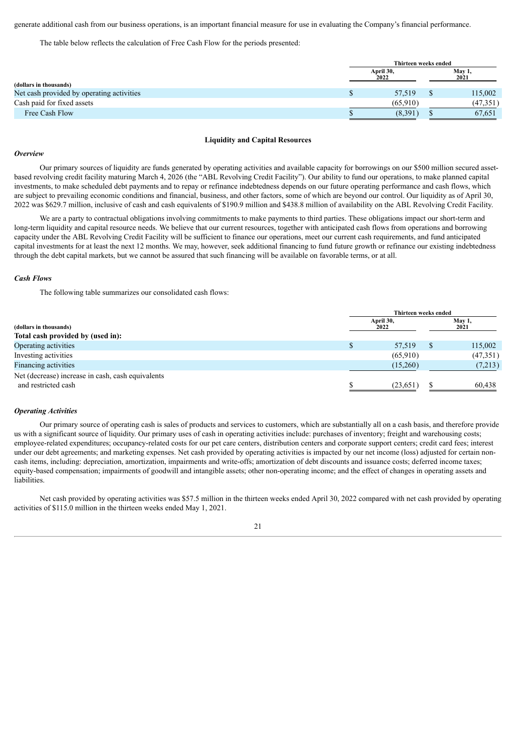generate additional cash from our business operations, is an important financial measure for use in evaluating the Company's financial performance.

The table below reflects the calculation of Free Cash Flow for the periods presented:

|                                           | Thirteen weeks ended |                   |                |          |
|-------------------------------------------|----------------------|-------------------|----------------|----------|
|                                           |                      | April 30,<br>2022 | May 1.<br>2021 |          |
| (dollars in thousands)                    |                      |                   |                |          |
| Net cash provided by operating activities |                      | 57.519            |                | 115,002  |
| Cash paid for fixed assets                |                      | (65,910)          |                | (47,351) |
| Free Cash Flow                            |                      | (8,391)           |                | 67,651   |

### **Liquidity and Capital Resources**

#### *Overview*

Our primary sources of liquidity are funds generated by operating activities and available capacity for borrowings on our \$500 million secured assetbased revolving credit facility maturing March 4, 2026 (the "ABL Revolving Credit Facility"). Our ability to fund our operations, to make planned capital investments, to make scheduled debt payments and to repay or refinance indebtedness depends on our future operating performance and cash flows, which are subject to prevailing economic conditions and financial, business, and other factors, some of which are beyond our control. Our liquidity as of April 30, 2022 was \$629.7 million, inclusive of cash and cash equivalents of \$190.9 million and \$438.8 million of availability on the ABL Revolving Credit Facility.

We are a party to contractual obligations involving commitments to make payments to third parties. These obligations impact our short-term and long-term liquidity and capital resource needs. We believe that our current resources, together with anticipated cash flows from operations and borrowing capacity under the ABL Revolving Credit Facility will be sufficient to finance our operations, meet our current cash requirements, and fund anticipated capital investments for at least the next 12 months. We may, however, seek additional financing to fund future growth or refinance our existing indebtedness through the debt capital markets, but we cannot be assured that such financing will be available on favorable terms, or at all.

#### *Cash Flows*

The following table summarizes our consolidated cash flows:

|                                                   |  | Thirteen weeks ended |  |          |  |  |
|---------------------------------------------------|--|----------------------|--|----------|--|--|
| (dollars in thousands)                            |  | April 30,<br>2022    |  |          |  |  |
| Total cash provided by (used in):                 |  |                      |  |          |  |  |
| Operating activities                              |  | 57,519               |  | 115,002  |  |  |
| Investing activities                              |  | (65,910)             |  | (47,351) |  |  |
| Financing activities                              |  | (15,260)             |  | (7,213)  |  |  |
| Net (decrease) increase in cash, cash equivalents |  |                      |  |          |  |  |
| and restricted cash                               |  | (23, 651)            |  | 60,438   |  |  |

#### *Operating Activities*

Our primary source of operating cash is sales of products and services to customers, which are substantially all on a cash basis, and therefore provide us with a significant source of liquidity. Our primary uses of cash in operating activities include: purchases of inventory; freight and warehousing costs; employee-related expenditures; occupancy-related costs for our pet care centers, distribution centers and corporate support centers; credit card fees; interest under our debt agreements; and marketing expenses. Net cash provided by operating activities is impacted by our net income (loss) adjusted for certain noncash items, including: depreciation, amortization, impairments and write-offs; amortization of debt discounts and issuance costs; deferred income taxes; equity-based compensation; impairments of goodwill and intangible assets; other non-operating income; and the effect of changes in operating assets and liabilities.

Net cash provided by operating activities was \$57.5 million in the thirteen weeks ended April 30, 2022 compared with net cash provided by operating activities of \$115.0 million in the thirteen weeks ended May 1, 2021.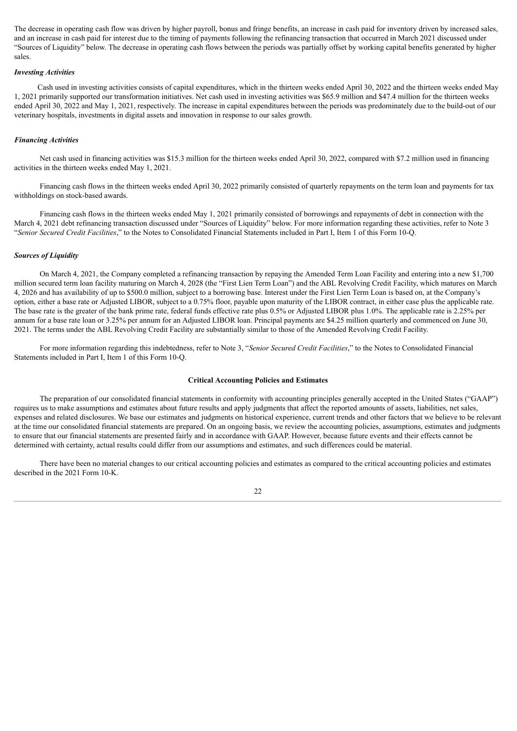The decrease in operating cash flow was driven by higher payroll, bonus and fringe benefits, an increase in cash paid for inventory driven by increased sales, and an increase in cash paid for interest due to the timing of payments following the refinancing transaction that occurred in March 2021 discussed under "Sources of Liquidity" below. The decrease in operating cash flows between the periods was partially offset by working capital benefits generated by higher sales.

#### *Investing Activities*

Cash used in investing activities consists of capital expenditures, which in the thirteen weeks ended April 30, 2022 and the thirteen weeks ended May 1, 2021 primarily supported our transformation initiatives. Net cash used in investing activities was \$65.9 million and \$47.4 million for the thirteen weeks ended April 30, 2022 and May 1, 2021, respectively. The increase in capital expenditures between the periods was predominately due to the build-out of our veterinary hospitals, investments in digital assets and innovation in response to our sales growth.

### *Financing Activities*

Net cash used in financing activities was \$15.3 million for the thirteen weeks ended April 30, 2022, compared with \$7.2 million used in financing activities in the thirteen weeks ended May 1, 2021.

Financing cash flows in the thirteen weeks ended April 30, 2022 primarily consisted of quarterly repayments on the term loan and payments for tax withholdings on stock-based awards.

Financing cash flows in the thirteen weeks ended May 1, 2021 primarily consisted of borrowings and repayments of debt in connection with the March 4, 2021 debt refinancing transaction discussed under "Sources of Liquidity" below. For more information regarding these activities, refer to Note 3 "*Senior Secured Credit Facilities*," to the Notes to Consolidated Financial Statements included in Part I, Item 1 of this Form 10-Q.

### *Sources of Liquidity*

On March 4, 2021, the Company completed a refinancing transaction by repaying the Amended Term Loan Facility and entering into a new \$1,700 million secured term loan facility maturing on March 4, 2028 (the "First Lien Term Loan") and the ABL Revolving Credit Facility, which matures on March 4, 2026 and has availability of up to \$500.0 million, subject to a borrowing base. Interest under the First Lien Term Loan is based on, at the Company's option, either a base rate or Adjusted LIBOR, subject to a 0.75% floor, payable upon maturity of the LIBOR contract, in either case plus the applicable rate. The base rate is the greater of the bank prime rate, federal funds effective rate plus 0.5% or Adjusted LIBOR plus 1.0%. The applicable rate is 2.25% per annum for a base rate loan or 3.25% per annum for an Adjusted LIBOR loan. Principal payments are \$4.25 million quarterly and commenced on June 30, 2021. The terms under the ABL Revolving Credit Facility are substantially similar to those of the Amended Revolving Credit Facility.

For more information regarding this indebtedness, refer to Note 3, "*Senior Secured Credit Facilities*," to the Notes to Consolidated Financial Statements included in Part I, Item 1 of this Form 10-Q.

#### **Critical Accounting Policies and Estimates**

The preparation of our consolidated financial statements in conformity with accounting principles generally accepted in the United States ("GAAP") requires us to make assumptions and estimates about future results and apply judgments that affect the reported amounts of assets, liabilities, net sales, expenses and related disclosures. We base our estimates and judgments on historical experience, current trends and other factors that we believe to be relevant at the time our consolidated financial statements are prepared. On an ongoing basis, we review the accounting policies, assumptions, estimates and judgments to ensure that our financial statements are presented fairly and in accordance with GAAP. However, because future events and their effects cannot be determined with certainty, actual results could differ from our assumptions and estimates, and such differences could be material.

There have been no material changes to our critical accounting policies and estimates as compared to the critical accounting policies and estimates described in the 2021 Form 10-K.

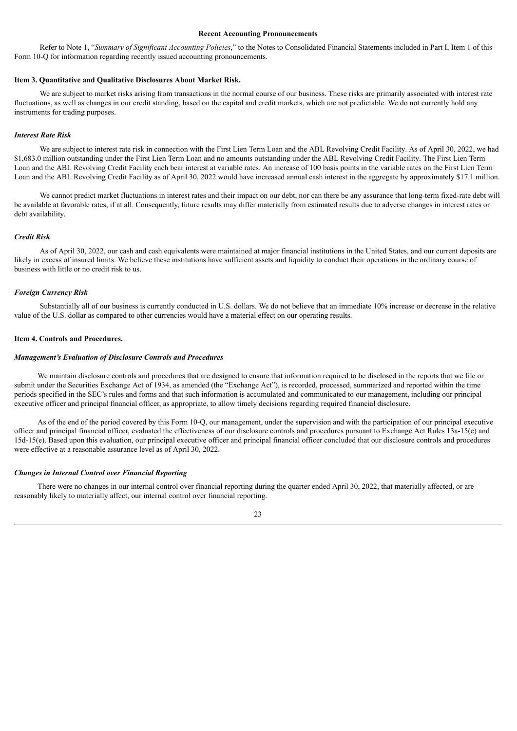### **Recent Accounting Pronouncements**

Refer to Note 1, "*Summary of Significant Accounting Policies*," to the Notes to Consolidated Financial Statements included in Part I, Item 1 of this Form 10-Q for information regarding recently issued accounting pronouncements.

#### <span id="page-23-0"></span>**Item 3. Quantitative and Qualitative Disclosures About Market Risk.**

We are subject to market risks arising from transactions in the normal course of our business. These risks are primarily associated with interest rate fluctuations, as well as changes in our credit standing, based on the capital and credit markets, which are not predictable. We do not currently hold any instruments for trading purposes.

#### *Interest Rate Risk*

We are subject to interest rate risk in connection with the First Lien Term Loan and the ABL Revolving Credit Facility. As of April 30, 2022, we had \$1,683.0 million outstanding under the First Lien Term Loan and no amounts outstanding under the ABL Revolving Credit Facility. The First Lien Term Loan and the ABL Revolving Credit Facility each bear interest at variable rates. An increase of 100 basis points in the variable rates on the First Lien Term Loan and the ABL Revolving Credit Facility as of April 30, 2022 would have increased annual cash interest in the aggregate by approximately \$17.1 million.

We cannot predict market fluctuations in interest rates and their impact on our debt, nor can there be any assurance that long-term fixed-rate debt will be available at favorable rates, if at all. Consequently, future results may differ materially from estimated results due to adverse changes in interest rates or debt availability.

#### *Credit Risk*

As of April 30, 2022, our cash and cash equivalents were maintained at major financial institutions in the United States, and our current deposits are likely in excess of insured limits. We believe these institutions have sufficient assets and liquidity to conduct their operations in the ordinary course of business with little or no credit risk to us.

### *Foreign Currency Risk*

Substantially all of our business is currently conducted in U.S. dollars. We do not believe that an immediate 10% increase or decrease in the relative value of the U.S. dollar as compared to other currencies would have a material effect on our operating results.

### <span id="page-23-1"></span>**Item 4. Controls and Procedures.**

#### *Management's Evaluation of Disclosure Controls and Procedures*

We maintain disclosure controls and procedures that are designed to ensure that information required to be disclosed in the reports that we file or submit under the Securities Exchange Act of 1934, as amended (the "Exchange Act"), is recorded, processed, summarized and reported within the time periods specified in the SEC's rules and forms and that such information is accumulated and communicated to our management, including our principal executive officer and principal financial officer, as appropriate, to allow timely decisions regarding required financial disclosure.

As of the end of the period covered by this Form 10-Q, our management, under the supervision and with the participation of our principal executive officer and principal financial officer, evaluated the effectiveness of our disclosure controls and procedures pursuant to Exchange Act Rules 13a-15(e) and 15d-15(e). Based upon this evaluation, our principal executive officer and principal financial officer concluded that our disclosure controls and procedures were effective at a reasonable assurance level as of April 30, 2022.

#### *Changes in Internal Control over Financial Reporting*

There were no changes in our internal control over financial reporting during the quarter ended April 30, 2022, that materially affected, or are reasonably likely to materially affect, our internal control over financial reporting.

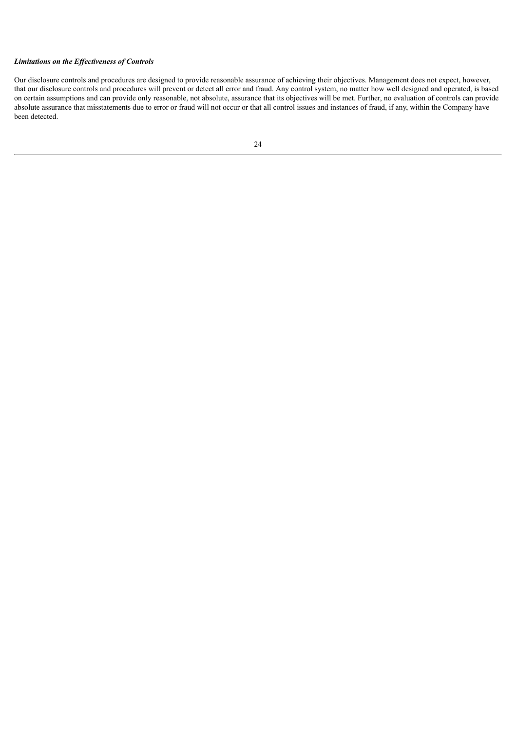### *Limitations on the Ef ectiveness of Controls*

Our disclosure controls and procedures are designed to provide reasonable assurance of achieving their objectives. Management does not expect, however, that our disclosure controls and procedures will prevent or detect all error and fraud. Any control system, no matter how well designed and operated, is based on certain assumptions and can provide only reasonable, not absolute, assurance that its objectives will be met. Further, no evaluation of controls can provide absolute assurance that misstatements due to error or fraud will not occur or that all control issues and instances of fraud, if any, within the Company have been detected.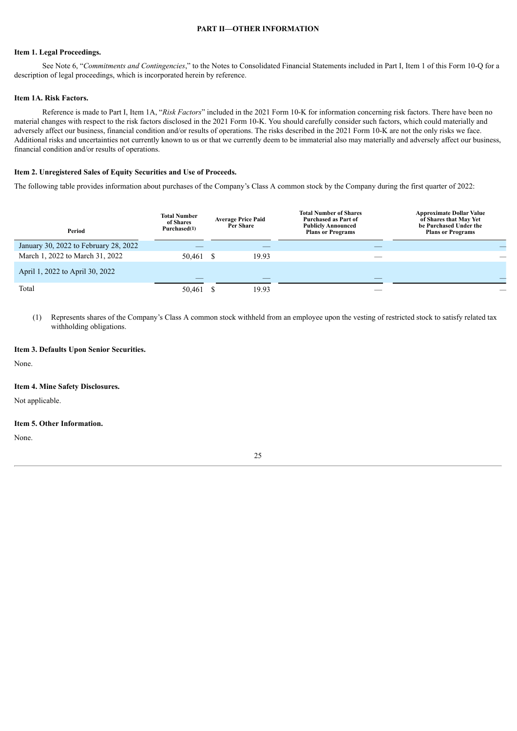### **PART II—OTHER INFORMATION**

### <span id="page-25-1"></span><span id="page-25-0"></span>**Item 1. Legal Proceedings.**

See Note 6, "*Commitments and Contingencies*," to the Notes to Consolidated Financial Statements included in Part I, Item 1 of this Form 10-Q for a description of legal proceedings, which is incorporated herein by reference.

### <span id="page-25-2"></span>**Item 1A. Risk Factors.**

Reference is made to Part I, Item 1A, "*Risk Factors*" included in the 2021 Form 10-K for information concerning risk factors. There have been no material changes with respect to the risk factors disclosed in the 2021 Form 10-K. You should carefully consider such factors, which could materially and adversely affect our business, financial condition and/or results of operations. The risks described in the 2021 Form 10-K are not the only risks we face. Additional risks and uncertainties not currently known to us or that we currently deem to be immaterial also may materially and adversely affect our business, financial condition and/or results of operations.

#### <span id="page-25-3"></span>**Item 2. Unregistered Sales of Equity Securities and Use of Proceeds.**

The following table provides information about purchases of the Company's Class A common stock by the Company during the first quarter of 2022:

| Period                                | <b>Total Number</b><br>of Shares<br>Purchased(1) | <b>Average Price Paid</b><br>Per Share | <b>Total Number of Shares</b><br><b>Purchased as Part of</b><br><b>Publicly Announced</b><br><b>Plans or Programs</b> | <b>Approximate Dollar Value</b><br>of Shares that May Yet<br>be Purchased Under the<br><b>Plans or Programs</b> |
|---------------------------------------|--------------------------------------------------|----------------------------------------|-----------------------------------------------------------------------------------------------------------------------|-----------------------------------------------------------------------------------------------------------------|
| January 30, 2022 to February 28, 2022 |                                                  |                                        |                                                                                                                       |                                                                                                                 |
| March 1, 2022 to March 31, 2022       | 50,461 \$                                        | 19.93                                  |                                                                                                                       |                                                                                                                 |
| April 1, 2022 to April 30, 2022       |                                                  | __                                     | __                                                                                                                    |                                                                                                                 |
| Total                                 | 50,461                                           | 19.93                                  |                                                                                                                       |                                                                                                                 |

(1) Represents shares of the Company's Class A common stock withheld from an employee upon the vesting of restricted stock to satisfy related tax withholding obligations.

### <span id="page-25-4"></span>**Item 3. Defaults Upon Senior Securities.**

None.

### <span id="page-25-5"></span>**Item 4. Mine Safety Disclosures.**

Not applicable.

#### <span id="page-25-6"></span>**Item 5. Other Information.**

None.

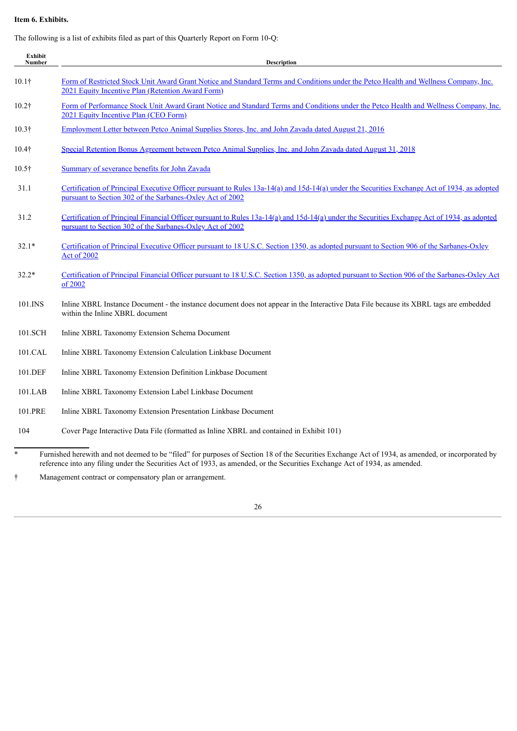### <span id="page-26-0"></span>**Item 6. Exhibits.**

The following is a list of exhibits filed as part of this Quarterly Report on Form 10-Q:

| <b>Exhibit</b><br>Number | <b>Description</b>                                                                                                                                                                                        |
|--------------------------|-----------------------------------------------------------------------------------------------------------------------------------------------------------------------------------------------------------|
| $10.1+$                  | Form of Restricted Stock Unit Award Grant Notice and Standard Terms and Conditions under the Petco Health and Wellness Company, Inc.<br>2021 Equity Incentive Plan (Retention Award Form)                 |
| $10.2\dagger$            | Form of Performance Stock Unit Award Grant Notice and Standard Terms and Conditions under the Petco Health and Wellness Company, Inc.<br>2021 Equity Incentive Plan (CEO Form)                            |
| $10.3\dagger$            | <u>Employment Letter between Petco Animal Supplies Stores, Inc. and John Zavada dated August 21, 2016</u>                                                                                                 |
| $10.4$ †                 | Special Retention Bonus Agreement between Petco Animal Supplies, Inc. and John Zavada dated August 31, 2018                                                                                               |
| $10.5\dagger$            | Summary of severance benefits for John Zavada                                                                                                                                                             |
| 31.1                     | Certification of Principal Executive Officer pursuant to Rules 13a-14(a) and 15d-14(a) under the Securities Exchange Act of 1934, as adopted<br>pursuant to Section 302 of the Sarbanes-Oxley Act of 2002 |
| 31.2                     | Certification of Principal Financial Officer pursuant to Rules 13a-14(a) and 15d-14(a) under the Securities Exchange Act of 1934, as adopted<br>pursuant to Section 302 of the Sarbanes-Oxley Act of 2002 |
| $32.1*$                  | Certification of Principal Executive Officer pursuant to 18 U.S.C. Section 1350, as adopted pursuant to Section 906 of the Sarbanes-Oxley<br><b>Act of 2002</b>                                           |
| $32.2*$                  | Certification of Principal Financial Officer pursuant to 18 U.S.C. Section 1350, as adopted pursuant to Section 906 of the Sarbanes-Oxley Act<br>of 2002                                                  |
| 101.INS                  | Inline XBRL Instance Document - the instance document does not appear in the Interactive Data File because its XBRL tags are embedded<br>within the Inline XBRL document                                  |
| 101.SCH                  | Inline XBRL Taxonomy Extension Schema Document                                                                                                                                                            |
| 101.CAL                  | Inline XBRL Taxonomy Extension Calculation Linkbase Document                                                                                                                                              |
| 101.DEF                  | Inline XBRL Taxonomy Extension Definition Linkbase Document                                                                                                                                               |
| 101.LAB                  | Inline XBRL Taxonomy Extension Label Linkbase Document                                                                                                                                                    |
| 101.PRE                  | Inline XBRL Taxonomy Extension Presentation Linkbase Document                                                                                                                                             |
| 104                      | Cover Page Interactive Data File (formatted as Inline XBRL and contained in Exhibit 101)                                                                                                                  |

\* Furnished herewith and not deemed to be "filed" for purposes of Section 18 of the Securities Exchange Act of 1934, as amended, or incorporated by reference into any filing under the Securities Act of 1933, as amended, or the Securities Exchange Act of 1934, as amended.

† Management contract or compensatory plan or arrangement.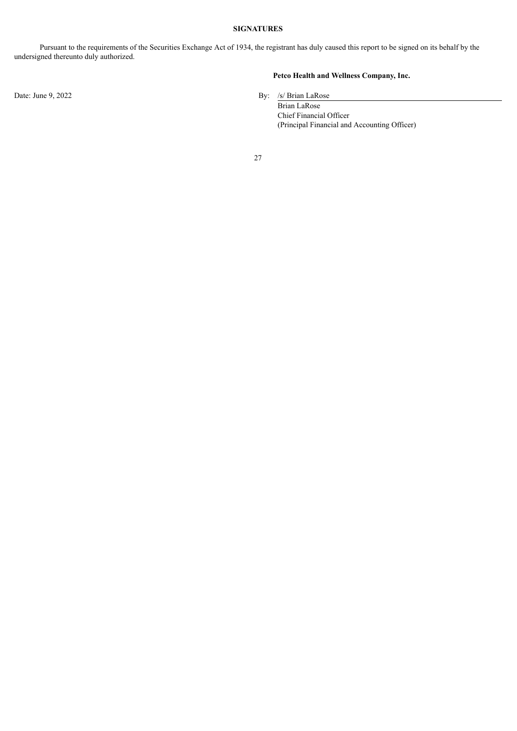### **SIGNATURES**

<span id="page-27-0"></span>Pursuant to the requirements of the Securities Exchange Act of 1934, the registrant has duly caused this report to be signed on its behalf by the undersigned thereunto duly authorized.

### **Petco Health and Wellness Company, Inc.**

Date: June 9, 2022 By: /s/ Brian LaRose

Brian LaRose Chief Financial Officer (Principal Financial and Accounting Officer)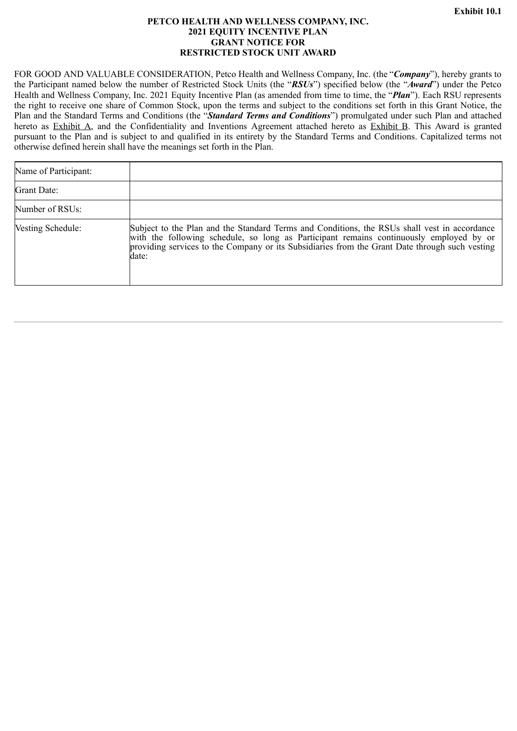### **PETCO HEALTH AND WELLNESS COMPANY, INC. 2021 EQUITY INCENTIVE PLAN GRANT NOTICE FOR RESTRICTED STOCK UNIT AWARD**

<span id="page-28-0"></span>FOR GOOD AND VALUABLE CONSIDERATION, Petco Health and Wellness Company, Inc. (the "*Company*"), hereby grants to the Participant named below the number of Restricted Stock Units (the "*RSUs*") specified below (the "*Award*") under the Petco Health and Wellness Company, Inc. 2021 Equity Incentive Plan (as amended from time to time, the "*Plan*"). Each RSU represents the right to receive one share of Common Stock, upon the terms and subject to the conditions set forth in this Grant Notice, the Plan and the Standard Terms and Conditions (the "*Standard Terms and Conditions*") promulgated under such Plan and attached hereto as Exhibit A, and the Confidentiality and Inventions Agreement attached hereto as Exhibit B. This Award is granted pursuant to the Plan and is subject to and qualified in its entirety by the Standard Terms and Conditions. Capitalized terms not otherwise defined herein shall have the meanings set forth in the Plan.

| Name of Participant: |                                                                                                                                                                                                                                                                                                 |
|----------------------|-------------------------------------------------------------------------------------------------------------------------------------------------------------------------------------------------------------------------------------------------------------------------------------------------|
| Grant Date:          |                                                                                                                                                                                                                                                                                                 |
| Number of RSUs:      |                                                                                                                                                                                                                                                                                                 |
| Vesting Schedule:    | Subject to the Plan and the Standard Terms and Conditions, the RSUs shall vest in accordance<br>with the following schedule, so long as Participant remains continuously employed by or providing services to the Company or its Subsidiaries from the Grant Date through such vesting<br>date: |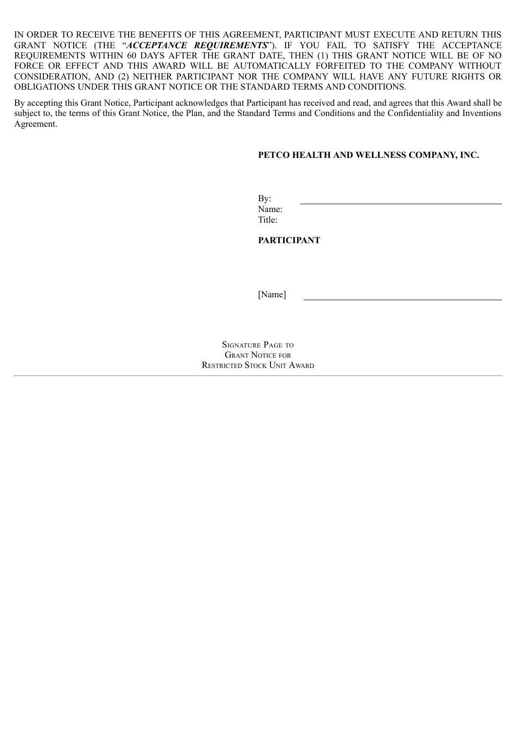IN ORDER TO RECEIVE THE BENEFITS OF THIS AGREEMENT, PARTICIPANT MUST EXECUTE AND RETURN THIS GRANT NOTICE (THE "*ACCEPTANCE REQUIREMENTS*"). IF YOU FAIL TO SATISFY THE ACCEPTANCE REQUIREMENTS WITHIN 60 DAYS AFTER THE GRANT DATE, THEN (1) THIS GRANT NOTICE WILL BE OF NO FORCE OR EFFECT AND THIS AWARD WILL BE AUTOMATICALLY FORFEITED TO THE COMPANY WITHOUT CONSIDERATION, AND (2) NEITHER PARTICIPANT NOR THE COMPANY WILL HAVE ANY FUTURE RIGHTS OR OBLIGATIONS UNDER THIS GRANT NOTICE OR THE STANDARD TERMS AND CONDITIONS.

By accepting this Grant Notice, Participant acknowledges that Participant has received and read, and agrees that this Award shall be subject to, the terms of this Grant Notice, the Plan, and the Standard Terms and Conditions and the Confidentiality and Inventions Agreement.

### **PETCO HEALTH AND WELLNESS COMPANY, INC.**

By: Name: Title:

**PARTICIPANT**

[Name]

Signature Page to **GRANT NOTICE FOR** Restricted Stock Unit Award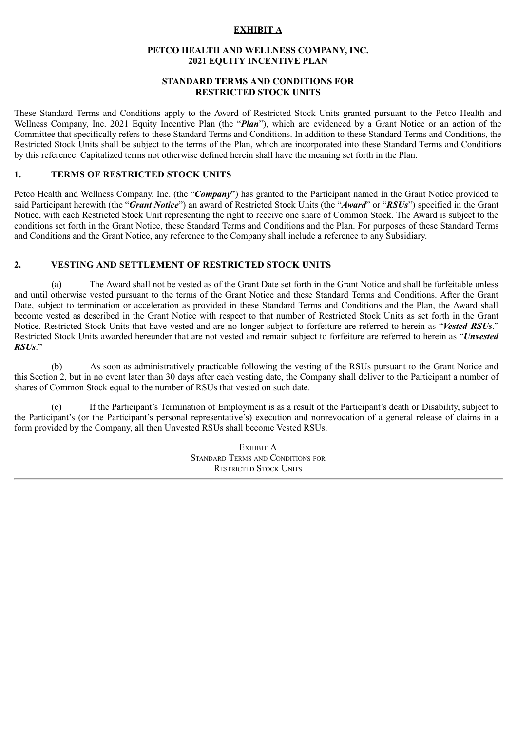## **EXHIBIT A**

### **PETCO HEALTH AND WELLNESS COMPANY, INC. 2021 EQUITY INCENTIVE PLAN**

## **STANDARD TERMS AND CONDITIONS FOR RESTRICTED STOCK UNITS**

These Standard Terms and Conditions apply to the Award of Restricted Stock Units granted pursuant to the Petco Health and Wellness Company, Inc. 2021 Equity Incentive Plan (the "*Plan*"), which are evidenced by a Grant Notice or an action of the Committee that specifically refers to these Standard Terms and Conditions. In addition to these Standard Terms and Conditions, the Restricted Stock Units shall be subject to the terms of the Plan, which are incorporated into these Standard Terms and Conditions by this reference. Capitalized terms not otherwise defined herein shall have the meaning set forth in the Plan.

## **1. TERMS OF RESTRICTED STOCK UNITS**

Petco Health and Wellness Company, Inc. (the "*Company*") has granted to the Participant named in the Grant Notice provided to said Participant herewith (the "*Grant Notice*") an award of Restricted Stock Units (the "*Award*" or "*RSUs*") specified in the Grant Notice, with each Restricted Stock Unit representing the right to receive one share of Common Stock. The Award is subject to the conditions set forth in the Grant Notice, these Standard Terms and Conditions and the Plan. For purposes of these Standard Terms and Conditions and the Grant Notice, any reference to the Company shall include a reference to any Subsidiary.

## **2. VESTING AND SETTLEMENT OF RESTRICTED STOCK UNITS**

(a) The Award shall not be vested as of the Grant Date set forth in the Grant Notice and shall be forfeitable unless and until otherwise vested pursuant to the terms of the Grant Notice and these Standard Terms and Conditions. After the Grant Date, subject to termination or acceleration as provided in these Standard Terms and Conditions and the Plan, the Award shall become vested as described in the Grant Notice with respect to that number of Restricted Stock Units as set forth in the Grant Notice. Restricted Stock Units that have vested and are no longer subject to forfeiture are referred to herein as "*Vested RSUs*." Restricted Stock Units awarded hereunder that are not vested and remain subject to forfeiture are referred to herein as "*Unvested RSUs*."

(b) As soon as administratively practicable following the vesting of the RSUs pursuant to the Grant Notice and this Section 2, but in no event later than 30 days after each vesting date, the Company shall deliver to the Participant a number of shares of Common Stock equal to the number of RSUs that vested on such date.

(c) If the Participant's Termination of Employment is as a result of the Participant's death or Disability, subject to the Participant's (or the Participant's personal representative's) execution and nonrevocation of a general release of claims in a form provided by the Company, all then Unvested RSUs shall become Vested RSUs.

> Exhibit A Standard Terms and Conditions for Restricted Stock Units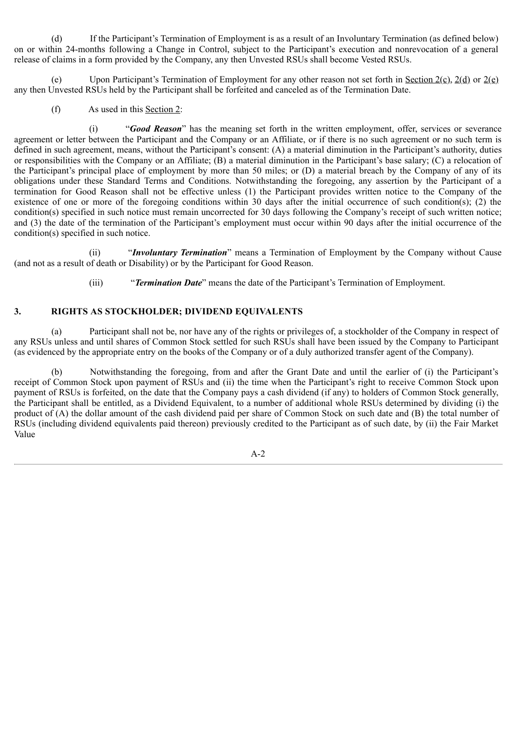(d) If the Participant's Termination of Employment is as a result of an Involuntary Termination (as defined below) on or within 24-months following a Change in Control, subject to the Participant's execution and nonrevocation of a general release of claims in a form provided by the Company, any then Unvested RSUs shall become Vested RSUs.

(e) Upon Participant's Termination of Employment for any other reason not set forth in Section  $2(c)$ ,  $2(d)$  or  $2(e)$ any then Unvested RSUs held by the Participant shall be forfeited and canceled as of the Termination Date.

(f) As used in this Section 2:

(i) "*Good Reason*" has the meaning set forth in the written employment, offer, services or severance agreement or letter between the Participant and the Company or an Affiliate, or if there is no such agreement or no such term is defined in such agreement, means, without the Participant's consent: (A) a material diminution in the Participant's authority, duties or responsibilities with the Company or an Affiliate; (B) a material diminution in the Participant's base salary; (C) a relocation of the Participant's principal place of employment by more than 50 miles; or (D) a material breach by the Company of any of its obligations under these Standard Terms and Conditions. Notwithstanding the foregoing, any assertion by the Participant of a termination for Good Reason shall not be effective unless (1) the Participant provides written notice to the Company of the existence of one or more of the foregoing conditions within 30 days after the initial occurrence of such condition(s); (2) the condition(s) specified in such notice must remain uncorrected for 30 days following the Company's receipt of such written notice; and (3) the date of the termination of the Participant's employment must occur within 90 days after the initial occurrence of the condition(s) specified in such notice.

(ii) "*Involuntary Termination*" means a Termination of Employment by the Company without Cause (and not as a result of death or Disability) or by the Participant for Good Reason.

(iii) "*Termination Date*" means the date of the Participant's Termination of Employment.

## **3. RIGHTS AS STOCKHOLDER; DIVIDEND EQUIVALENTS**

(a) Participant shall not be, nor have any of the rights or privileges of, a stockholder of the Company in respect of any RSUs unless and until shares of Common Stock settled for such RSUs shall have been issued by the Company to Participant (as evidenced by the appropriate entry on the books of the Company or of a duly authorized transfer agent of the Company).

(b) Notwithstanding the foregoing, from and after the Grant Date and until the earlier of (i) the Participant's receipt of Common Stock upon payment of RSUs and (ii) the time when the Participant's right to receive Common Stock upon payment of RSUs is forfeited, on the date that the Company pays a cash dividend (if any) to holders of Common Stock generally, the Participant shall be entitled, as a Dividend Equivalent, to a number of additional whole RSUs determined by dividing (i) the product of (A) the dollar amount of the cash dividend paid per share of Common Stock on such date and (B) the total number of RSUs (including dividend equivalents paid thereon) previously credited to the Participant as of such date, by (ii) the Fair Market Value

A-2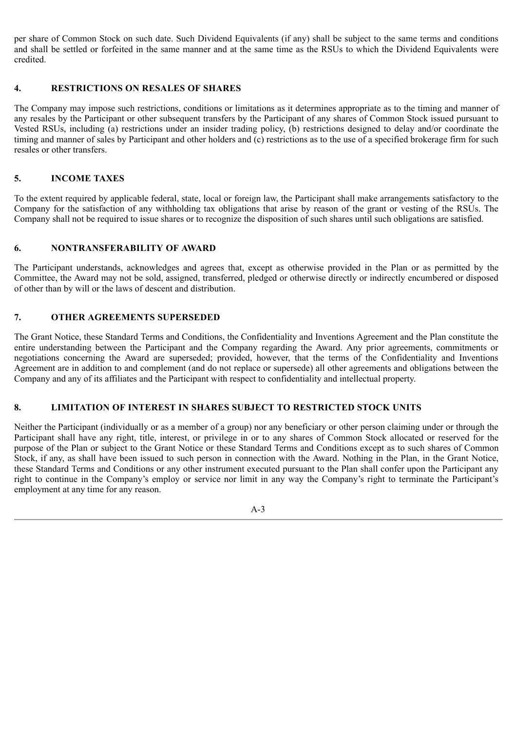per share of Common Stock on such date. Such Dividend Equivalents (if any) shall be subject to the same terms and conditions and shall be settled or forfeited in the same manner and at the same time as the RSUs to which the Dividend Equivalents were credited.

## **4. RESTRICTIONS ON RESALES OF SHARES**

The Company may impose such restrictions, conditions or limitations as it determines appropriate as to the timing and manner of any resales by the Participant or other subsequent transfers by the Participant of any shares of Common Stock issued pursuant to Vested RSUs, including (a) restrictions under an insider trading policy, (b) restrictions designed to delay and/or coordinate the timing and manner of sales by Participant and other holders and (c) restrictions as to the use of a specified brokerage firm for such resales or other transfers.

## **5. INCOME TAXES**

To the extent required by applicable federal, state, local or foreign law, the Participant shall make arrangements satisfactory to the Company for the satisfaction of any withholding tax obligations that arise by reason of the grant or vesting of the RSUs. The Company shall not be required to issue shares or to recognize the disposition of such shares until such obligations are satisfied.

## **6. NONTRANSFERABILITY OF AWARD**

The Participant understands, acknowledges and agrees that, except as otherwise provided in the Plan or as permitted by the Committee, the Award may not be sold, assigned, transferred, pledged or otherwise directly or indirectly encumbered or disposed of other than by will or the laws of descent and distribution.

## **7. OTHER AGREEMENTS SUPERSEDED**

The Grant Notice, these Standard Terms and Conditions, the Confidentiality and Inventions Agreement and the Plan constitute the entire understanding between the Participant and the Company regarding the Award. Any prior agreements, commitments or negotiations concerning the Award are superseded; provided, however, that the terms of the Confidentiality and Inventions Agreement are in addition to and complement (and do not replace or supersede) all other agreements and obligations between the Company and any of its affiliates and the Participant with respect to confidentiality and intellectual property.

## **8. LIMITATION OF INTEREST IN SHARES SUBJECT TO RESTRICTED STOCK UNITS**

Neither the Participant (individually or as a member of a group) nor any beneficiary or other person claiming under or through the Participant shall have any right, title, interest, or privilege in or to any shares of Common Stock allocated or reserved for the purpose of the Plan or subject to the Grant Notice or these Standard Terms and Conditions except as to such shares of Common Stock, if any, as shall have been issued to such person in connection with the Award. Nothing in the Plan, in the Grant Notice, these Standard Terms and Conditions or any other instrument executed pursuant to the Plan shall confer upon the Participant any right to continue in the Company's employ or service nor limit in any way the Company's right to terminate the Participant's employment at any time for any reason.

A-3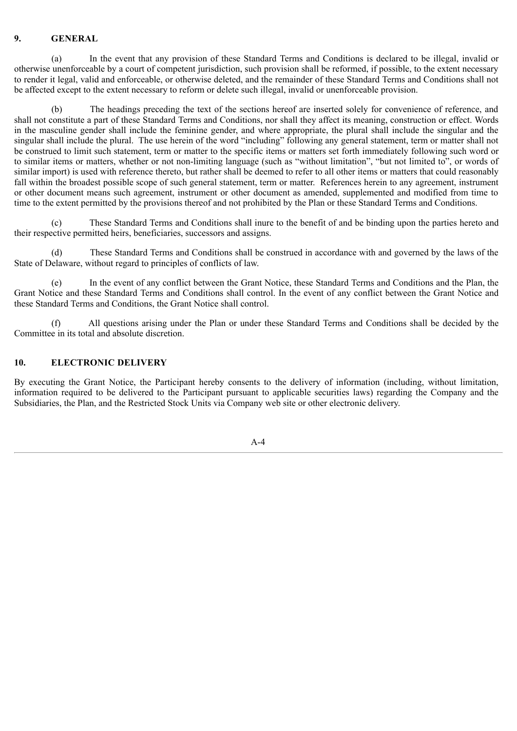## **9. GENERAL**

(a) In the event that any provision of these Standard Terms and Conditions is declared to be illegal, invalid or otherwise unenforceable by a court of competent jurisdiction, such provision shall be reformed, if possible, to the extent necessary to render it legal, valid and enforceable, or otherwise deleted, and the remainder of these Standard Terms and Conditions shall not be affected except to the extent necessary to reform or delete such illegal, invalid or unenforceable provision.

(b) The headings preceding the text of the sections hereof are inserted solely for convenience of reference, and shall not constitute a part of these Standard Terms and Conditions, nor shall they affect its meaning, construction or effect. Words in the masculine gender shall include the feminine gender, and where appropriate, the plural shall include the singular and the singular shall include the plural. The use herein of the word "including" following any general statement, term or matter shall not be construed to limit such statement, term or matter to the specific items or matters set forth immediately following such word or to similar items or matters, whether or not non-limiting language (such as "without limitation", "but not limited to", or words of similar import) is used with reference thereto, but rather shall be deemed to refer to all other items or matters that could reasonably fall within the broadest possible scope of such general statement, term or matter. References herein to any agreement, instrument or other document means such agreement, instrument or other document as amended, supplemented and modified from time to time to the extent permitted by the provisions thereof and not prohibited by the Plan or these Standard Terms and Conditions.

(c) These Standard Terms and Conditions shall inure to the benefit of and be binding upon the parties hereto and their respective permitted heirs, beneficiaries, successors and assigns.

(d) These Standard Terms and Conditions shall be construed in accordance with and governed by the laws of the State of Delaware, without regard to principles of conflicts of law.

(e) In the event of any conflict between the Grant Notice, these Standard Terms and Conditions and the Plan, the Grant Notice and these Standard Terms and Conditions shall control. In the event of any conflict between the Grant Notice and these Standard Terms and Conditions, the Grant Notice shall control.

(f) All questions arising under the Plan or under these Standard Terms and Conditions shall be decided by the Committee in its total and absolute discretion.

## **10. ELECTRONIC DELIVERY**

By executing the Grant Notice, the Participant hereby consents to the delivery of information (including, without limitation, information required to be delivered to the Participant pursuant to applicable securities laws) regarding the Company and the Subsidiaries, the Plan, and the Restricted Stock Units via Company web site or other electronic delivery.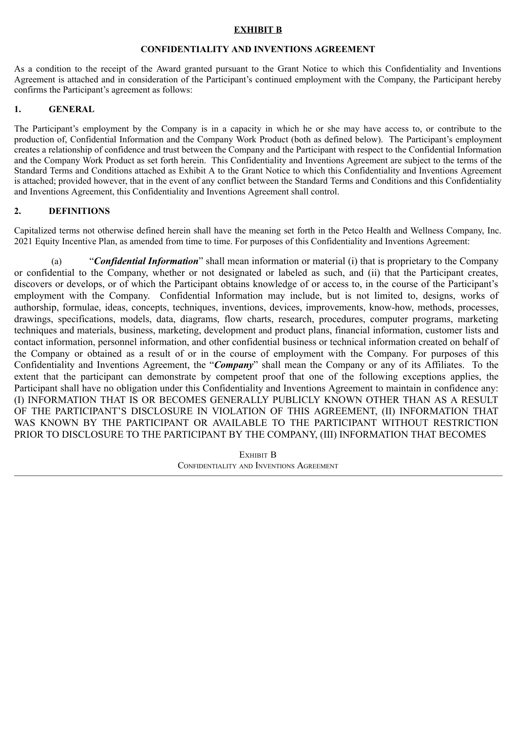### **EXHIBIT B**

## **CONFIDENTIALITY AND INVENTIONS AGREEMENT**

As a condition to the receipt of the Award granted pursuant to the Grant Notice to which this Confidentiality and Inventions Agreement is attached and in consideration of the Participant's continued employment with the Company, the Participant hereby confirms the Participant's agreement as follows:

## **1. GENERAL**

The Participant's employment by the Company is in a capacity in which he or she may have access to, or contribute to the production of, Confidential Information and the Company Work Product (both as defined below). The Participant's employment creates a relationship of confidence and trust between the Company and the Participant with respect to the Confidential Information and the Company Work Product as set forth herein. This Confidentiality and Inventions Agreement are subject to the terms of the Standard Terms and Conditions attached as Exhibit A to the Grant Notice to which this Confidentiality and Inventions Agreement is attached; provided however, that in the event of any conflict between the Standard Terms and Conditions and this Confidentiality and Inventions Agreement, this Confidentiality and Inventions Agreement shall control.

## **2. DEFINITIONS**

Capitalized terms not otherwise defined herein shall have the meaning set forth in the Petco Health and Wellness Company, Inc. 2021 Equity Incentive Plan, as amended from time to time. For purposes of this Confidentiality and Inventions Agreement:

(a) "*Confidential Information*" shall mean information or material (i) that is proprietary to the Company or confidential to the Company, whether or not designated or labeled as such, and (ii) that the Participant creates, discovers or develops, or of which the Participant obtains knowledge of or access to, in the course of the Participant's employment with the Company. Confidential Information may include, but is not limited to, designs, works of authorship, formulae, ideas, concepts, techniques, inventions, devices, improvements, know-how, methods, processes, drawings, specifications, models, data, diagrams, flow charts, research, procedures, computer programs, marketing techniques and materials, business, marketing, development and product plans, financial information, customer lists and contact information, personnel information, and other confidential business or technical information created on behalf of the Company or obtained as a result of or in the course of employment with the Company. For purposes of this Confidentiality and Inventions Agreement, the "*Company*" shall mean the Company or any of its Affiliates. To the extent that the participant can demonstrate by competent proof that one of the following exceptions applies, the Participant shall have no obligation under this Confidentiality and Inventions Agreement to maintain in confidence any: (I) INFORMATION THAT IS OR BECOMES GENERALLY PUBLICLY KNOWN OTHER THAN AS A RESULT OF THE PARTICIPANT'S DISCLOSURE IN VIOLATION OF THIS AGREEMENT, (II) INFORMATION THAT WAS KNOWN BY THE PARTICIPANT OR AVAILABLE TO THE PARTICIPANT WITHOUT RESTRICTION PRIOR TO DISCLOSURE TO THE PARTICIPANT BY THE COMPANY, (III) INFORMATION THAT BECOMES

> Exhibit B Confidentiality and Inventions Agreement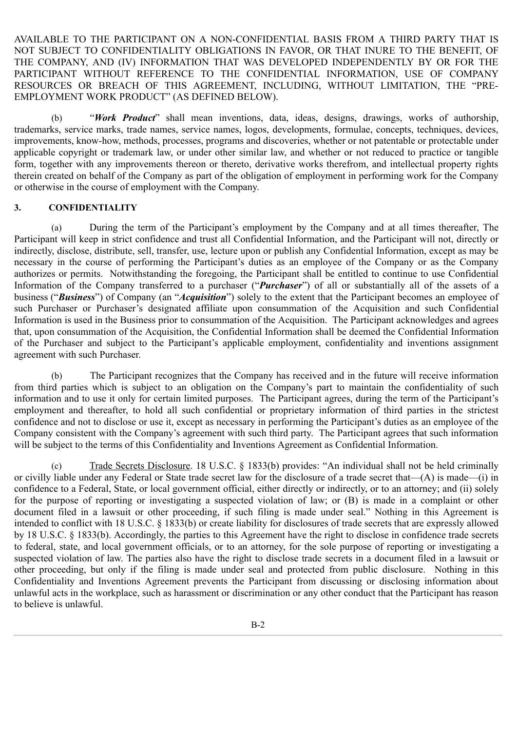AVAILABLE TO THE PARTICIPANT ON A NON-CONFIDENTIAL BASIS FROM A THIRD PARTY THAT IS NOT SUBJECT TO CONFIDENTIALITY OBLIGATIONS IN FAVOR, OR THAT INURE TO THE BENEFIT, OF THE COMPANY, AND (IV) INFORMATION THAT WAS DEVELOPED INDEPENDENTLY BY OR FOR THE PARTICIPANT WITHOUT REFERENCE TO THE CONFIDENTIAL INFORMATION, USE OF COMPANY RESOURCES OR BREACH OF THIS AGREEMENT, INCLUDING, WITHOUT LIMITATION, THE "PRE-EMPLOYMENT WORK PRODUCT" (AS DEFINED BELOW).

(b) "*Work Product*" shall mean inventions, data, ideas, designs, drawings, works of authorship, trademarks, service marks, trade names, service names, logos, developments, formulae, concepts, techniques, devices, improvements, know-how, methods, processes, programs and discoveries, whether or not patentable or protectable under applicable copyright or trademark law, or under other similar law, and whether or not reduced to practice or tangible form, together with any improvements thereon or thereto, derivative works therefrom, and intellectual property rights therein created on behalf of the Company as part of the obligation of employment in performing work for the Company or otherwise in the course of employment with the Company.

## **3. CONFIDENTIALITY**

(a) During the term of the Participant's employment by the Company and at all times thereafter, The Participant will keep in strict confidence and trust all Confidential Information, and the Participant will not, directly or indirectly, disclose, distribute, sell, transfer, use, lecture upon or publish any Confidential Information, except as may be necessary in the course of performing the Participant's duties as an employee of the Company or as the Company authorizes or permits. Notwithstanding the foregoing, the Participant shall be entitled to continue to use Confidential Information of the Company transferred to a purchaser ("*Purchaser*") of all or substantially all of the assets of a business ("*Business*") of Company (an "*Acquisition*") solely to the extent that the Participant becomes an employee of such Purchaser or Purchaser's designated affiliate upon consummation of the Acquisition and such Confidential Information is used in the Business prior to consummation of the Acquisition. The Participant acknowledges and agrees that, upon consummation of the Acquisition, the Confidential Information shall be deemed the Confidential Information of the Purchaser and subject to the Participant's applicable employment, confidentiality and inventions assignment agreement with such Purchaser.

(b) The Participant recognizes that the Company has received and in the future will receive information from third parties which is subject to an obligation on the Company's part to maintain the confidentiality of such information and to use it only for certain limited purposes. The Participant agrees, during the term of the Participant's employment and thereafter, to hold all such confidential or proprietary information of third parties in the strictest confidence and not to disclose or use it, except as necessary in performing the Participant's duties as an employee of the Company consistent with the Company's agreement with such third party. The Participant agrees that such information will be subject to the terms of this Confidentiality and Inventions Agreement as Confidential Information.

(c) Trade Secrets Disclosure. 18 U.S.C. § 1833(b) provides: "An individual shall not be held criminally or civilly liable under any Federal or State trade secret law for the disclosure of a trade secret that—(A) is made—(i) in confidence to a Federal, State, or local government official, either directly or indirectly, or to an attorney; and (ii) solely for the purpose of reporting or investigating a suspected violation of law; or (B) is made in a complaint or other document filed in a lawsuit or other proceeding, if such filing is made under seal." Nothing in this Agreement is intended to conflict with 18 U.S.C. § 1833(b) or create liability for disclosures of trade secrets that are expressly allowed by 18 U.S.C. § 1833(b). Accordingly, the parties to this Agreement have the right to disclose in confidence trade secrets to federal, state, and local government officials, or to an attorney, for the sole purpose of reporting or investigating a suspected violation of law. The parties also have the right to disclose trade secrets in a document filed in a lawsuit or other proceeding, but only if the filing is made under seal and protected from public disclosure. Nothing in this Confidentiality and Inventions Agreement prevents the Participant from discussing or disclosing information about unlawful acts in the workplace, such as harassment or discrimination or any other conduct that the Participant has reason to believe is unlawful.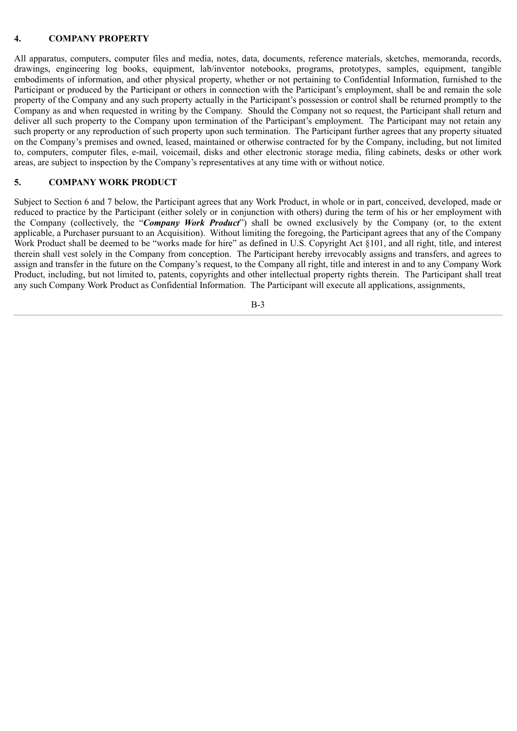## **4. COMPANY PROPERTY**

All apparatus, computers, computer files and media, notes, data, documents, reference materials, sketches, memoranda, records, drawings, engineering log books, equipment, lab/inventor notebooks, programs, prototypes, samples, equipment, tangible embodiments of information, and other physical property, whether or not pertaining to Confidential Information, furnished to the Participant or produced by the Participant or others in connection with the Participant's employment, shall be and remain the sole property of the Company and any such property actually in the Participant's possession or control shall be returned promptly to the Company as and when requested in writing by the Company. Should the Company not so request, the Participant shall return and deliver all such property to the Company upon termination of the Participant's employment. The Participant may not retain any such property or any reproduction of such property upon such termination. The Participant further agrees that any property situated on the Company's premises and owned, leased, maintained or otherwise contracted for by the Company, including, but not limited to, computers, computer files, e-mail, voicemail, disks and other electronic storage media, filing cabinets, desks or other work areas, are subject to inspection by the Company's representatives at any time with or without notice.

## **5. COMPANY WORK PRODUCT**

Subject to Section 6 and 7 below, the Participant agrees that any Work Product, in whole or in part, conceived, developed, made or reduced to practice by the Participant (either solely or in conjunction with others) during the term of his or her employment with the Company (collectively, the "*Company Work Product*") shall be owned exclusively by the Company (or, to the extent applicable, a Purchaser pursuant to an Acquisition). Without limiting the foregoing, the Participant agrees that any of the Company Work Product shall be deemed to be "works made for hire" as defined in U.S. Copyright Act §101, and all right, title, and interest therein shall vest solely in the Company from conception. The Participant hereby irrevocably assigns and transfers, and agrees to assign and transfer in the future on the Company's request, to the Company all right, title and interest in and to any Company Work Product, including, but not limited to, patents, copyrights and other intellectual property rights therein. The Participant shall treat any such Company Work Product as Confidential Information. The Participant will execute all applications, assignments,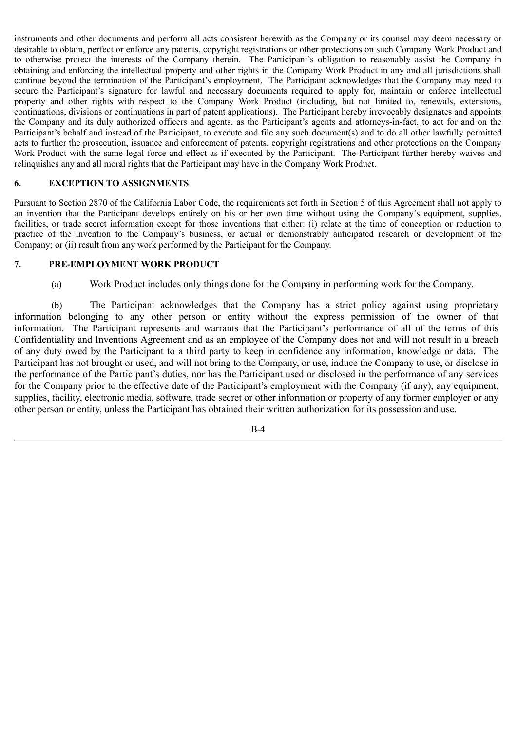instruments and other documents and perform all acts consistent herewith as the Company or its counsel may deem necessary or desirable to obtain, perfect or enforce any patents, copyright registrations or other protections on such Company Work Product and to otherwise protect the interests of the Company therein. The Participant's obligation to reasonably assist the Company in obtaining and enforcing the intellectual property and other rights in the Company Work Product in any and all jurisdictions shall continue beyond the termination of the Participant's employment. The Participant acknowledges that the Company may need to secure the Participant's signature for lawful and necessary documents required to apply for, maintain or enforce intellectual property and other rights with respect to the Company Work Product (including, but not limited to, renewals, extensions, continuations, divisions or continuations in part of patent applications). The Participant hereby irrevocably designates and appoints the Company and its duly authorized officers and agents, as the Participant's agents and attorneys-in-fact, to act for and on the Participant's behalf and instead of the Participant, to execute and file any such document(s) and to do all other lawfully permitted acts to further the prosecution, issuance and enforcement of patents, copyright registrations and other protections on the Company Work Product with the same legal force and effect as if executed by the Participant. The Participant further hereby waives and relinquishes any and all moral rights that the Participant may have in the Company Work Product.

## **6. EXCEPTION TO ASSIGNMENTS**

Pursuant to Section 2870 of the California Labor Code, the requirements set forth in Section 5 of this Agreement shall not apply to an invention that the Participant develops entirely on his or her own time without using the Company's equipment, supplies, facilities, or trade secret information except for those inventions that either: (i) relate at the time of conception or reduction to practice of the invention to the Company's business, or actual or demonstrably anticipated research or development of the Company; or (ii) result from any work performed by the Participant for the Company.

## **7. PRE-EMPLOYMENT WORK PRODUCT**

(a) Work Product includes only things done for the Company in performing work for the Company.

(b) The Participant acknowledges that the Company has a strict policy against using proprietary information belonging to any other person or entity without the express permission of the owner of that information. The Participant represents and warrants that the Participant's performance of all of the terms of this Confidentiality and Inventions Agreement and as an employee of the Company does not and will not result in a breach of any duty owed by the Participant to a third party to keep in confidence any information, knowledge or data. The Participant has not brought or used, and will not bring to the Company, or use, induce the Company to use, or disclose in the performance of the Participant's duties, nor has the Participant used or disclosed in the performance of any services for the Company prior to the effective date of the Participant's employment with the Company (if any), any equipment, supplies, facility, electronic media, software, trade secret or other information or property of any former employer or any other person or entity, unless the Participant has obtained their written authorization for its possession and use.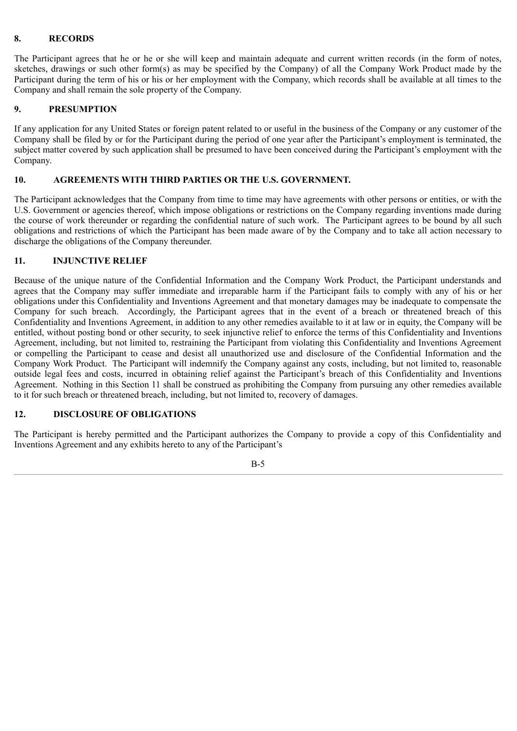## **8. RECORDS**

The Participant agrees that he or he or she will keep and maintain adequate and current written records (in the form of notes, sketches, drawings or such other form(s) as may be specified by the Company) of all the Company Work Product made by the Participant during the term of his or his or her employment with the Company, which records shall be available at all times to the Company and shall remain the sole property of the Company.

## **9. PRESUMPTION**

If any application for any United States or foreign patent related to or useful in the business of the Company or any customer of the Company shall be filed by or for the Participant during the period of one year after the Participant's employment is terminated, the subject matter covered by such application shall be presumed to have been conceived during the Participant's employment with the Company.

## **10. AGREEMENTS WITH THIRD PARTIES OR THE U.S. GOVERNMENT.**

The Participant acknowledges that the Company from time to time may have agreements with other persons or entities, or with the U.S. Government or agencies thereof, which impose obligations or restrictions on the Company regarding inventions made during the course of work thereunder or regarding the confidential nature of such work. The Participant agrees to be bound by all such obligations and restrictions of which the Participant has been made aware of by the Company and to take all action necessary to discharge the obligations of the Company thereunder.

## **11. INJUNCTIVE RELIEF**

Because of the unique nature of the Confidential Information and the Company Work Product, the Participant understands and agrees that the Company may suffer immediate and irreparable harm if the Participant fails to comply with any of his or her obligations under this Confidentiality and Inventions Agreement and that monetary damages may be inadequate to compensate the Company for such breach. Accordingly, the Participant agrees that in the event of a breach or threatened breach of this Confidentiality and Inventions Agreement, in addition to any other remedies available to it at law or in equity, the Company will be entitled, without posting bond or other security, to seek injunctive relief to enforce the terms of this Confidentiality and Inventions Agreement, including, but not limited to, restraining the Participant from violating this Confidentiality and Inventions Agreement or compelling the Participant to cease and desist all unauthorized use and disclosure of the Confidential Information and the Company Work Product. The Participant will indemnify the Company against any costs, including, but not limited to, reasonable outside legal fees and costs, incurred in obtaining relief against the Participant's breach of this Confidentiality and Inventions Agreement. Nothing in this Section 11 shall be construed as prohibiting the Company from pursuing any other remedies available to it for such breach or threatened breach, including, but not limited to, recovery of damages.

## **12. DISCLOSURE OF OBLIGATIONS**

The Participant is hereby permitted and the Participant authorizes the Company to provide a copy of this Confidentiality and Inventions Agreement and any exhibits hereto to any of the Participant's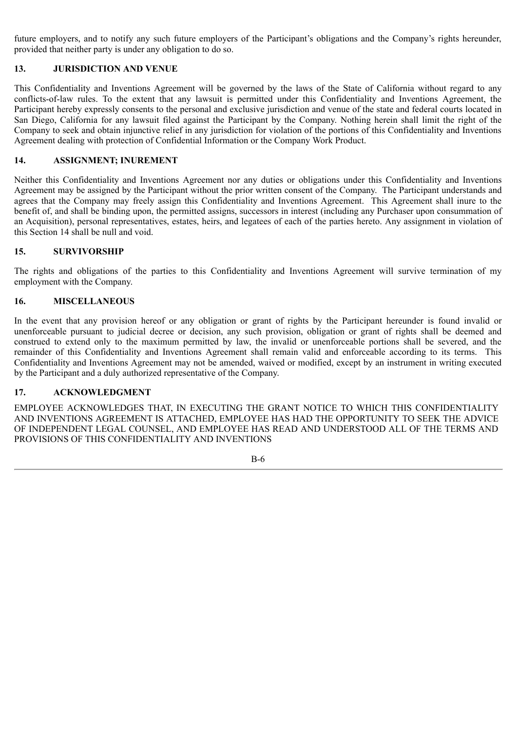future employers, and to notify any such future employers of the Participant's obligations and the Company's rights hereunder, provided that neither party is under any obligation to do so.

## **13. JURISDICTION AND VENUE**

This Confidentiality and Inventions Agreement will be governed by the laws of the State of California without regard to any conflicts-of-law rules. To the extent that any lawsuit is permitted under this Confidentiality and Inventions Agreement, the Participant hereby expressly consents to the personal and exclusive jurisdiction and venue of the state and federal courts located in San Diego, California for any lawsuit filed against the Participant by the Company. Nothing herein shall limit the right of the Company to seek and obtain injunctive relief in any jurisdiction for violation of the portions of this Confidentiality and Inventions Agreement dealing with protection of Confidential Information or the Company Work Product.

## **14. ASSIGNMENT; INUREMENT**

Neither this Confidentiality and Inventions Agreement nor any duties or obligations under this Confidentiality and Inventions Agreement may be assigned by the Participant without the prior written consent of the Company. The Participant understands and agrees that the Company may freely assign this Confidentiality and Inventions Agreement. This Agreement shall inure to the benefit of, and shall be binding upon, the permitted assigns, successors in interest (including any Purchaser upon consummation of an Acquisition), personal representatives, estates, heirs, and legatees of each of the parties hereto. Any assignment in violation of this Section 14 shall be null and void.

## **15. SURVIVORSHIP**

The rights and obligations of the parties to this Confidentiality and Inventions Agreement will survive termination of my employment with the Company.

## **16. MISCELLANEOUS**

In the event that any provision hereof or any obligation or grant of rights by the Participant hereunder is found invalid or unenforceable pursuant to judicial decree or decision, any such provision, obligation or grant of rights shall be deemed and construed to extend only to the maximum permitted by law, the invalid or unenforceable portions shall be severed, and the remainder of this Confidentiality and Inventions Agreement shall remain valid and enforceable according to its terms. This Confidentiality and Inventions Agreement may not be amended, waived or modified, except by an instrument in writing executed by the Participant and a duly authorized representative of the Company.

## **17. ACKNOWLEDGMENT**

EMPLOYEE ACKNOWLEDGES THAT, IN EXECUTING THE GRANT NOTICE TO WHICH THIS CONFIDENTIALITY AND INVENTIONS AGREEMENT IS ATTACHED, EMPLOYEE HAS HAD THE OPPORTUNITY TO SEEK THE ADVICE OF INDEPENDENT LEGAL COUNSEL, AND EMPLOYEE HAS READ AND UNDERSTOOD ALL OF THE TERMS AND PROVISIONS OF THIS CONFIDENTIALITY AND INVENTIONS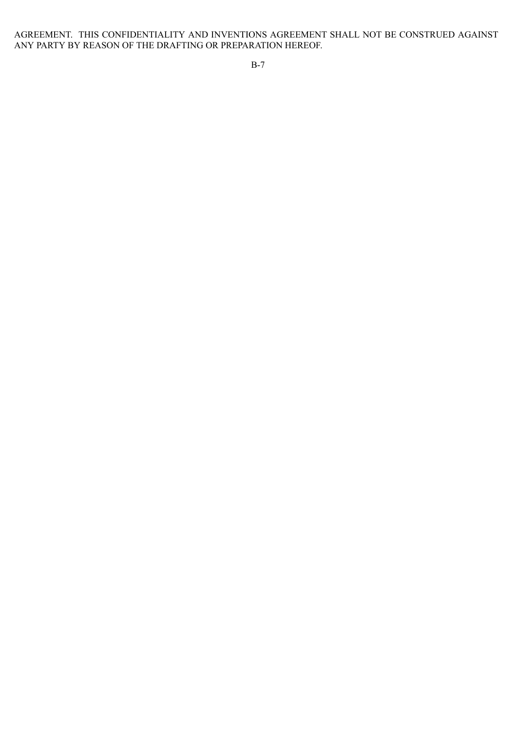AGREEMENT. THIS CONFIDENTIALITY AND INVENTIONS AGREEMENT SHALL NOT BE CONSTRUED AGAINST ANY PARTY BY REASON OF THE DRAFTING OR PREPARATION HEREOF.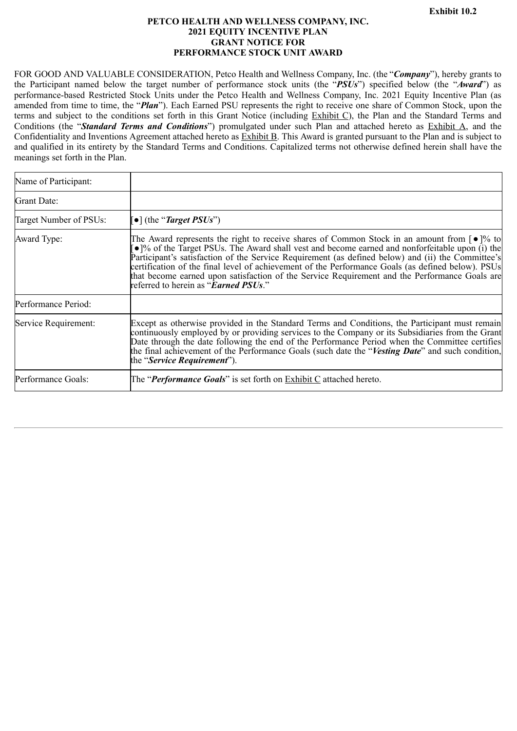### **PETCO HEALTH AND WELLNESS COMPANY, INC. 2021 EQUITY INCENTIVE PLAN GRANT NOTICE FOR PERFORMANCE STOCK UNIT AWARD**

<span id="page-41-0"></span>FOR GOOD AND VALUABLE CONSIDERATION, Petco Health and Wellness Company, Inc. (the "*Company*"), hereby grants to the Participant named below the target number of performance stock units (the "*PSUs*") specified below (the "*Award*") as performance-based Restricted Stock Units under the Petco Health and Wellness Company, Inc. 2021 Equity Incentive Plan (as amended from time to time, the "*Plan*"). Each Earned PSU represents the right to receive one share of Common Stock, upon the terms and subject to the conditions set forth in this Grant Notice (including Exhibit C), the Plan and the Standard Terms and Conditions (the "*Standard Terms and Conditions*") promulgated under such Plan and attached hereto as Exhibit A, and the Confidentiality and Inventions Agreement attached hereto as Exhibit B. This Award is granted pursuant to the Plan and is subject to and qualified in its entirety by the Standard Terms and Conditions. Capitalized terms not otherwise defined herein shall have the meanings set forth in the Plan.

| Name of Participant:   |                                                                                                                                                                                                                                                                                                                                                                                                                                                                                                                                                                                       |
|------------------------|---------------------------------------------------------------------------------------------------------------------------------------------------------------------------------------------------------------------------------------------------------------------------------------------------------------------------------------------------------------------------------------------------------------------------------------------------------------------------------------------------------------------------------------------------------------------------------------|
| Grant Date:            |                                                                                                                                                                                                                                                                                                                                                                                                                                                                                                                                                                                       |
| Target Number of PSUs: | $\lceil \bullet \rceil$ (the " <i>Target PSUs</i> ")                                                                                                                                                                                                                                                                                                                                                                                                                                                                                                                                  |
| Award Type:            | The Award represents the right to receive shares of Common Stock in an amount from $\lceil \bullet \rceil\%$ to<br>$\bullet$ % of the Target PSUs. The Award shall vest and become earned and nonforfeitable upon (i) the<br>Participant's satisfaction of the Service Requirement (as defined below) and (ii) the Committee's<br>certification of the final level of achievement of the Performance Goals (as defined below). PSUs<br>that become earned upon satisfaction of the Service Requirement and the Performance Goals are<br>referred to herein as " <i>Earned PSUs</i> ." |
| Performance Period:    |                                                                                                                                                                                                                                                                                                                                                                                                                                                                                                                                                                                       |
| Service Requirement:   | Except as otherwise provided in the Standard Terms and Conditions, the Participant must remain<br>continuously employed by or providing services to the Company or its Subsidiaries from the Grant<br>Date through the date following the end of the Performance Period when the Committee certifies<br>the final achievement of the Performance Goals (such date the "Vesting Date" and such condition,<br>the "Service Requirement").                                                                                                                                               |
| Performance Goals:     | The " <i>Performance Goals</i> " is set forth on <b>Exhibit C</b> attached hereto.                                                                                                                                                                                                                                                                                                                                                                                                                                                                                                    |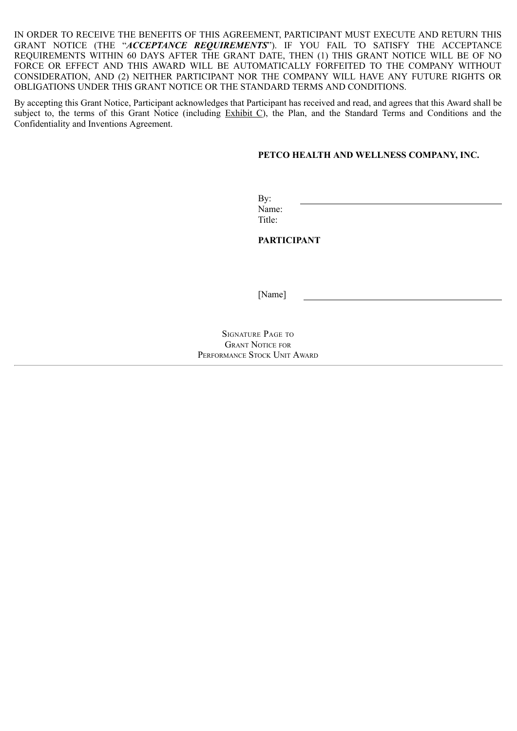IN ORDER TO RECEIVE THE BENEFITS OF THIS AGREEMENT, PARTICIPANT MUST EXECUTE AND RETURN THIS GRANT NOTICE (THE "*ACCEPTANCE REQUIREMENTS*"). IF YOU FAIL TO SATISFY THE ACCEPTANCE REQUIREMENTS WITHIN 60 DAYS AFTER THE GRANT DATE, THEN (1) THIS GRANT NOTICE WILL BE OF NO FORCE OR EFFECT AND THIS AWARD WILL BE AUTOMATICALLY FORFEITED TO THE COMPANY WITHOUT CONSIDERATION, AND (2) NEITHER PARTICIPANT NOR THE COMPANY WILL HAVE ANY FUTURE RIGHTS OR OBLIGATIONS UNDER THIS GRANT NOTICE OR THE STANDARD TERMS AND CONDITIONS.

By accepting this Grant Notice, Participant acknowledges that Participant has received and read, and agrees that this Award shall be subject to, the terms of this Grant Notice (including Exhibit C), the Plan, and the Standard Terms and Conditions and the Confidentiality and Inventions Agreement.

### **PETCO HEALTH AND WELLNESS COMPANY, INC.**

By: Name: Title:

**PARTICIPANT**

[Name]

Signature Page to **GRANT NOTICE FOR** PERFORMANCE STOCK UNIT AWARD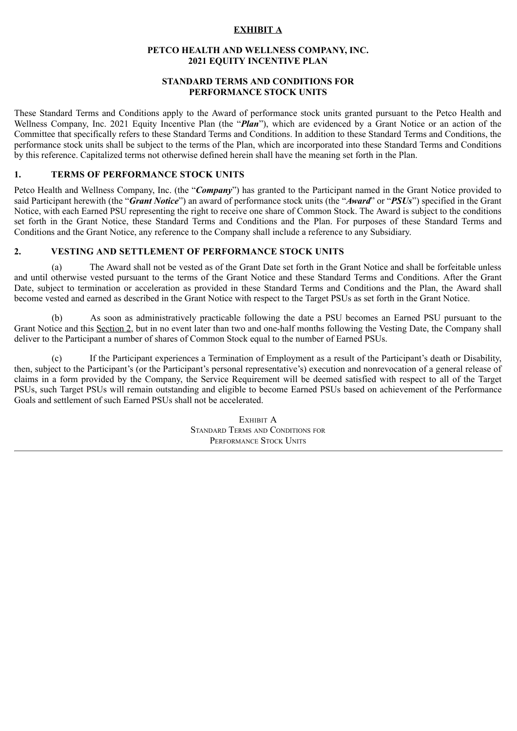## **EXHIBIT A**

### **PETCO HEALTH AND WELLNESS COMPANY, INC. 2021 EQUITY INCENTIVE PLAN**

## **STANDARD TERMS AND CONDITIONS FOR PERFORMANCE STOCK UNITS**

These Standard Terms and Conditions apply to the Award of performance stock units granted pursuant to the Petco Health and Wellness Company, Inc. 2021 Equity Incentive Plan (the "*Plan*"), which are evidenced by a Grant Notice or an action of the Committee that specifically refers to these Standard Terms and Conditions. In addition to these Standard Terms and Conditions, the performance stock units shall be subject to the terms of the Plan, which are incorporated into these Standard Terms and Conditions by this reference. Capitalized terms not otherwise defined herein shall have the meaning set forth in the Plan.

## **1. TERMS OF PERFORMANCE STOCK UNITS**

Petco Health and Wellness Company, Inc. (the "*Company*") has granted to the Participant named in the Grant Notice provided to said Participant herewith (the "*Grant Notice*") an award of performance stock units (the "*Award*" or "*PSUs*") specified in the Grant Notice, with each Earned PSU representing the right to receive one share of Common Stock. The Award is subject to the conditions set forth in the Grant Notice, these Standard Terms and Conditions and the Plan. For purposes of these Standard Terms and Conditions and the Grant Notice, any reference to the Company shall include a reference to any Subsidiary.

### **2. VESTING AND SETTLEMENT OF PERFORMANCE STOCK UNITS**

(a) The Award shall not be vested as of the Grant Date set forth in the Grant Notice and shall be forfeitable unless and until otherwise vested pursuant to the terms of the Grant Notice and these Standard Terms and Conditions. After the Grant Date, subject to termination or acceleration as provided in these Standard Terms and Conditions and the Plan, the Award shall become vested and earned as described in the Grant Notice with respect to the Target PSUs as set forth in the Grant Notice.

(b) As soon as administratively practicable following the date a PSU becomes an Earned PSU pursuant to the Grant Notice and this Section 2, but in no event later than two and one-half months following the Vesting Date, the Company shall deliver to the Participant a number of shares of Common Stock equal to the number of Earned PSUs.

(c) If the Participant experiences a Termination of Employment as a result of the Participant's death or Disability, then, subject to the Participant's (or the Participant's personal representative's) execution and nonrevocation of a general release of claims in a form provided by the Company, the Service Requirement will be deemed satisfied with respect to all of the Target PSUs, such Target PSUs will remain outstanding and eligible to become Earned PSUs based on achievement of the Performance Goals and settlement of such Earned PSUs shall not be accelerated.

> EXHIBIT A Standard Terms and Conditions for PERFORMANCE STOCK UNITS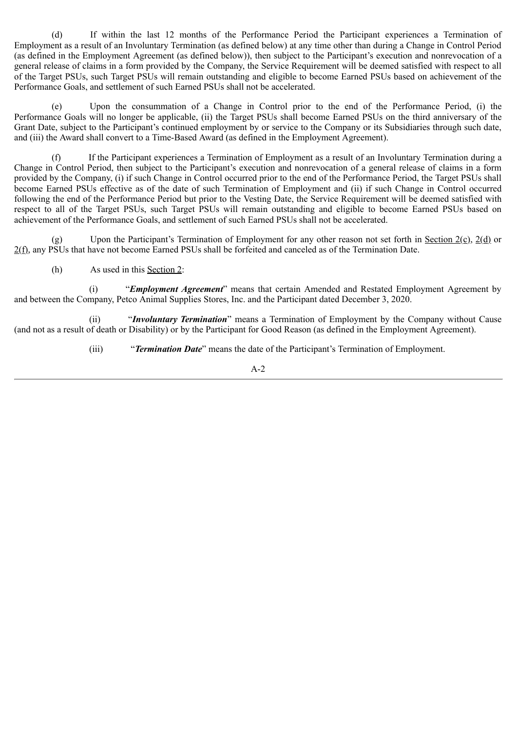(d) If within the last 12 months of the Performance Period the Participant experiences a Termination of Employment as a result of an Involuntary Termination (as defined below) at any time other than during a Change in Control Period (as defined in the Employment Agreement (as defined below)), then subject to the Participant's execution and nonrevocation of a general release of claims in a form provided by the Company, the Service Requirement will be deemed satisfied with respect to all of the Target PSUs, such Target PSUs will remain outstanding and eligible to become Earned PSUs based on achievement of the Performance Goals, and settlement of such Earned PSUs shall not be accelerated.

(e) Upon the consummation of a Change in Control prior to the end of the Performance Period, (i) the Performance Goals will no longer be applicable, (ii) the Target PSUs shall become Earned PSUs on the third anniversary of the Grant Date, subject to the Participant's continued employment by or service to the Company or its Subsidiaries through such date, and (iii) the Award shall convert to a Time-Based Award (as defined in the Employment Agreement).

(f) If the Participant experiences a Termination of Employment as a result of an Involuntary Termination during a Change in Control Period, then subject to the Participant's execution and nonrevocation of a general release of claims in a form provided by the Company, (i) if such Change in Control occurred prior to the end of the Performance Period, the Target PSUs shall become Earned PSUs effective as of the date of such Termination of Employment and (ii) if such Change in Control occurred following the end of the Performance Period but prior to the Vesting Date, the Service Requirement will be deemed satisfied with respect to all of the Target PSUs, such Target PSUs will remain outstanding and eligible to become Earned PSUs based on achievement of the Performance Goals, and settlement of such Earned PSUs shall not be accelerated.

(g) Upon the Participant's Termination of Employment for any other reason not set forth in Section 2(c), 2(d) or  $2(f)$ , any PSUs that have not become Earned PSUs shall be forfeited and canceled as of the Termination Date.

(h) As used in this Section 2:

(i) "*Employment Agreement*" means that certain Amended and Restated Employment Agreement by and between the Company, Petco Animal Supplies Stores, Inc. and the Participant dated December 3, 2020.

(ii) "*Involuntary Termination*" means a Termination of Employment by the Company without Cause (and not as a result of death or Disability) or by the Participant for Good Reason (as defined in the Employment Agreement).

(iii) "*Termination Date*" means the date of the Participant's Termination of Employment.

A-2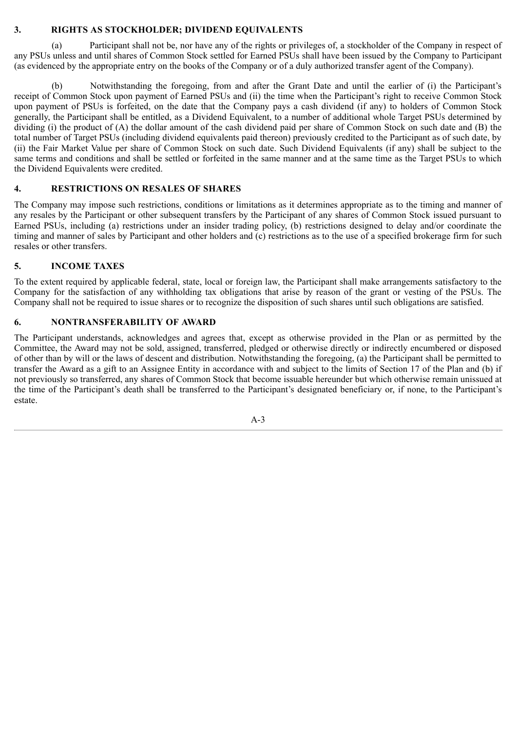## **3. RIGHTS AS STOCKHOLDER; DIVIDEND EQUIVALENTS**

(a) Participant shall not be, nor have any of the rights or privileges of, a stockholder of the Company in respect of any PSUs unless and until shares of Common Stock settled for Earned PSUs shall have been issued by the Company to Participant (as evidenced by the appropriate entry on the books of the Company or of a duly authorized transfer agent of the Company).

(b) Notwithstanding the foregoing, from and after the Grant Date and until the earlier of (i) the Participant's receipt of Common Stock upon payment of Earned PSUs and (ii) the time when the Participant's right to receive Common Stock upon payment of PSUs is forfeited, on the date that the Company pays a cash dividend (if any) to holders of Common Stock generally, the Participant shall be entitled, as a Dividend Equivalent, to a number of additional whole Target PSUs determined by dividing (i) the product of (A) the dollar amount of the cash dividend paid per share of Common Stock on such date and (B) the total number of Target PSUs (including dividend equivalents paid thereon) previously credited to the Participant as of such date, by (ii) the Fair Market Value per share of Common Stock on such date. Such Dividend Equivalents (if any) shall be subject to the same terms and conditions and shall be settled or forfeited in the same manner and at the same time as the Target PSUs to which the Dividend Equivalents were credited.

## **4. RESTRICTIONS ON RESALES OF SHARES**

The Company may impose such restrictions, conditions or limitations as it determines appropriate as to the timing and manner of any resales by the Participant or other subsequent transfers by the Participant of any shares of Common Stock issued pursuant to Earned PSUs, including (a) restrictions under an insider trading policy, (b) restrictions designed to delay and/or coordinate the timing and manner of sales by Participant and other holders and (c) restrictions as to the use of a specified brokerage firm for such resales or other transfers.

## **5. INCOME TAXES**

To the extent required by applicable federal, state, local or foreign law, the Participant shall make arrangements satisfactory to the Company for the satisfaction of any withholding tax obligations that arise by reason of the grant or vesting of the PSUs. The Company shall not be required to issue shares or to recognize the disposition of such shares until such obligations are satisfied.

## **6. NONTRANSFERABILITY OF AWARD**

The Participant understands, acknowledges and agrees that, except as otherwise provided in the Plan or as permitted by the Committee, the Award may not be sold, assigned, transferred, pledged or otherwise directly or indirectly encumbered or disposed of other than by will or the laws of descent and distribution. Notwithstanding the foregoing, (a) the Participant shall be permitted to transfer the Award as a gift to an Assignee Entity in accordance with and subject to the limits of Section 17 of the Plan and (b) if not previously so transferred, any shares of Common Stock that become issuable hereunder but which otherwise remain unissued at the time of the Participant's death shall be transferred to the Participant's designated beneficiary or, if none, to the Participant's estate.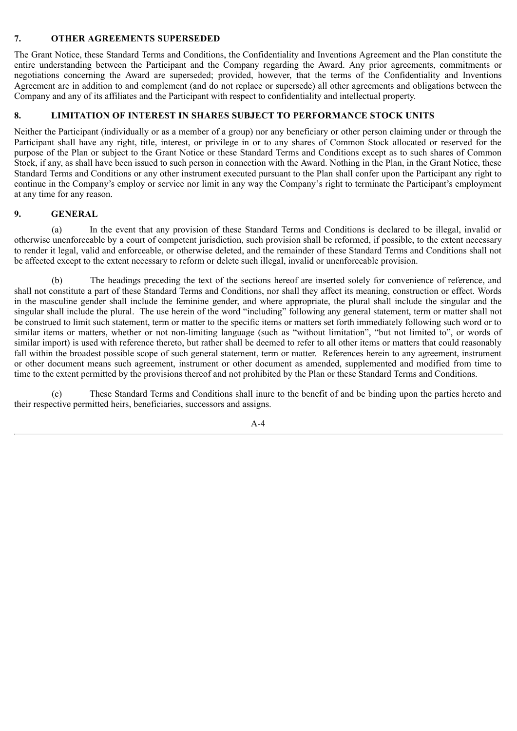### **7. OTHER AGREEMENTS SUPERSEDED**

The Grant Notice, these Standard Terms and Conditions, the Confidentiality and Inventions Agreement and the Plan constitute the entire understanding between the Participant and the Company regarding the Award. Any prior agreements, commitments or negotiations concerning the Award are superseded; provided, however, that the terms of the Confidentiality and Inventions Agreement are in addition to and complement (and do not replace or supersede) all other agreements and obligations between the Company and any of its affiliates and the Participant with respect to confidentiality and intellectual property.

## **8. LIMITATION OF INTEREST IN SHARES SUBJECT TO PERFORMANCE STOCK UNITS**

Neither the Participant (individually or as a member of a group) nor any beneficiary or other person claiming under or through the Participant shall have any right, title, interest, or privilege in or to any shares of Common Stock allocated or reserved for the purpose of the Plan or subject to the Grant Notice or these Standard Terms and Conditions except as to such shares of Common Stock, if any, as shall have been issued to such person in connection with the Award. Nothing in the Plan, in the Grant Notice, these Standard Terms and Conditions or any other instrument executed pursuant to the Plan shall confer upon the Participant any right to continue in the Company's employ or service nor limit in any way the Company's right to terminate the Participant's employment at any time for any reason.

## **9. GENERAL**

(a) In the event that any provision of these Standard Terms and Conditions is declared to be illegal, invalid or otherwise unenforceable by a court of competent jurisdiction, such provision shall be reformed, if possible, to the extent necessary to render it legal, valid and enforceable, or otherwise deleted, and the remainder of these Standard Terms and Conditions shall not be affected except to the extent necessary to reform or delete such illegal, invalid or unenforceable provision.

(b) The headings preceding the text of the sections hereof are inserted solely for convenience of reference, and shall not constitute a part of these Standard Terms and Conditions, nor shall they affect its meaning, construction or effect. Words in the masculine gender shall include the feminine gender, and where appropriate, the plural shall include the singular and the singular shall include the plural. The use herein of the word "including" following any general statement, term or matter shall not be construed to limit such statement, term or matter to the specific items or matters set forth immediately following such word or to similar items or matters, whether or not non-limiting language (such as "without limitation", "but not limited to", or words of similar import) is used with reference thereto, but rather shall be deemed to refer to all other items or matters that could reasonably fall within the broadest possible scope of such general statement, term or matter. References herein to any agreement, instrument or other document means such agreement, instrument or other document as amended, supplemented and modified from time to time to the extent permitted by the provisions thereof and not prohibited by the Plan or these Standard Terms and Conditions.

(c) These Standard Terms and Conditions shall inure to the benefit of and be binding upon the parties hereto and their respective permitted heirs, beneficiaries, successors and assigns.

 $A-4$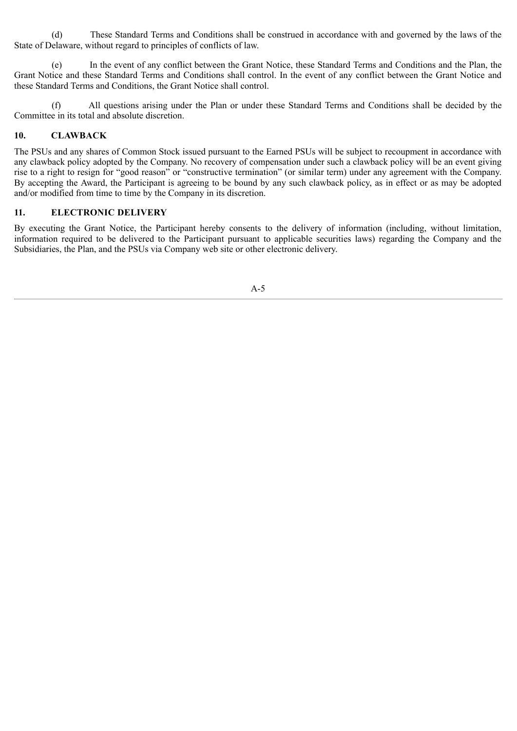(d) These Standard Terms and Conditions shall be construed in accordance with and governed by the laws of the State of Delaware, without regard to principles of conflicts of law.

(e) In the event of any conflict between the Grant Notice, these Standard Terms and Conditions and the Plan, the Grant Notice and these Standard Terms and Conditions shall control. In the event of any conflict between the Grant Notice and these Standard Terms and Conditions, the Grant Notice shall control.

(f) All questions arising under the Plan or under these Standard Terms and Conditions shall be decided by the Committee in its total and absolute discretion.

## **10. CLAWBACK**

The PSUs and any shares of Common Stock issued pursuant to the Earned PSUs will be subject to recoupment in accordance with any clawback policy adopted by the Company. No recovery of compensation under such a clawback policy will be an event giving rise to a right to resign for "good reason" or "constructive termination" (or similar term) under any agreement with the Company. By accepting the Award, the Participant is agreeing to be bound by any such clawback policy, as in effect or as may be adopted and/or modified from time to time by the Company in its discretion.

## **11. ELECTRONIC DELIVERY**

By executing the Grant Notice, the Participant hereby consents to the delivery of information (including, without limitation, information required to be delivered to the Participant pursuant to applicable securities laws) regarding the Company and the Subsidiaries, the Plan, and the PSUs via Company web site or other electronic delivery.

A-5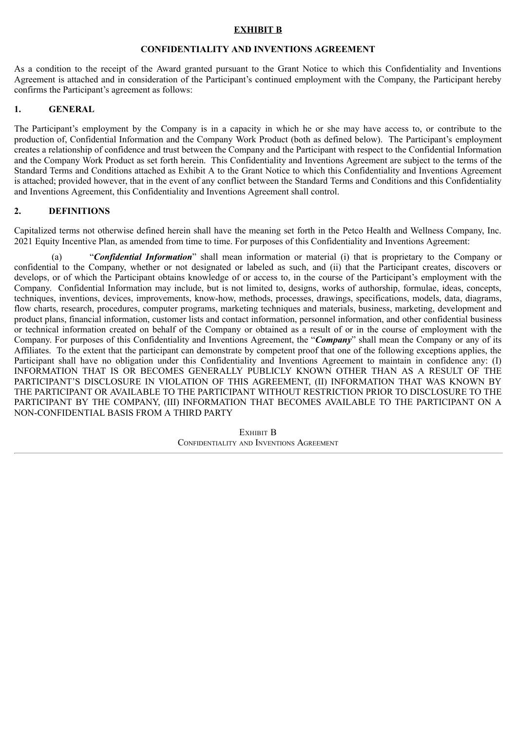### **EXHIBIT B**

### **CONFIDENTIALITY AND INVENTIONS AGREEMENT**

As a condition to the receipt of the Award granted pursuant to the Grant Notice to which this Confidentiality and Inventions Agreement is attached and in consideration of the Participant's continued employment with the Company, the Participant hereby confirms the Participant's agreement as follows:

## **1. GENERAL**

The Participant's employment by the Company is in a capacity in which he or she may have access to, or contribute to the production of, Confidential Information and the Company Work Product (both as defined below). The Participant's employment creates a relationship of confidence and trust between the Company and the Participant with respect to the Confidential Information and the Company Work Product as set forth herein. This Confidentiality and Inventions Agreement are subject to the terms of the Standard Terms and Conditions attached as Exhibit A to the Grant Notice to which this Confidentiality and Inventions Agreement is attached; provided however, that in the event of any conflict between the Standard Terms and Conditions and this Confidentiality and Inventions Agreement, this Confidentiality and Inventions Agreement shall control.

## **2. DEFINITIONS**

Capitalized terms not otherwise defined herein shall have the meaning set forth in the Petco Health and Wellness Company, Inc. 2021 Equity Incentive Plan, as amended from time to time. For purposes of this Confidentiality and Inventions Agreement:

(a) "*Confidential Information*" shall mean information or material (i) that is proprietary to the Company or confidential to the Company, whether or not designated or labeled as such, and (ii) that the Participant creates, discovers or develops, or of which the Participant obtains knowledge of or access to, in the course of the Participant's employment with the Company. Confidential Information may include, but is not limited to, designs, works of authorship, formulae, ideas, concepts, techniques, inventions, devices, improvements, know-how, methods, processes, drawings, specifications, models, data, diagrams, flow charts, research, procedures, computer programs, marketing techniques and materials, business, marketing, development and product plans, financial information, customer lists and contact information, personnel information, and other confidential business or technical information created on behalf of the Company or obtained as a result of or in the course of employment with the Company. For purposes of this Confidentiality and Inventions Agreement, the "*Company*" shall mean the Company or any of its Affiliates. To the extent that the participant can demonstrate by competent proof that one of the following exceptions applies, the Participant shall have no obligation under this Confidentiality and Inventions Agreement to maintain in confidence any: (I) INFORMATION THAT IS OR BECOMES GENERALLY PUBLICLY KNOWN OTHER THAN AS A RESULT OF THE PARTICIPANT'S DISCLOSURE IN VIOLATION OF THIS AGREEMENT, (II) INFORMATION THAT WAS KNOWN BY THE PARTICIPANT OR AVAILABLE TO THE PARTICIPANT WITHOUT RESTRICTION PRIOR TO DISCLOSURE TO THE PARTICIPANT BY THE COMPANY, (III) INFORMATION THAT BECOMES AVAILABLE TO THE PARTICIPANT ON A NON-CONFIDENTIAL BASIS FROM A THIRD PARTY

> Exhibit B Confidentiality and Inventions Agreement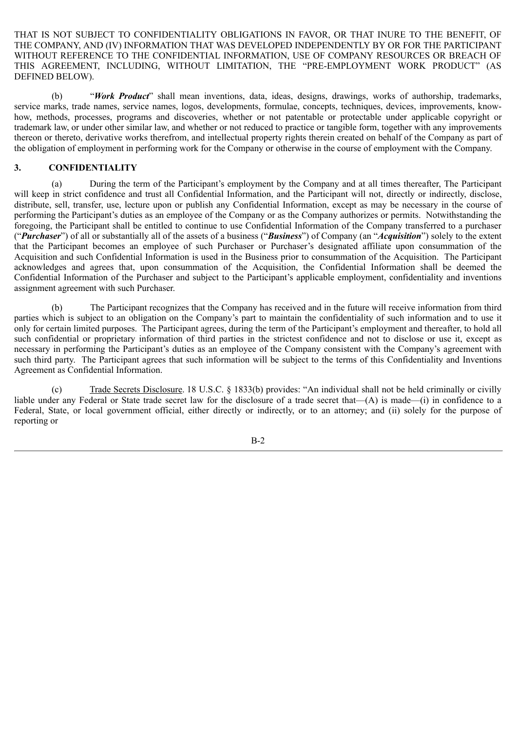THAT IS NOT SUBJECT TO CONFIDENTIALITY OBLIGATIONS IN FAVOR, OR THAT INURE TO THE BENEFIT, OF THE COMPANY, AND (IV) INFORMATION THAT WAS DEVELOPED INDEPENDENTLY BY OR FOR THE PARTICIPANT WITHOUT REFERENCE TO THE CONFIDENTIAL INFORMATION, USE OF COMPANY RESOURCES OR BREACH OF THIS AGREEMENT, INCLUDING, WITHOUT LIMITATION, THE "PRE-EMPLOYMENT WORK PRODUCT" (AS DEFINED BELOW).

(b) "*Work Product*" shall mean inventions, data, ideas, designs, drawings, works of authorship, trademarks, service marks, trade names, service names, logos, developments, formulae, concepts, techniques, devices, improvements, knowhow, methods, processes, programs and discoveries, whether or not patentable or protectable under applicable copyright or trademark law, or under other similar law, and whether or not reduced to practice or tangible form, together with any improvements thereon or thereto, derivative works therefrom, and intellectual property rights therein created on behalf of the Company as part of the obligation of employment in performing work for the Company or otherwise in the course of employment with the Company.

### **3. CONFIDENTIALITY**

(a) During the term of the Participant's employment by the Company and at all times thereafter, The Participant will keep in strict confidence and trust all Confidential Information, and the Participant will not, directly or indirectly, disclose, distribute, sell, transfer, use, lecture upon or publish any Confidential Information, except as may be necessary in the course of performing the Participant's duties as an employee of the Company or as the Company authorizes or permits. Notwithstanding the foregoing, the Participant shall be entitled to continue to use Confidential Information of the Company transferred to a purchaser ("*Purchaser*") of all or substantially all of the assets of a business ("*Business*") of Company (an "*Acquisition*") solely to the extent that the Participant becomes an employee of such Purchaser or Purchaser's designated affiliate upon consummation of the Acquisition and such Confidential Information is used in the Business prior to consummation of the Acquisition. The Participant acknowledges and agrees that, upon consummation of the Acquisition, the Confidential Information shall be deemed the Confidential Information of the Purchaser and subject to the Participant's applicable employment, confidentiality and inventions assignment agreement with such Purchaser.

(b) The Participant recognizes that the Company has received and in the future will receive information from third parties which is subject to an obligation on the Company's part to maintain the confidentiality of such information and to use it only for certain limited purposes. The Participant agrees, during the term of the Participant's employment and thereafter, to hold all such confidential or proprietary information of third parties in the strictest confidence and not to disclose or use it, except as necessary in performing the Participant's duties as an employee of the Company consistent with the Company's agreement with such third party. The Participant agrees that such information will be subject to the terms of this Confidentiality and Inventions Agreement as Confidential Information.

(c) Trade Secrets Disclosure. 18 U.S.C. § 1833(b) provides: "An individual shall not be held criminally or civilly liable under any Federal or State trade secret law for the disclosure of a trade secret that—(A) is made—(i) in confidence to a Federal, State, or local government official, either directly or indirectly, or to an attorney; and (ii) solely for the purpose of reporting or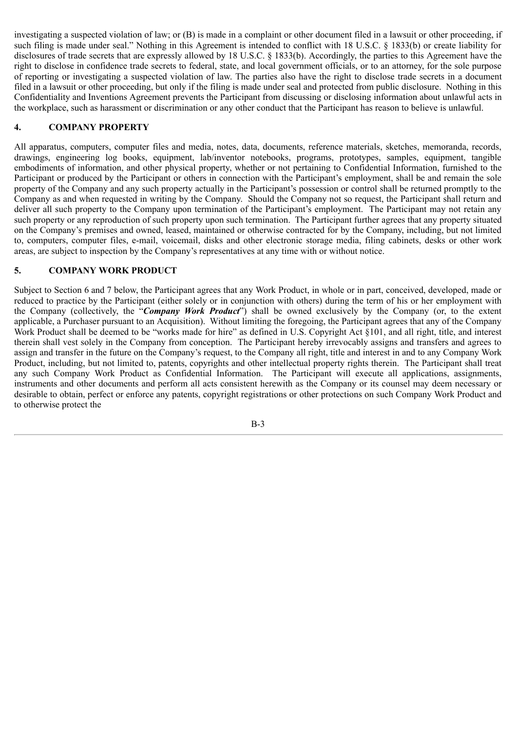investigating a suspected violation of law; or (B) is made in a complaint or other document filed in a lawsuit or other proceeding, if such filing is made under seal." Nothing in this Agreement is intended to conflict with 18 U.S.C. § 1833(b) or create liability for disclosures of trade secrets that are expressly allowed by 18 U.S.C. § 1833(b). Accordingly, the parties to this Agreement have the right to disclose in confidence trade secrets to federal, state, and local government officials, or to an attorney, for the sole purpose of reporting or investigating a suspected violation of law. The parties also have the right to disclose trade secrets in a document filed in a lawsuit or other proceeding, but only if the filing is made under seal and protected from public disclosure. Nothing in this Confidentiality and Inventions Agreement prevents the Participant from discussing or disclosing information about unlawful acts in the workplace, such as harassment or discrimination or any other conduct that the Participant has reason to believe is unlawful.

## **4. COMPANY PROPERTY**

All apparatus, computers, computer files and media, notes, data, documents, reference materials, sketches, memoranda, records, drawings, engineering log books, equipment, lab/inventor notebooks, programs, prototypes, samples, equipment, tangible embodiments of information, and other physical property, whether or not pertaining to Confidential Information, furnished to the Participant or produced by the Participant or others in connection with the Participant's employment, shall be and remain the sole property of the Company and any such property actually in the Participant's possession or control shall be returned promptly to the Company as and when requested in writing by the Company. Should the Company not so request, the Participant shall return and deliver all such property to the Company upon termination of the Participant's employment. The Participant may not retain any such property or any reproduction of such property upon such termination. The Participant further agrees that any property situated on the Company's premises and owned, leased, maintained or otherwise contracted for by the Company, including, but not limited to, computers, computer files, e-mail, voicemail, disks and other electronic storage media, filing cabinets, desks or other work areas, are subject to inspection by the Company's representatives at any time with or without notice.

### **5. COMPANY WORK PRODUCT**

Subject to Section 6 and 7 below, the Participant agrees that any Work Product, in whole or in part, conceived, developed, made or reduced to practice by the Participant (either solely or in conjunction with others) during the term of his or her employment with the Company (collectively, the "*Company Work Product*") shall be owned exclusively by the Company (or, to the extent applicable, a Purchaser pursuant to an Acquisition). Without limiting the foregoing, the Participant agrees that any of the Company Work Product shall be deemed to be "works made for hire" as defined in U.S. Copyright Act §101, and all right, title, and interest therein shall vest solely in the Company from conception. The Participant hereby irrevocably assigns and transfers and agrees to assign and transfer in the future on the Company's request, to the Company all right, title and interest in and to any Company Work Product, including, but not limited to, patents, copyrights and other intellectual property rights therein. The Participant shall treat any such Company Work Product as Confidential Information. The Participant will execute all applications, assignments, instruments and other documents and perform all acts consistent herewith as the Company or its counsel may deem necessary or desirable to obtain, perfect or enforce any patents, copyright registrations or other protections on such Company Work Product and to otherwise protect the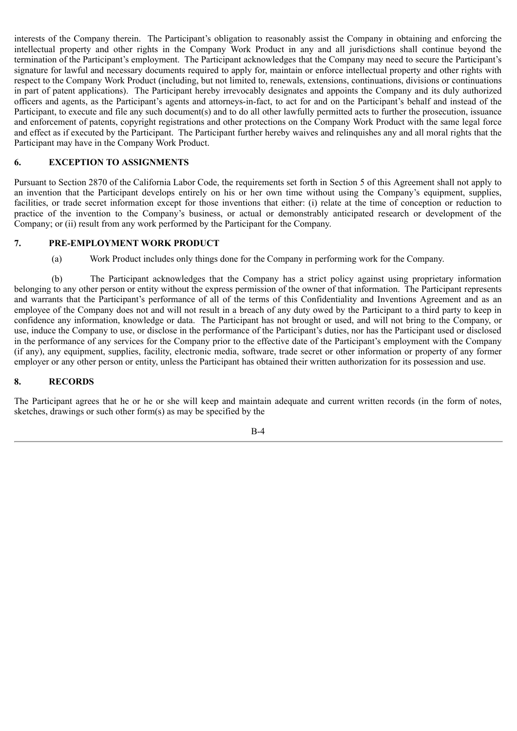interests of the Company therein. The Participant's obligation to reasonably assist the Company in obtaining and enforcing the intellectual property and other rights in the Company Work Product in any and all jurisdictions shall continue beyond the termination of the Participant's employment. The Participant acknowledges that the Company may need to secure the Participant's signature for lawful and necessary documents required to apply for, maintain or enforce intellectual property and other rights with respect to the Company Work Product (including, but not limited to, renewals, extensions, continuations, divisions or continuations in part of patent applications). The Participant hereby irrevocably designates and appoints the Company and its duly authorized officers and agents, as the Participant's agents and attorneys-in-fact, to act for and on the Participant's behalf and instead of the Participant, to execute and file any such document(s) and to do all other lawfully permitted acts to further the prosecution, issuance and enforcement of patents, copyright registrations and other protections on the Company Work Product with the same legal force and effect as if executed by the Participant. The Participant further hereby waives and relinquishes any and all moral rights that the Participant may have in the Company Work Product.

## **6. EXCEPTION TO ASSIGNMENTS**

Pursuant to Section 2870 of the California Labor Code, the requirements set forth in Section 5 of this Agreement shall not apply to an invention that the Participant develops entirely on his or her own time without using the Company's equipment, supplies, facilities, or trade secret information except for those inventions that either: (i) relate at the time of conception or reduction to practice of the invention to the Company's business, or actual or demonstrably anticipated research or development of the Company; or (ii) result from any work performed by the Participant for the Company.

## **7. PRE-EMPLOYMENT WORK PRODUCT**

(a) Work Product includes only things done for the Company in performing work for the Company.

(b) The Participant acknowledges that the Company has a strict policy against using proprietary information belonging to any other person or entity without the express permission of the owner of that information. The Participant represents and warrants that the Participant's performance of all of the terms of this Confidentiality and Inventions Agreement and as an employee of the Company does not and will not result in a breach of any duty owed by the Participant to a third party to keep in confidence any information, knowledge or data. The Participant has not brought or used, and will not bring to the Company, or use, induce the Company to use, or disclose in the performance of the Participant's duties, nor has the Participant used or disclosed in the performance of any services for the Company prior to the effective date of the Participant's employment with the Company (if any), any equipment, supplies, facility, electronic media, software, trade secret or other information or property of any former employer or any other person or entity, unless the Participant has obtained their written authorization for its possession and use.

## **8. RECORDS**

The Participant agrees that he or he or she will keep and maintain adequate and current written records (in the form of notes, sketches, drawings or such other form(s) as may be specified by the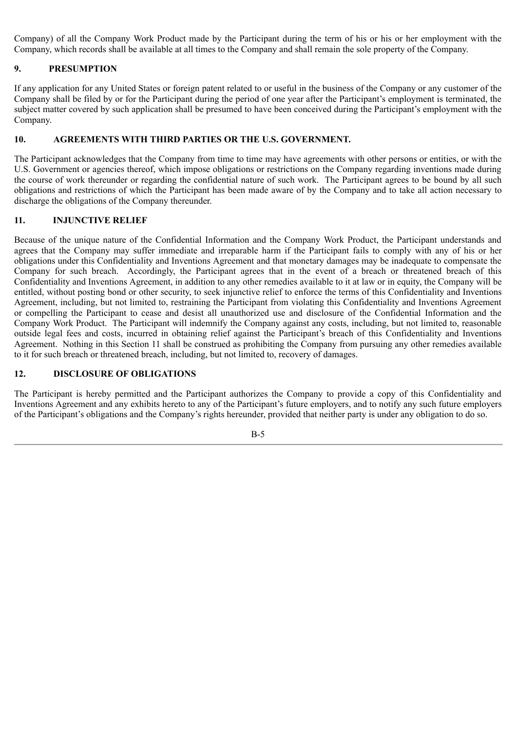Company) of all the Company Work Product made by the Participant during the term of his or his or her employment with the Company, which records shall be available at all times to the Company and shall remain the sole property of the Company.

## **9. PRESUMPTION**

If any application for any United States or foreign patent related to or useful in the business of the Company or any customer of the Company shall be filed by or for the Participant during the period of one year after the Participant's employment is terminated, the subject matter covered by such application shall be presumed to have been conceived during the Participant's employment with the Company.

## **10. AGREEMENTS WITH THIRD PARTIES OR THE U.S. GOVERNMENT.**

The Participant acknowledges that the Company from time to time may have agreements with other persons or entities, or with the U.S. Government or agencies thereof, which impose obligations or restrictions on the Company regarding inventions made during the course of work thereunder or regarding the confidential nature of such work. The Participant agrees to be bound by all such obligations and restrictions of which the Participant has been made aware of by the Company and to take all action necessary to discharge the obligations of the Company thereunder.

## **11. INJUNCTIVE RELIEF**

Because of the unique nature of the Confidential Information and the Company Work Product, the Participant understands and agrees that the Company may suffer immediate and irreparable harm if the Participant fails to comply with any of his or her obligations under this Confidentiality and Inventions Agreement and that monetary damages may be inadequate to compensate the Company for such breach. Accordingly, the Participant agrees that in the event of a breach or threatened breach of this Confidentiality and Inventions Agreement, in addition to any other remedies available to it at law or in equity, the Company will be entitled, without posting bond or other security, to seek injunctive relief to enforce the terms of this Confidentiality and Inventions Agreement, including, but not limited to, restraining the Participant from violating this Confidentiality and Inventions Agreement or compelling the Participant to cease and desist all unauthorized use and disclosure of the Confidential Information and the Company Work Product. The Participant will indemnify the Company against any costs, including, but not limited to, reasonable outside legal fees and costs, incurred in obtaining relief against the Participant's breach of this Confidentiality and Inventions Agreement. Nothing in this Section 11 shall be construed as prohibiting the Company from pursuing any other remedies available to it for such breach or threatened breach, including, but not limited to, recovery of damages.

## **12. DISCLOSURE OF OBLIGATIONS**

The Participant is hereby permitted and the Participant authorizes the Company to provide a copy of this Confidentiality and Inventions Agreement and any exhibits hereto to any of the Participant's future employers, and to notify any such future employers of the Participant's obligations and the Company's rights hereunder, provided that neither party is under any obligation to do so.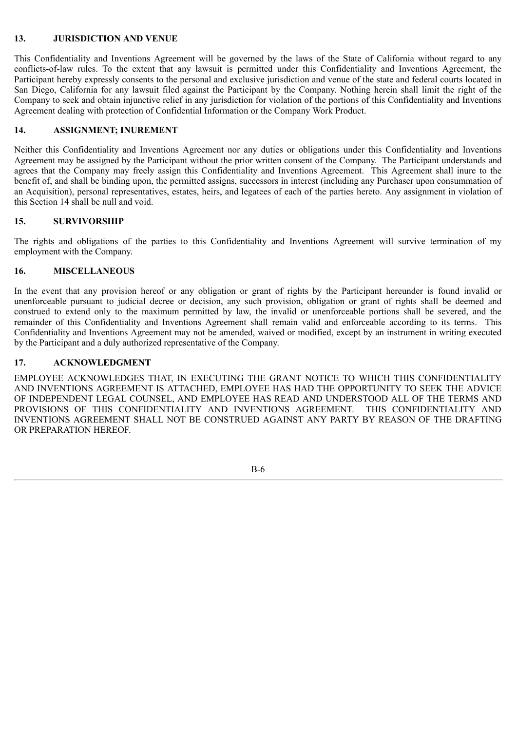## **13. JURISDICTION AND VENUE**

This Confidentiality and Inventions Agreement will be governed by the laws of the State of California without regard to any conflicts-of-law rules. To the extent that any lawsuit is permitted under this Confidentiality and Inventions Agreement, the Participant hereby expressly consents to the personal and exclusive jurisdiction and venue of the state and federal courts located in San Diego, California for any lawsuit filed against the Participant by the Company. Nothing herein shall limit the right of the Company to seek and obtain injunctive relief in any jurisdiction for violation of the portions of this Confidentiality and Inventions Agreement dealing with protection of Confidential Information or the Company Work Product.

## **14. ASSIGNMENT; INUREMENT**

Neither this Confidentiality and Inventions Agreement nor any duties or obligations under this Confidentiality and Inventions Agreement may be assigned by the Participant without the prior written consent of the Company. The Participant understands and agrees that the Company may freely assign this Confidentiality and Inventions Agreement. This Agreement shall inure to the benefit of, and shall be binding upon, the permitted assigns, successors in interest (including any Purchaser upon consummation of an Acquisition), personal representatives, estates, heirs, and legatees of each of the parties hereto. Any assignment in violation of this Section 14 shall be null and void.

## **15. SURVIVORSHIP**

The rights and obligations of the parties to this Confidentiality and Inventions Agreement will survive termination of my employment with the Company.

## **16. MISCELLANEOUS**

In the event that any provision hereof or any obligation or grant of rights by the Participant hereunder is found invalid or unenforceable pursuant to judicial decree or decision, any such provision, obligation or grant of rights shall be deemed and construed to extend only to the maximum permitted by law, the invalid or unenforceable portions shall be severed, and the remainder of this Confidentiality and Inventions Agreement shall remain valid and enforceable according to its terms. This Confidentiality and Inventions Agreement may not be amended, waived or modified, except by an instrument in writing executed by the Participant and a duly authorized representative of the Company.

## **17. ACKNOWLEDGMENT**

EMPLOYEE ACKNOWLEDGES THAT, IN EXECUTING THE GRANT NOTICE TO WHICH THIS CONFIDENTIALITY AND INVENTIONS AGREEMENT IS ATTACHED, EMPLOYEE HAS HAD THE OPPORTUNITY TO SEEK THE ADVICE OF INDEPENDENT LEGAL COUNSEL, AND EMPLOYEE HAS READ AND UNDERSTOOD ALL OF THE TERMS AND PROVISIONS OF THIS CONFIDENTIALITY AND INVENTIONS AGREEMENT. THIS CONFIDENTIALITY AND INVENTIONS AGREEMENT SHALL NOT BE CONSTRUED AGAINST ANY PARTY BY REASON OF THE DRAFTING OR PREPARATION HEREOF.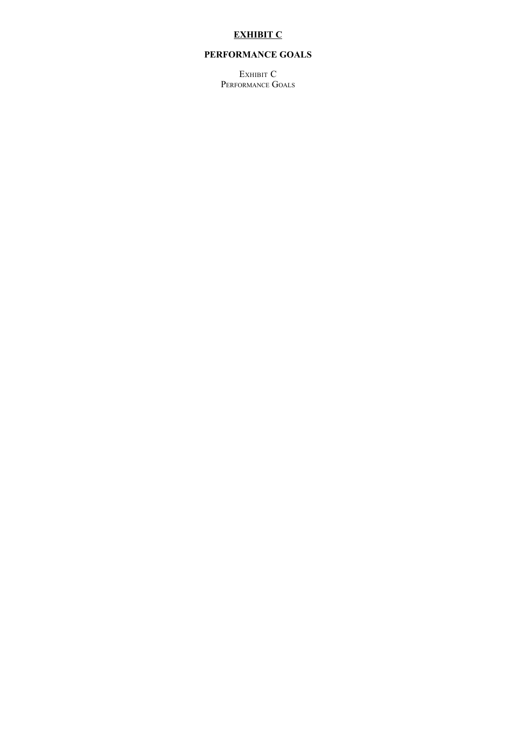# **EXHIBIT C**

# **PERFORMANCE GOALS**

Exhibit C PERFORMANCE GOALS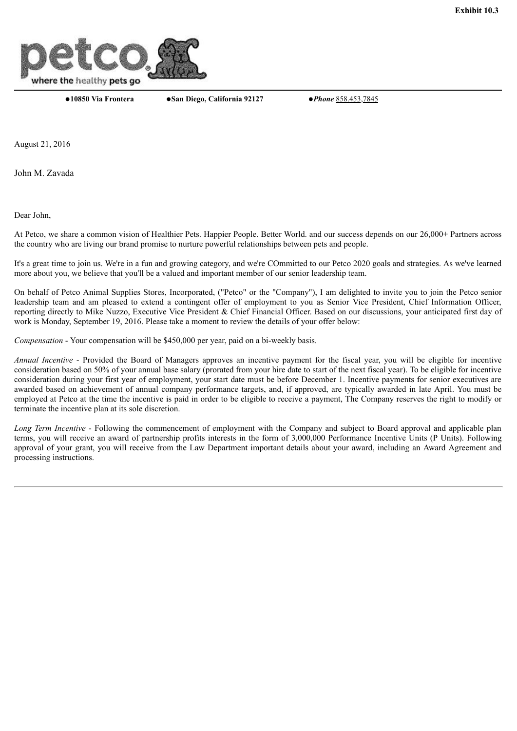<span id="page-55-0"></span>

• **<sup>10850</sup> Via Frontera** •

**San Diego, California <sup>92127</sup>** •

*Phone* 858.453,7845

August 21, 2016

John M. Zavada

Dear John,

At Petco, we share a common vision of Healthier Pets. Happier People. Better World. and our success depends on our 26,000+ Partners across the country who are living our brand promise to nurture powerful relationships between pets and people.

It's a great time to join us. We're in a fun and growing category, and we're COmmitted to our Petco 2020 goals and strategies. As we've learned more about you, we believe that you'll be a valued and important member of our senior leadership team.

On behalf of Petco Animal Supplies Stores, Incorporated, ("Petco" or the "Company"), I am delighted to invite you to join the Petco senior leadership team and am pleased to extend a contingent offer of employment to you as Senior Vice President, Chief Information Officer, reporting directly to Mike Nuzzo, Executive Vice President & Chief Financial Officer. Based on our discussions, your anticipated first day of work is Monday, September 19, 2016. Please take a moment to review the details of your offer below:

*Compensation* - Your compensation will be \$450,000 per year, paid on a bi-weekly basis.

*Annual Incentive* - Provided the Board of Managers approves an incentive payment for the fiscal year, you will be eligible for incentive consideration based on 50% of your annual base salary (prorated from your hire date to start of the next fiscal year). To be eligible for incentive consideration during your first year of employment, your start date must be before December 1. Incentive payments for senior executives are awarded based on achievement of annual company performance targets, and, if approved, are typically awarded in late April. You must be employed at Petco at the time the incentive is paid in order to be eligible to receive a payment, The Company reserves the right to modify or terminate the incentive plan at its sole discretion.

*Long Term Incentive* - Following the commencement of employment with the Company and subject to Board approval and applicable plan terms, you will receive an award of partnership profits interests in the form of 3,000,000 Performance Incentive Units (P Units). Following approval of your grant, you will receive from the Law Department important details about your award, including an Award Agreement and processing instructions.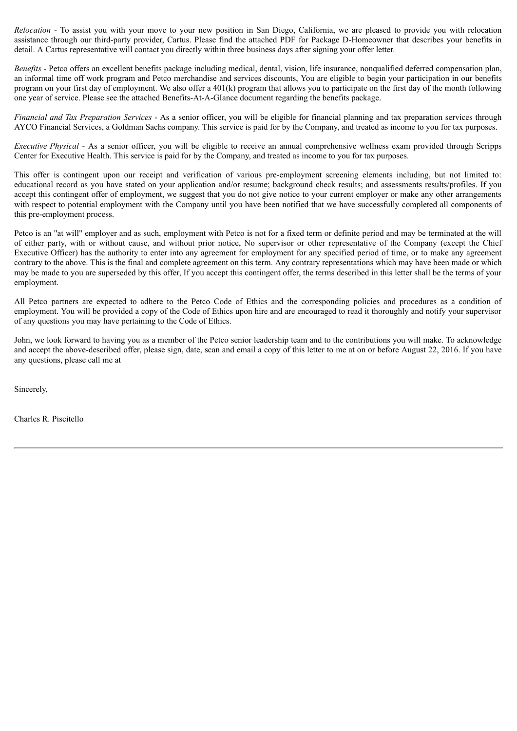*Relocation* - To assist you with your move to your new position in San Diego, California, we are pleased to provide you with relocation assistance through our third-party provider, Cartus. Please find the attached PDF for Package D-Homeowner that describes your benefits in detail. A Cartus representative will contact you directly within three business days after signing your offer letter.

*Benefits* - Petco offers an excellent benefits package including medical, dental, vision, life insurance, nonqualified deferred compensation plan, an informal time off work program and Petco merchandise and services discounts, You are eligible to begin your participation in our benefits program on your first day of employment. We also offer a 401(k) program that allows you to participate on the first day of the month following one year of service. Please see the attached Benefits-At-A-GIance document regarding the benefits package.

*Financial and Tax Preparation Services* - As a senior officer, you will be eligible for financial planning and tax preparation services through AYCO Financial Services, a Goldman Sachs company. This service is paid for by the Company, and treated as income to you for tax purposes.

*Executive Physical* - As a senior officer, you will be eligible to receive an annual comprehensive wellness exam provided through Scripps Center for Executive Health. This service is paid for by the Company, and treated as income to you for tax purposes.

This offer is contingent upon our receipt and verification of various pre-employment screening elements including, but not limited to: educational record as you have stated on your application and/or resume; background check results; and assessments results/profiles. If you accept this contingent offer of employment, we suggest that you do not give notice to your current employer or make any other arrangements with respect to potential employment with the Company until you have been notified that we have successfully completed all components of this pre-employment process.

Petco is an "at will" employer and as such, employment with Petco is not for a fixed term or definite period and may be terminated at the will of either party, with or without cause, and without prior notice, No supervisor or other representative of the Company (except the Chief Executive Officer) has the authority to enter into any agreement for employment for any specified period of time, or to make any agreement contrary to the above. This is the final and complete agreement on this term. Any contrary representations which may have been made or which may be made to you are superseded by this offer, If you accept this contingent offer, the terms described in this letter shall be the terms of your employment.

All Petco partners are expected to adhere to the Petco Code of Ethics and the corresponding policies and procedures as a condition of employment. You will be provided a copy of the Code of Ethics upon hire and are encouraged to read it thoroughly and notify your supervisor of any questions you may have pertaining to the Code of Ethics.

John, we look forward to having you as a member of the Petco senior leadership team and to the contributions you will make. To acknowledge and accept the above-described offer, please sign, date, scan and email a copy of this letter to me at on or before August 22, 2016. If you have any questions, please call me at

Sincerely,

Charles R. Piscitello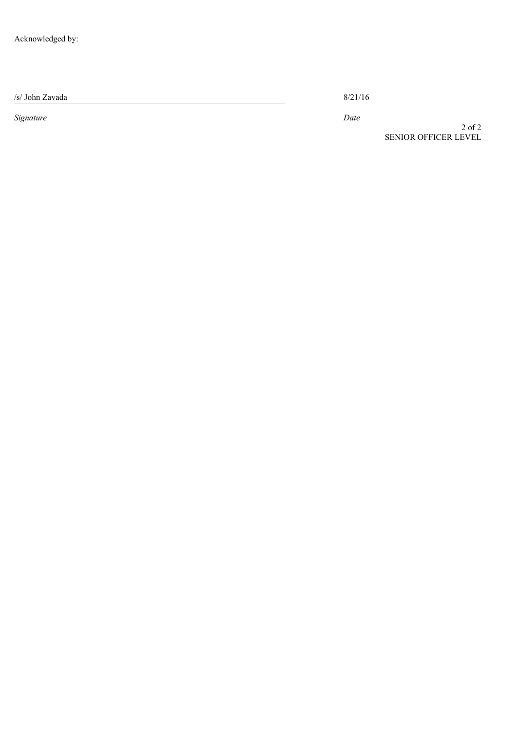Acknowledged by:

/s/ John Zavada 8/21/16

*Signature Date*

2 of 2 SENIOR OFFICER LEVEL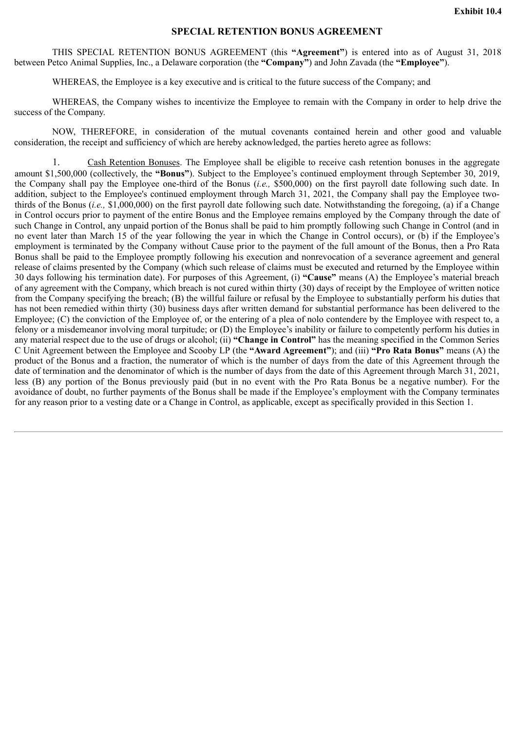### **SPECIAL RETENTION BONUS AGREEMENT**

<span id="page-58-0"></span>THIS SPECIAL RETENTION BONUS AGREEMENT (this **"Agreement"**) is entered into as of August 31, 2018 between Petco Animal Supplies, Inc., a Delaware corporation (the **"Company"**) and John Zavada (the **"Employee"**).

WHEREAS, the Employee is a key executive and is critical to the future success of the Company; and

WHEREAS, the Company wishes to incentivize the Employee to remain with the Company in order to help drive the success of the Company.

NOW, THEREFORE, in consideration of the mutual covenants contained herein and other good and valuable consideration, the receipt and sufficiency of which are hereby acknowledged, the parties hereto agree as follows:

1. Cash Retention Bonuses. The Employee shall be eligible to receive cash retention bonuses in the aggregate amount \$1,500,000 (collectively, the **"Bonus"**). Subject to the Employee's continued employment through September 30, 2019, the Company shall pay the Employee one-third of the Bonus (*i.e.,* \$500,000) on the first payroll date following such date. In addition, subject to the Employee's continued employment through March 31, 2021, the Company shall pay the Employee twothirds of the Bonus (*i.e.,* \$1,000,000) on the first payroll date following such date. Notwithstanding the foregoing, (a) if a Change in Control occurs prior to payment of the entire Bonus and the Employee remains employed by the Company through the date of such Change in Control, any unpaid portion of the Bonus shall be paid to him promptly following such Change in Control (and in no event later than March 15 of the year following the year in which the Change in Control occurs), or (b) if the Employee's employment is terminated by the Company without Cause prior to the payment of the full amount of the Bonus, then a Pro Rata Bonus shall be paid to the Employee promptly following his execution and nonrevocation of a severance agreement and general release of claims presented by the Company (which such release of claims must be executed and returned by the Employee within 30 days following his termination date). For purposes of this Agreement, (i) **"Cause"** means (A) the Employee's material breach of any agreement with the Company, which breach is not cured within thirty (30) days of receipt by the Employee of written notice from the Company specifying the breach; (B) the willful failure or refusal by the Employee to substantially perform his duties that has not been remedied within thirty (30) business days after written demand for substantial performance has been delivered to the Employee: (C) the conviction of the Employee of, or the entering of a plea of nolo contendere by the Employee with respect to, a felony or a misdemeanor involving moral turpitude; or (D) the Employee's inability or failure to competently perform his duties in any material respect due to the use of drugs or alcohol; (ii) **"Change in Control"** has the meaning specified in the Common Series C Unit Agreement between the Employee and Scooby LP (the **"Award Agreement"**); and (iii) **"Pro Rata Bonus"** means (A) the product of the Bonus and a fraction, the numerator of which is the number of days from the date of this Agreement through the date of termination and the denominator of which is the number of days from the date of this Agreement through March 31, 2021, less (B) any portion of the Bonus previously paid (but in no event with the Pro Rata Bonus be a negative number). For the avoidance of doubt, no further payments of the Bonus shall be made if the Employee's employment with the Company terminates for any reason prior to a vesting date or a Change in Control, as applicable, except as specifically provided in this Section 1.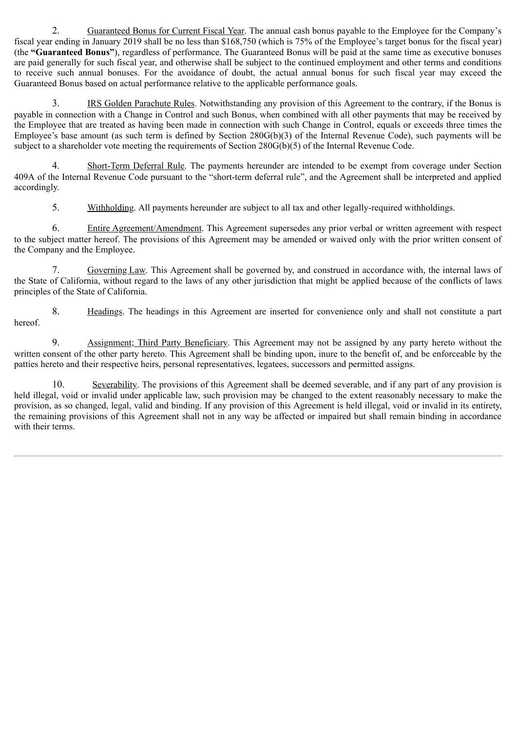2. Guaranteed Bonus for Current Fiscal Year. The annual cash bonus payable to the Employee for the Company's fiscal year ending in January 2019 shall be no less than \$168,750 (which is 75% of the Employee's target bonus for the fiscal year) (the **"Guaranteed Bonus"**), regardless of performance. The Guaranteed Bonus will be paid at the same time as executive bonuses are paid generally for such fiscal year, and otherwise shall be subject to the continued employment and other terms and conditions to receive such annual bonuses. For the avoidance of doubt, the actual annual bonus for such fiscal year may exceed the Guaranteed Bonus based on actual performance relative to the applicable performance goals.

3. IRS Golden Parachute Rules. Notwithstanding any provision of this Agreement to the contrary, if the Bonus is payable in connection with a Change in Control and such Bonus, when combined with all other payments that may be received by the Employee that are treated as having been made in connection with such Change in Control, equals or exceeds three times the Employee's base amount (as such term is defined by Section 280G(b)(3) of the Internal Revenue Code), such payments will be subject to a shareholder vote meeting the requirements of Section 280G(b)(5) of the Internal Revenue Code.

4. Short-Term Deferral Rule. The payments hereunder are intended to be exempt from coverage under Section 409A of the Internal Revenue Code pursuant to the "short-term deferral rule", and the Agreement shall be interpreted and applied accordingly.

5. Withholding. All payments hereunder are subject to all tax and other legally-required withholdings.

6. Entire Agreement/Amendment. This Agreement supersedes any prior verbal or written agreement with respect to the subject matter hereof. The provisions of this Agreement may be amended or waived only with the prior written consent of the Company and the Employee.

7. Governing Law. This Agreement shall be governed by, and construed in accordance with, the internal laws of the State of California, without regard to the laws of any other jurisdiction that might be applied because of the conflicts of laws principles of the State of California.

8. Headings. The headings in this Agreement are inserted for convenience only and shall not constitute a part hereof.

9. Assignment; Third Party Beneficiary. This Agreement may not be assigned by any party hereto without the written consent of the other party hereto. This Agreement shall be binding upon, inure to the benefit of, and be enforceable by the patties hereto and their respective heirs, personal representatives, legatees, successors and permitted assigns.

10. Severability. The provisions of this Agreement shall be deemed severable, and if any part of any provision is held illegal, void or invalid under applicable law, such provision may be changed to the extent reasonably necessary to make the provision, as so changed, legal, valid and binding. If any provision of this Agreement is held illegal, void or invalid in its entirety, the remaining provisions of this Agreement shall not in any way be affected or impaired but shall remain binding in accordance with their terms.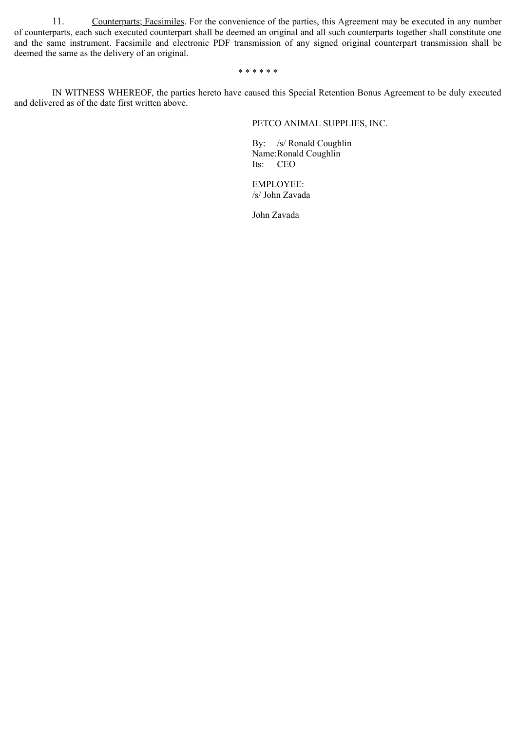11. Counterparts; Facsimiles. For the convenience of the parties, this Agreement may be executed in any number of counterparts, each such executed counterpart shall be deemed an original and all such counterparts together shall constitute one and the same instrument. Facsimile and electronic PDF transmission of any signed original counterpart transmission shall be deemed the same as the delivery of an original.

\* \* \* \* \* \*

IN WITNESS WHEREOF, the parties hereto have caused this Special Retention Bonus Agreement to be duly executed and delivered as of the date first written above.

PETCO ANIMAL SUPPLIES, INC.

By: /s/ Ronald Coughlin Name:Ronald Coughlin Its: CEO

EMPLOYEE: /s/ John Zavada

John Zavada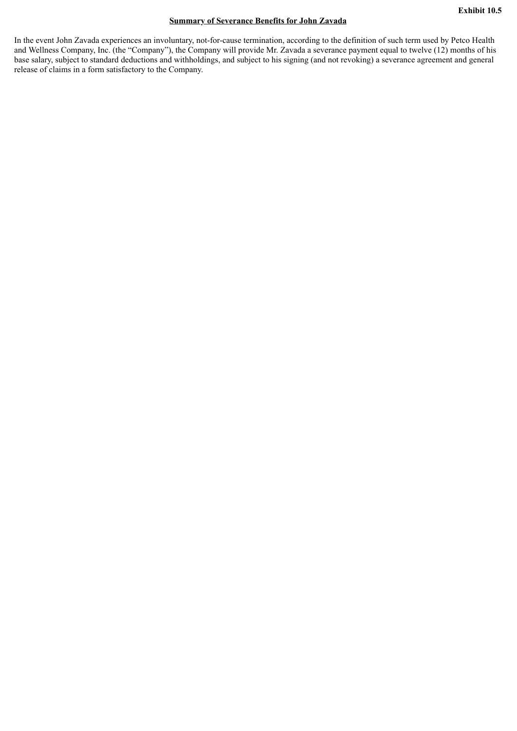### **Summary of Severance Benefits for John Zavada**

<span id="page-61-0"></span>In the event John Zavada experiences an involuntary, not-for-cause termination, according to the definition of such term used by Petco Health and Wellness Company, Inc. (the "Company"), the Company will provide Mr. Zavada a severance payment equal to twelve (12) months of his base salary, subject to standard deductions and withholdings, and subject to his signing (and not revoking) a severance agreement and general release of claims in a form satisfactory to the Company.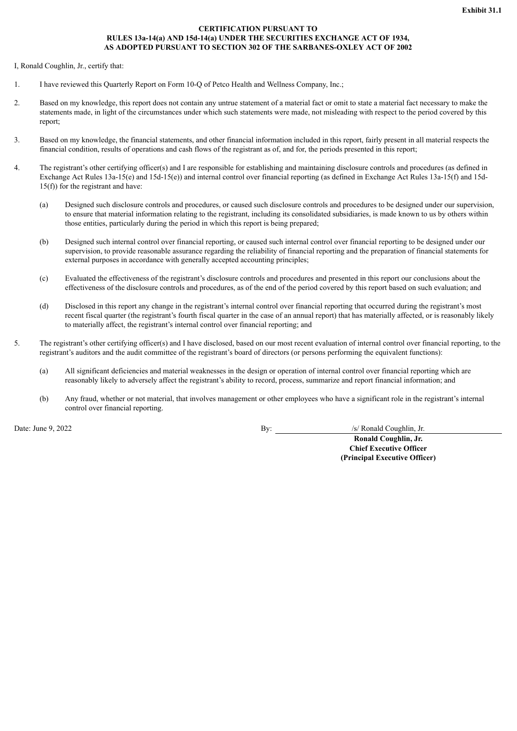### **CERTIFICATION PURSUANT TO RULES 13a-14(a) AND 15d-14(a) UNDER THE SECURITIES EXCHANGE ACT OF 1934, AS ADOPTED PURSUANT TO SECTION 302 OF THE SARBANES-OXLEY ACT OF 2002**

<span id="page-62-0"></span>I, Ronald Coughlin, Jr., certify that:

- 1. I have reviewed this Quarterly Report on Form 10-Q of Petco Health and Wellness Company, Inc.;
- 2. Based on my knowledge, this report does not contain any untrue statement of a material fact or omit to state a material fact necessary to make the statements made, in light of the circumstances under which such statements were made, not misleading with respect to the period covered by this report;
- 3. Based on my knowledge, the financial statements, and other financial information included in this report, fairly present in all material respects the financial condition, results of operations and cash flows of the registrant as of, and for, the periods presented in this report;
- 4. The registrant's other certifying officer(s) and I are responsible for establishing and maintaining disclosure controls and procedures (as defined in Exchange Act Rules 13a-15(e) and 15d-15(e)) and internal control over financial reporting (as defined in Exchange Act Rules 13a-15(f) and 15d-15(f)) for the registrant and have:
	- (a) Designed such disclosure controls and procedures, or caused such disclosure controls and procedures to be designed under our supervision, to ensure that material information relating to the registrant, including its consolidated subsidiaries, is made known to us by others within those entities, particularly during the period in which this report is being prepared;
	- (b) Designed such internal control over financial reporting, or caused such internal control over financial reporting to be designed under our supervision, to provide reasonable assurance regarding the reliability of financial reporting and the preparation of financial statements for external purposes in accordance with generally accepted accounting principles;
	- (c) Evaluated the effectiveness of the registrant's disclosure controls and procedures and presented in this report our conclusions about the effectiveness of the disclosure controls and procedures, as of the end of the period covered by this report based on such evaluation; and
	- (d) Disclosed in this report any change in the registrant's internal control over financial reporting that occurred during the registrant's most recent fiscal quarter (the registrant's fourth fiscal quarter in the case of an annual report) that has materially affected, or is reasonably likely to materially affect, the registrant's internal control over financial reporting; and
- 5. The registrant's other certifying officer(s) and I have disclosed, based on our most recent evaluation of internal control over financial reporting, to the registrant's auditors and the audit committee of the registrant's board of directors (or persons performing the equivalent functions):
	- (a) All significant deficiencies and material weaknesses in the design or operation of internal control over financial reporting which are reasonably likely to adversely affect the registrant's ability to record, process, summarize and report financial information; and
	- (b) Any fraud, whether or not material, that involves management or other employees who have a significant role in the registrant's internal control over financial reporting.

Date: June 9, 2022 **By:** /s/ Ronald Coughlin, Jr.

**Ronald Coughlin, Jr. Chief Executive Officer (Principal Executive Officer)**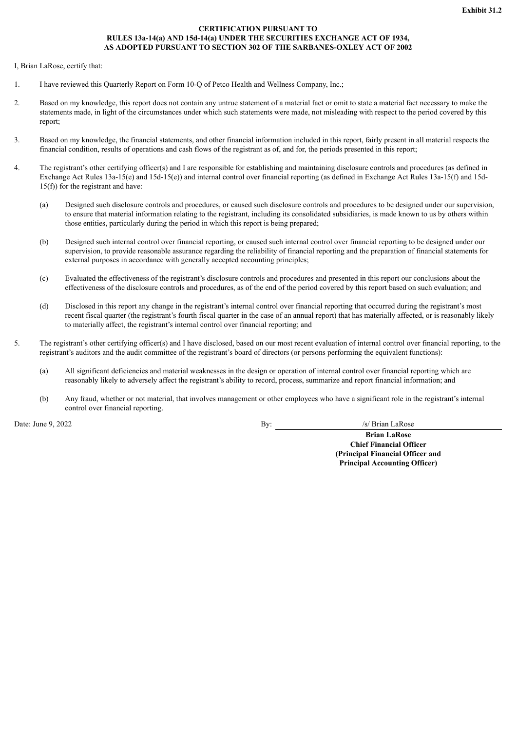### **CERTIFICATION PURSUANT TO RULES 13a-14(a) AND 15d-14(a) UNDER THE SECURITIES EXCHANGE ACT OF 1934, AS ADOPTED PURSUANT TO SECTION 302 OF THE SARBANES-OXLEY ACT OF 2002**

<span id="page-63-0"></span>I, Brian LaRose, certify that:

- 1. I have reviewed this Quarterly Report on Form 10-Q of Petco Health and Wellness Company, Inc.;
- 2. Based on my knowledge, this report does not contain any untrue statement of a material fact or omit to state a material fact necessary to make the statements made, in light of the circumstances under which such statements were made, not misleading with respect to the period covered by this report;
- 3. Based on my knowledge, the financial statements, and other financial information included in this report, fairly present in all material respects the financial condition, results of operations and cash flows of the registrant as of, and for, the periods presented in this report;
- 4. The registrant's other certifying officer(s) and I are responsible for establishing and maintaining disclosure controls and procedures (as defined in Exchange Act Rules 13a-15(e) and 15d-15(e)) and internal control over financial reporting (as defined in Exchange Act Rules 13a-15(f) and 15d-15(f)) for the registrant and have:
	- (a) Designed such disclosure controls and procedures, or caused such disclosure controls and procedures to be designed under our supervision, to ensure that material information relating to the registrant, including its consolidated subsidiaries, is made known to us by others within those entities, particularly during the period in which this report is being prepared;
	- (b) Designed such internal control over financial reporting, or caused such internal control over financial reporting to be designed under our supervision, to provide reasonable assurance regarding the reliability of financial reporting and the preparation of financial statements for external purposes in accordance with generally accepted accounting principles;
	- (c) Evaluated the effectiveness of the registrant's disclosure controls and procedures and presented in this report our conclusions about the effectiveness of the disclosure controls and procedures, as of the end of the period covered by this report based on such evaluation; and
	- (d) Disclosed in this report any change in the registrant's internal control over financial reporting that occurred during the registrant's most recent fiscal quarter (the registrant's fourth fiscal quarter in the case of an annual report) that has materially affected, or is reasonably likely to materially affect, the registrant's internal control over financial reporting; and
- 5. The registrant's other certifying officer(s) and I have disclosed, based on our most recent evaluation of internal control over financial reporting, to the registrant's auditors and the audit committee of the registrant's board of directors (or persons performing the equivalent functions):
	- (a) All significant deficiencies and material weaknesses in the design or operation of internal control over financial reporting which are reasonably likely to adversely affect the registrant's ability to record, process, summarize and report financial information; and
	- (b) Any fraud, whether or not material, that involves management or other employees who have a significant role in the registrant's internal control over financial reporting.

Date: June 9, 2022 <br>By: /s/ Brian LaRose

**Brian LaRose Chief Financial Officer (Principal Financial Officer and Principal Accounting Officer)**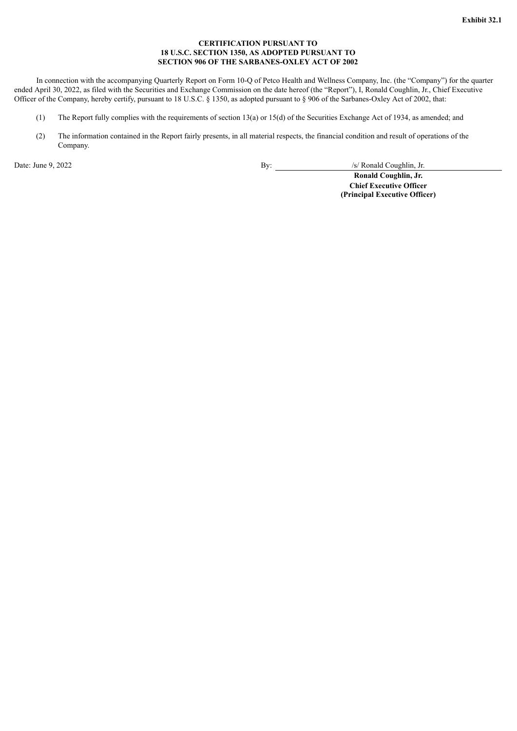### **CERTIFICATION PURSUANT TO 18 U.S.C. SECTION 1350, AS ADOPTED PURSUANT TO SECTION 906 OF THE SARBANES-OXLEY ACT OF 2002**

<span id="page-64-0"></span>In connection with the accompanying Quarterly Report on Form 10-Q of Petco Health and Wellness Company, Inc. (the "Company") for the quarter ended April 30, 2022, as filed with the Securities and Exchange Commission on the date hereof (the "Report"), I, Ronald Coughlin, Jr., Chief Executive Officer of the Company, hereby certify, pursuant to 18 U.S.C. § 1350, as adopted pursuant to § 906 of the Sarbanes-Oxley Act of 2002, that:

- (1) The Report fully complies with the requirements of section 13(a) or 15(d) of the Securities Exchange Act of 1934, as amended; and
- (2) The information contained in the Report fairly presents, in all material respects, the financial condition and result of operations of the Company.

Date: June 9, 2022 By: /s/ Ronald Coughlin, Jr.

**Ronald Coughlin, Jr. Chief Executive Officer (Principal Executive Officer)**